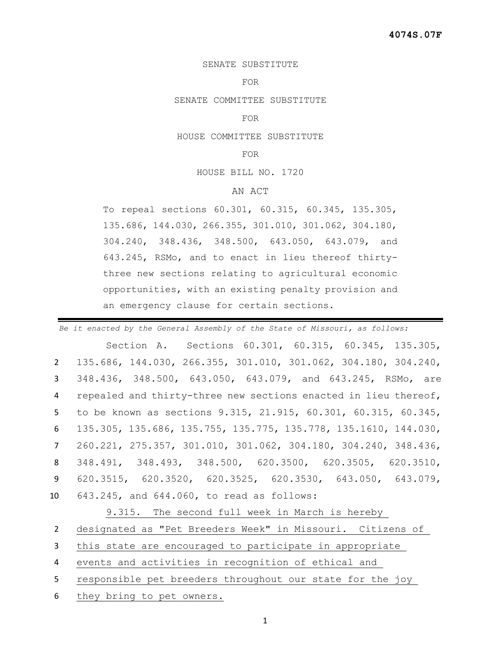## SENATE SUBSTITUTE

#### FOR

SENATE COMMITTEE SUBSTITUTE

### FOR

#### HOUSE COMMITTEE SUBSTITUTE

### FOR

## HOUSE BILL NO. 1720

# AN ACT

To repeal sections 60.301, 60.315, 60.345, 135.305, 135.686, 144.030, 266.355, 301.010, 301.062, 304.180, 304.240, 348.436, 348.500, 643.050, 643.079, and 643.245, RSMo, and to enact in lieu thereof thirtythree new sections relating to agricultural economic opportunities, with an existing penalty provision and an emergency clause for certain sections.

*Be it enacted by the General Assembly of the State of Missouri, as follows:* Section A. Sections 60.301, 60.315, 60.345, 135.305, 135.686, 144.030, 266.355, 301.010, 301.062, 304.180, 304.240, 348.436, 348.500, 643.050, 643.079, and 643.245, RSMo, are repealed and thirty-three new sections enacted in lieu thereof, to be known as sections 9.315, 21.915, 60.301, 60.315, 60.345, 135.305, 135.686, 135.755, 135.775, 135.778, 135.1610, 144.030, 260.221, 275.357, 301.010, 301.062, 304.180, 304.240, 348.436, 348.491, 348.493, 348.500, 620.3500, 620.3505, 620.3510, 620.3515, 620.3520, 620.3525, 620.3530, 643.050, 643.079, 643.245, and 644.060, to read as follows:

# 9.315. The second full week in March is hereby

2 designated as "Pet Breeders Week" in Missouri. Citizens of

- 3 this state are encouraged to participate in appropriate
- 4 events and activities in recognition of ethical and
- 5 responsible pet breeders throughout our state for the joy
- 6 they bring to pet owners.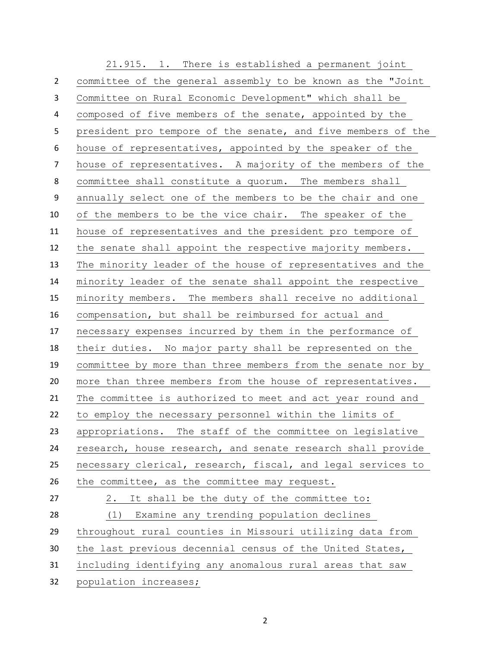21.915. 1. There is established a permanent joint committee of the general assembly to be known as the "Joint Committee on Rural Economic Development" which shall be composed of five members of the senate, appointed by the president pro tempore of the senate, and five members of the house of representatives, appointed by the speaker of the house of representatives. A majority of the members of the committee shall constitute a quorum. The members shall annually select one of the members to be the chair and one of the members to be the vice chair. The speaker of the house of representatives and the president pro tempore of the senate shall appoint the respective majority members. The minority leader of the house of representatives and the minority leader of the senate shall appoint the respective minority members. The members shall receive no additional compensation, but shall be reimbursed for actual and necessary expenses incurred by them in the performance of their duties. No major party shall be represented on the committee by more than three members from the senate nor by more than three members from the house of representatives. The committee is authorized to meet and act year round and to employ the necessary personnel within the limits of appropriations. The staff of the committee on legislative 24 research, house research, and senate research shall provide necessary clerical, research, fiscal, and legal services to the committee, as the committee may request. 2. It shall be the duty of the committee to: (1) Examine any trending population declines throughout rural counties in Missouri utilizing data from the last previous decennial census of the United States, including identifying any anomalous rural areas that saw population increases;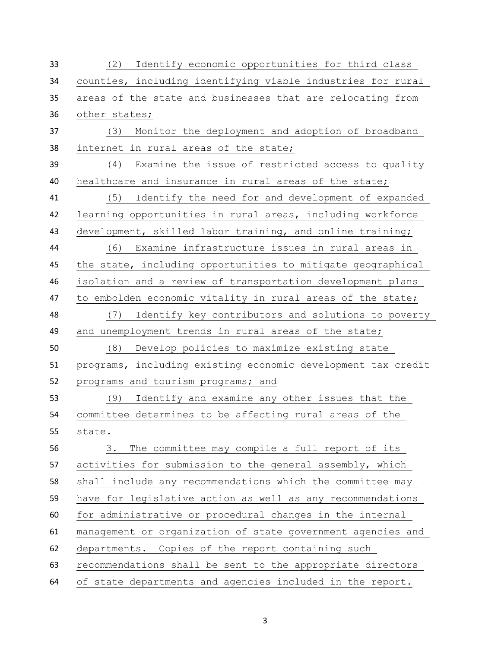| 33 | (2) Identify economic opportunities for third class          |
|----|--------------------------------------------------------------|
| 34 | counties, including identifying viable industries for rural  |
| 35 | areas of the state and businesses that are relocating from   |
| 36 | other states;                                                |
| 37 | Monitor the deployment and adoption of broadband<br>(3)      |
| 38 | internet in rural areas of the state;                        |
| 39 | Examine the issue of restricted access to quality<br>(4)     |
| 40 | healthcare and insurance in rural areas of the state;        |
| 41 | (5) Identify the need for and development of expanded        |
| 42 | learning opportunities in rural areas, including workforce   |
| 43 | development, skilled labor training, and online training;    |
| 44 | (6) Examine infrastructure issues in rural areas in          |
| 45 | the state, including opportunities to mitigate geographical  |
| 46 | isolation and a review of transportation development plans   |
| 47 | to embolden economic vitality in rural areas of the state;   |
| 48 | (7) Identify key contributors and solutions to poverty       |
| 49 | and unemployment trends in rural areas of the state;         |
|    |                                                              |
| 50 | (8) Develop policies to maximize existing state              |
| 51 | programs, including existing economic development tax credit |
| 52 | programs and tourism programs; and                           |
| 53 | (9) Identify and examine any other issues that the           |
| 54 | committee determines to be affecting rural areas of the      |
| 55 | state.                                                       |
| 56 | The committee may compile a full report of its<br>3.         |
| 57 | activities for submission to the general assembly, which     |
| 58 | shall include any recommendations which the committee may    |
| 59 | have for legislative action as well as any recommendations   |
| 60 | for administrative or procedural changes in the internal     |
| 61 | management or organization of state government agencies and  |
| 62 | departments. Copies of the report containing such            |
| 63 | recommendations shall be sent to the appropriate directors   |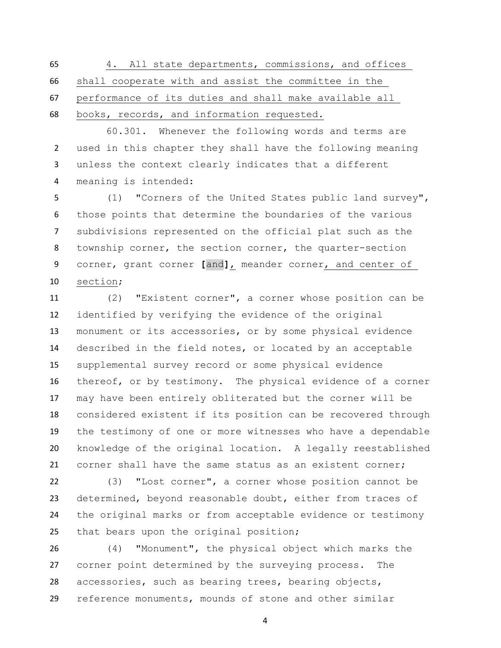4. All state departments, commissions, and offices shall cooperate with and assist the committee in the performance of its duties and shall make available all books, records, and information requested.

 60.301. Whenever the following words and terms are used in this chapter they shall have the following meaning unless the context clearly indicates that a different meaning is intended:

 (1) "Corners of the United States public land survey", those points that determine the boundaries of the various subdivisions represented on the official plat such as the township corner, the section corner, the quarter-section corner, grant corner **[**and**]**, meander corner, and center of section;

 (2) "Existent corner", a corner whose position can be identified by verifying the evidence of the original monument or its accessories, or by some physical evidence described in the field notes, or located by an acceptable supplemental survey record or some physical evidence thereof, or by testimony. The physical evidence of a corner may have been entirely obliterated but the corner will be considered existent if its position can be recovered through the testimony of one or more witnesses who have a dependable knowledge of the original location. A legally reestablished corner shall have the same status as an existent corner;

 (3) "Lost corner", a corner whose position cannot be determined, beyond reasonable doubt, either from traces of the original marks or from acceptable evidence or testimony that bears upon the original position;

 (4) "Monument", the physical object which marks the corner point determined by the surveying process. The accessories, such as bearing trees, bearing objects, reference monuments, mounds of stone and other similar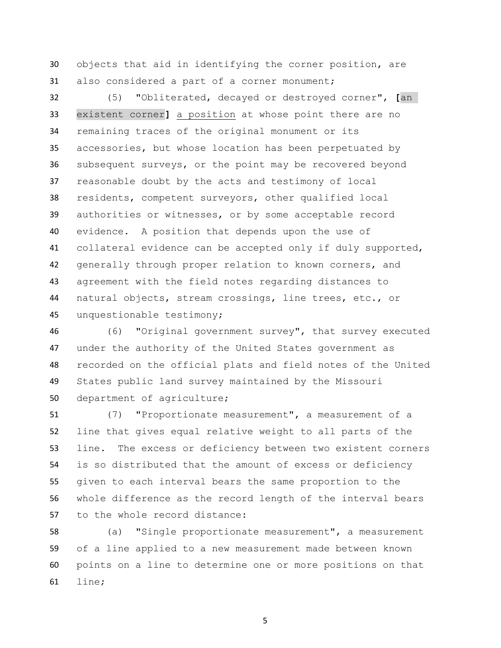objects that aid in identifying the corner position, are also considered a part of a corner monument;

 (5) "Obliterated, decayed or destroyed corner", **[**an existent corner**]** a position at whose point there are no remaining traces of the original monument or its accessories, but whose location has been perpetuated by subsequent surveys, or the point may be recovered beyond reasonable doubt by the acts and testimony of local residents, competent surveyors, other qualified local authorities or witnesses, or by some acceptable record evidence. A position that depends upon the use of collateral evidence can be accepted only if duly supported, generally through proper relation to known corners, and agreement with the field notes regarding distances to natural objects, stream crossings, line trees, etc., or unquestionable testimony;

 (6) "Original government survey", that survey executed under the authority of the United States government as recorded on the official plats and field notes of the United States public land survey maintained by the Missouri department of agriculture;

 (7) "Proportionate measurement", a measurement of a line that gives equal relative weight to all parts of the line. The excess or deficiency between two existent corners is so distributed that the amount of excess or deficiency given to each interval bears the same proportion to the whole difference as the record length of the interval bears to the whole record distance:

 (a) "Single proportionate measurement", a measurement of a line applied to a new measurement made between known points on a line to determine one or more positions on that line;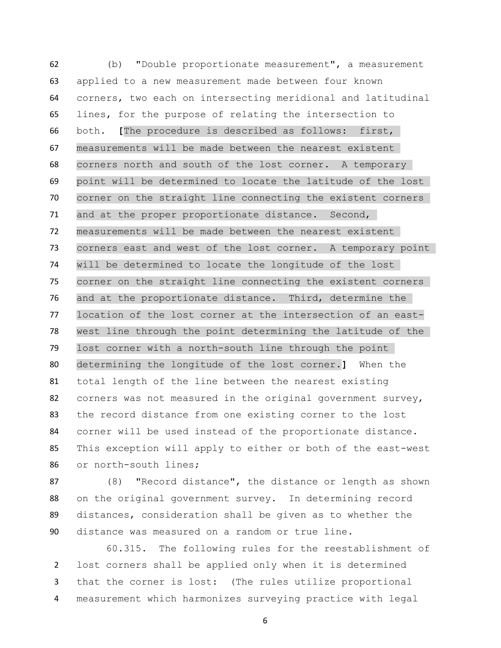(b) "Double proportionate measurement", a measurement applied to a new measurement made between four known corners, two each on intersecting meridional and latitudinal lines, for the purpose of relating the intersection to both. **[**The procedure is described as follows: first, measurements will be made between the nearest existent corners north and south of the lost corner. A temporary point will be determined to locate the latitude of the lost corner on the straight line connecting the existent corners and at the proper proportionate distance. Second, measurements will be made between the nearest existent corners east and west of the lost corner. A temporary point will be determined to locate the longitude of the lost corner on the straight line connecting the existent corners and at the proportionate distance. Third, determine the location of the lost corner at the intersection of an east- west line through the point determining the latitude of the lost corner with a north-south line through the point determining the longitude of the lost corner.**]** When the total length of the line between the nearest existing 82 corners was not measured in the original government survey, the record distance from one existing corner to the lost corner will be used instead of the proportionate distance. This exception will apply to either or both of the east-west or north-south lines;

 (8) "Record distance", the distance or length as shown on the original government survey. In determining record distances, consideration shall be given as to whether the distance was measured on a random or true line.

 60.315. The following rules for the reestablishment of lost corners shall be applied only when it is determined that the corner is lost: (The rules utilize proportional measurement which harmonizes surveying practice with legal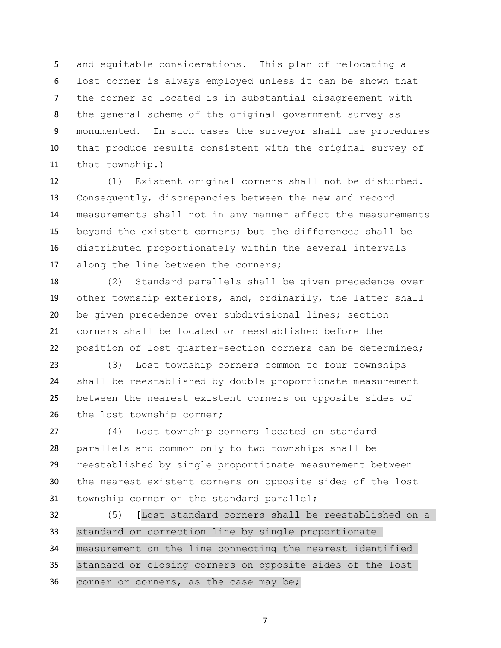and equitable considerations. This plan of relocating a lost corner is always employed unless it can be shown that the corner so located is in substantial disagreement with the general scheme of the original government survey as monumented. In such cases the surveyor shall use procedures that produce results consistent with the original survey of that township.)

 (1) Existent original corners shall not be disturbed. Consequently, discrepancies between the new and record measurements shall not in any manner affect the measurements beyond the existent corners; but the differences shall be distributed proportionately within the several intervals along the line between the corners;

 (2) Standard parallels shall be given precedence over other township exteriors, and, ordinarily, the latter shall be given precedence over subdivisional lines; section corners shall be located or reestablished before the position of lost quarter-section corners can be determined;

 (3) Lost township corners common to four townships shall be reestablished by double proportionate measurement between the nearest existent corners on opposite sides of 26 the lost township corner;

 (4) Lost township corners located on standard parallels and common only to two townships shall be reestablished by single proportionate measurement between the nearest existent corners on opposite sides of the lost township corner on the standard parallel;

 (5) **[**Lost standard corners shall be reestablished on a standard or correction line by single proportionate measurement on the line connecting the nearest identified standard or closing corners on opposite sides of the lost corner or corners, as the case may be;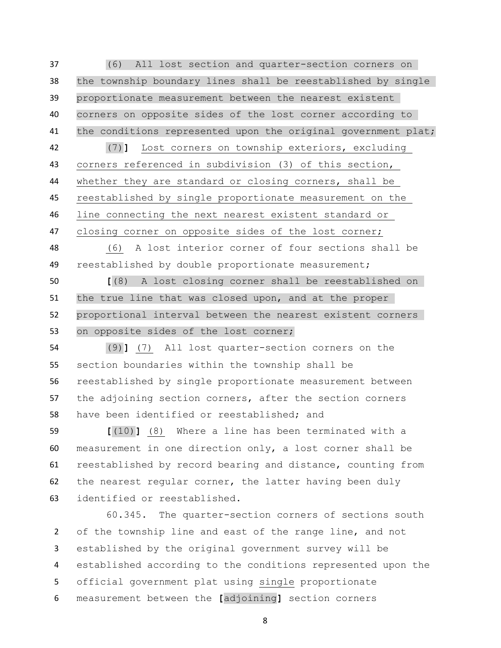(6) All lost section and quarter-section corners on the township boundary lines shall be reestablished by single proportionate measurement between the nearest existent corners on opposite sides of the lost corner according to the conditions represented upon the original government plat; (7)**]** Lost corners on township exteriors, excluding corners referenced in subdivision (3) of this section, whether they are standard or closing corners, shall be reestablished by single proportionate measurement on the line connecting the next nearest existent standard or closing corner on opposite sides of the lost corner;

 (6) A lost interior corner of four sections shall be reestablished by double proportionate measurement;

 **[**(8) A lost closing corner shall be reestablished on 51 the true line that was closed upon, and at the proper proportional interval between the nearest existent corners on opposite sides of the lost corner;

 (9)**]** (7) All lost quarter-section corners on the section boundaries within the township shall be reestablished by single proportionate measurement between the adjoining section corners, after the section corners have been identified or reestablished; and

 **[**(10)**]** (8) Where a line has been terminated with a measurement in one direction only, a lost corner shall be reestablished by record bearing and distance, counting from 62 the nearest regular corner, the latter having been duly identified or reestablished.

 60.345. The quarter-section corners of sections south of the township line and east of the range line, and not established by the original government survey will be established according to the conditions represented upon the official government plat using single proportionate measurement between the **[**adjoining**]** section corners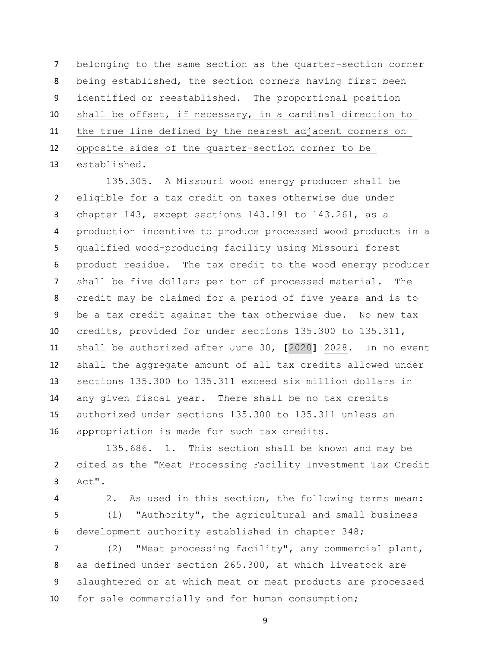belonging to the same section as the quarter-section corner being established, the section corners having first been identified or reestablished. The proportional position shall be offset, if necessary, in a cardinal direction to the true line defined by the nearest adjacent corners on opposite sides of the quarter-section corner to be established.

 135.305. A Missouri wood energy producer shall be eligible for a tax credit on taxes otherwise due under chapter 143, except sections 143.191 to 143.261, as a production incentive to produce processed wood products in a qualified wood-producing facility using Missouri forest product residue. The tax credit to the wood energy producer shall be five dollars per ton of processed material. The credit may be claimed for a period of five years and is to be a tax credit against the tax otherwise due. No new tax credits, provided for under sections 135.300 to 135.311, shall be authorized after June 30, **[**2020**]** 2028. In no event shall the aggregate amount of all tax credits allowed under sections 135.300 to 135.311 exceed six million dollars in any given fiscal year. There shall be no tax credits authorized under sections 135.300 to 135.311 unless an appropriation is made for such tax credits.

135.686. 1. This section shall be known and may be cited as the "Meat Processing Facility Investment Tax Credit Act".

2. As used in this section, the following terms mean:

 (1) "Authority", the agricultural and small business development authority established in chapter 348;

 (2) "Meat processing facility", any commercial plant, as defined under section 265.300, at which livestock are slaughtered or at which meat or meat products are processed for sale commercially and for human consumption;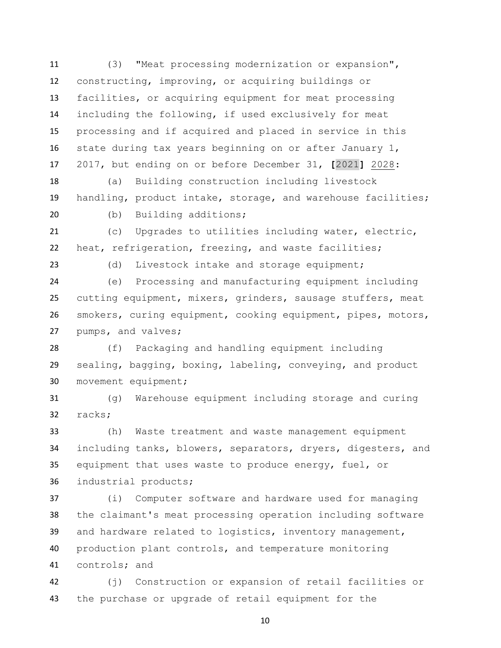(3) "Meat processing modernization or expansion", constructing, improving, or acquiring buildings or facilities, or acquiring equipment for meat processing including the following, if used exclusively for meat processing and if acquired and placed in service in this state during tax years beginning on or after January 1, 2017, but ending on or before December 31, **[**2021**]** 2028:

 (a) Building construction including livestock handling, product intake, storage, and warehouse facilities; (b) Building additions;

 (c) Upgrades to utilities including water, electric, heat, refrigeration, freezing, and waste facilities;

(d) Livestock intake and storage equipment;

 (e) Processing and manufacturing equipment including cutting equipment, mixers, grinders, sausage stuffers, meat smokers, curing equipment, cooking equipment, pipes, motors, pumps, and valves;

 (f) Packaging and handling equipment including sealing, bagging, boxing, labeling, conveying, and product movement equipment;

 (g) Warehouse equipment including storage and curing racks;

 (h) Waste treatment and waste management equipment including tanks, blowers, separators, dryers, digesters, and equipment that uses waste to produce energy, fuel, or industrial products;

 (i) Computer software and hardware used for managing the claimant's meat processing operation including software and hardware related to logistics, inventory management, production plant controls, and temperature monitoring controls; and

 (j) Construction or expansion of retail facilities or the purchase or upgrade of retail equipment for the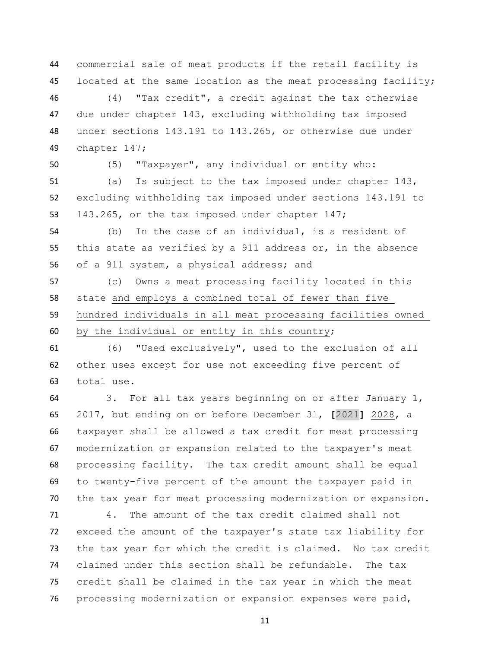commercial sale of meat products if the retail facility is 45 located at the same location as the meat processing facility;

 (4) "Tax credit", a credit against the tax otherwise due under chapter 143, excluding withholding tax imposed under sections 143.191 to 143.265, or otherwise due under chapter 147;

(5) "Taxpayer", any individual or entity who:

 (a) Is subject to the tax imposed under chapter 143, excluding withholding tax imposed under sections 143.191 to 143.265, or the tax imposed under chapter 147;

 (b) In the case of an individual, is a resident of this state as verified by a 911 address or, in the absence of a 911 system, a physical address; and

 (c) Owns a meat processing facility located in this state and employs a combined total of fewer than five hundred individuals in all meat processing facilities owned by the individual or entity in this country;

 (6) "Used exclusively", used to the exclusion of all other uses except for use not exceeding five percent of total use.

 3. For all tax years beginning on or after January 1, 2017, but ending on or before December 31, **[**2021**]** 2028, a taxpayer shall be allowed a tax credit for meat processing modernization or expansion related to the taxpayer's meat processing facility. The tax credit amount shall be equal to twenty-five percent of the amount the taxpayer paid in the tax year for meat processing modernization or expansion.

 4. The amount of the tax credit claimed shall not exceed the amount of the taxpayer's state tax liability for the tax year for which the credit is claimed. No tax credit claimed under this section shall be refundable. The tax credit shall be claimed in the tax year in which the meat processing modernization or expansion expenses were paid,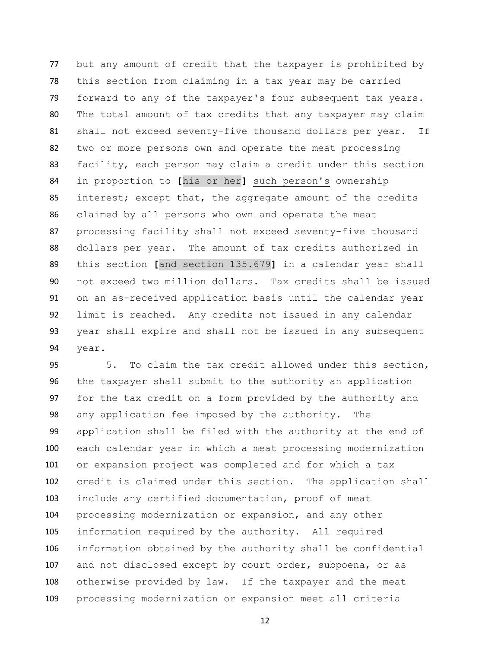but any amount of credit that the taxpayer is prohibited by this section from claiming in a tax year may be carried forward to any of the taxpayer's four subsequent tax years. The total amount of tax credits that any taxpayer may claim shall not exceed seventy-five thousand dollars per year. If two or more persons own and operate the meat processing facility, each person may claim a credit under this section in proportion to **[**his or her**]** such person's ownership 85 interest; except that, the aggregate amount of the credits claimed by all persons who own and operate the meat processing facility shall not exceed seventy-five thousand dollars per year. The amount of tax credits authorized in this section **[**and section 135.679**]** in a calendar year shall not exceed two million dollars. Tax credits shall be issued on an as-received application basis until the calendar year limit is reached. Any credits not issued in any calendar year shall expire and shall not be issued in any subsequent year.

 5. To claim the tax credit allowed under this section, the taxpayer shall submit to the authority an application for the tax credit on a form provided by the authority and any application fee imposed by the authority. The application shall be filed with the authority at the end of each calendar year in which a meat processing modernization or expansion project was completed and for which a tax credit is claimed under this section. The application shall include any certified documentation, proof of meat processing modernization or expansion, and any other information required by the authority. All required information obtained by the authority shall be confidential and not disclosed except by court order, subpoena, or as otherwise provided by law. If the taxpayer and the meat processing modernization or expansion meet all criteria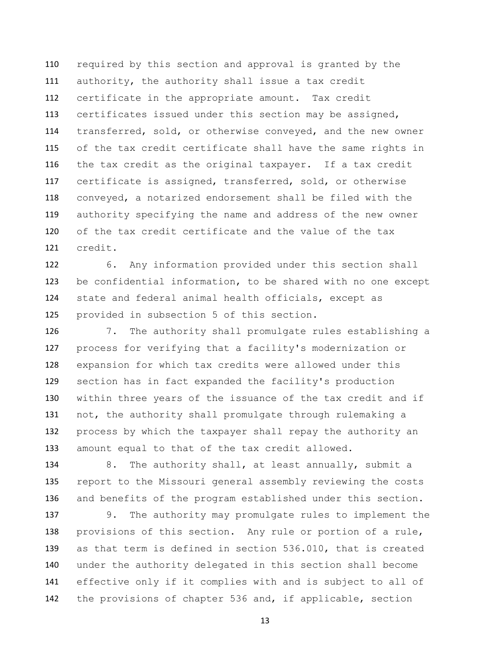required by this section and approval is granted by the authority, the authority shall issue a tax credit certificate in the appropriate amount. Tax credit certificates issued under this section may be assigned, transferred, sold, or otherwise conveyed, and the new owner of the tax credit certificate shall have the same rights in the tax credit as the original taxpayer. If a tax credit certificate is assigned, transferred, sold, or otherwise conveyed, a notarized endorsement shall be filed with the authority specifying the name and address of the new owner of the tax credit certificate and the value of the tax credit.

 6. Any information provided under this section shall be confidential information, to be shared with no one except state and federal animal health officials, except as provided in subsection 5 of this section.

 7. The authority shall promulgate rules establishing a process for verifying that a facility's modernization or expansion for which tax credits were allowed under this section has in fact expanded the facility's production within three years of the issuance of the tax credit and if not, the authority shall promulgate through rulemaking a process by which the taxpayer shall repay the authority an amount equal to that of the tax credit allowed.

 8. The authority shall, at least annually, submit a report to the Missouri general assembly reviewing the costs and benefits of the program established under this section.

 9. The authority may promulgate rules to implement the provisions of this section. Any rule or portion of a rule, as that term is defined in section 536.010, that is created under the authority delegated in this section shall become effective only if it complies with and is subject to all of 142 the provisions of chapter 536 and, if applicable, section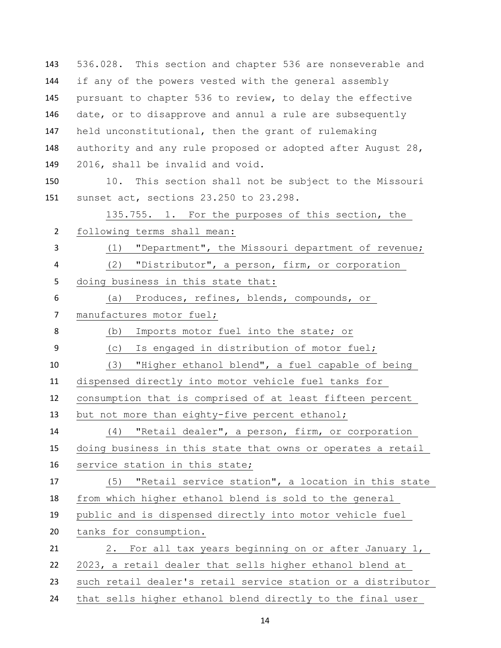536.028. This section and chapter 536 are nonseverable and if any of the powers vested with the general assembly pursuant to chapter 536 to review, to delay the effective date, or to disapprove and annul a rule are subsequently held unconstitutional, then the grant of rulemaking 148 authority and any rule proposed or adopted after August 28, 2016, shall be invalid and void.

 10. This section shall not be subject to the Missouri sunset act, sections 23.250 to 23.298.

 135.755. 1. For the purposes of this section, the following terms shall mean:

 (1) "Department", the Missouri department of revenue; (2) "Distributor", a person, firm, or corporation

doing business in this state that:

 (a) Produces, refines, blends, compounds, or 7 manufactures motor fuel;

(b) Imports motor fuel into the state; or

(c) Is engaged in distribution of motor fuel;

(3) "Higher ethanol blend", a fuel capable of being

dispensed directly into motor vehicle fuel tanks for

consumption that is comprised of at least fifteen percent

13 but not more than eighty-five percent ethanol;

(4) "Retail dealer", a person, firm, or corporation

 doing business in this state that owns or operates a retail service station in this state;

 (5) "Retail service station", a location in this state from which higher ethanol blend is sold to the general public and is dispensed directly into motor vehicle fuel

tanks for consumption.

 2. For all tax years beginning on or after January 1, 2023, a retail dealer that sells higher ethanol blend at

such retail dealer's retail service station or a distributor

that sells higher ethanol blend directly to the final user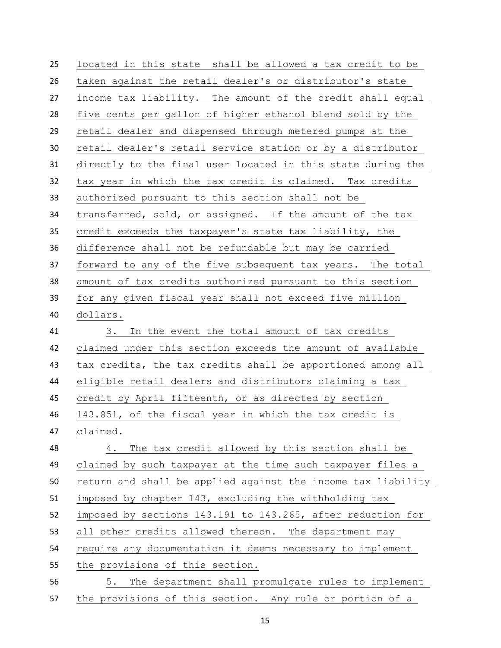located in this state shall be allowed a tax credit to be taken against the retail dealer's or distributor's state income tax liability. The amount of the credit shall equal five cents per gallon of higher ethanol blend sold by the retail dealer and dispensed through metered pumps at the retail dealer's retail service station or by a distributor directly to the final user located in this state during the tax year in which the tax credit is claimed. Tax credits authorized pursuant to this section shall not be transferred, sold, or assigned. If the amount of the tax credit exceeds the taxpayer's state tax liability, the difference shall not be refundable but may be carried forward to any of the five subsequent tax years. The total amount of tax credits authorized pursuant to this section for any given fiscal year shall not exceed five million dollars. 3. In the event the total amount of tax credits claimed under this section exceeds the amount of available tax credits, the tax credits shall be apportioned among all eligible retail dealers and distributors claiming a tax credit by April fifteenth, or as directed by section 143.851, of the fiscal year in which the tax credit is claimed. 4. The tax credit allowed by this section shall be claimed by such taxpayer at the time such taxpayer files a return and shall be applied against the income tax liability imposed by chapter 143, excluding the withholding tax imposed by sections 143.191 to 143.265, after reduction for all other credits allowed thereon. The department may require any documentation it deems necessary to implement the provisions of this section. 5. The department shall promulgate rules to implement the provisions of this section. Any rule or portion of a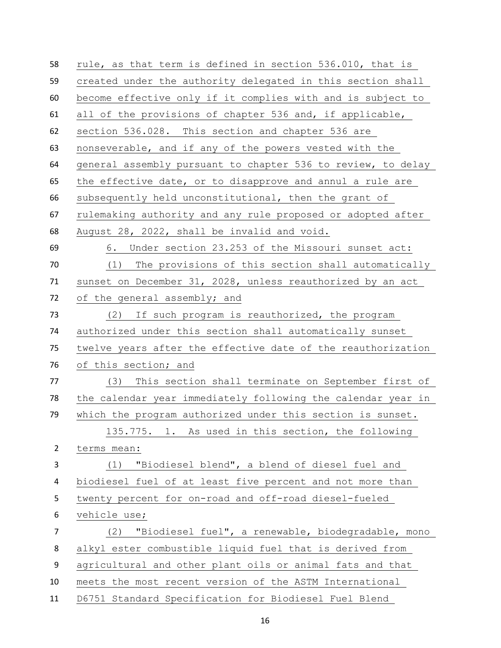| 58             | rule, as that term is defined in section 536.010, that is    |
|----------------|--------------------------------------------------------------|
| 59             | created under the authority delegated in this section shall  |
| 60             | become effective only if it complies with and is subject to  |
| 61             | all of the provisions of chapter 536 and, if applicable,     |
| 62             | section 536.028. This section and chapter 536 are            |
| 63             | nonseverable, and if any of the powers vested with the       |
| 64             | general assembly pursuant to chapter 536 to review, to delay |
| 65             | the effective date, or to disapprove and annul a rule are    |
| 66             | subsequently held unconstitutional, then the grant of        |
| 67             | rulemaking authority and any rule proposed or adopted after  |
| 68             | August 28, 2022, shall be invalid and void.                  |
| 69             | 6. Under section 23.253 of the Missouri sunset act:          |
| 70             | The provisions of this section shall automatically<br>(1)    |
| 71             | sunset on December 31, 2028, unless reauthorized by an act   |
| 72             | of the general assembly; and                                 |
| 73             | (2) If such program is reauthorized, the program             |
| 74             | authorized under this section shall automatically sunset     |
| 75             | twelve years after the effective date of the reauthorization |
| 76             | of this section; and                                         |
| 77             | (3) This section shall terminate on September first of       |
| 78             | the calendar year immediately following the calendar year in |
| 79             | which the program authorized under this section is sunset.   |
|                | 135.775. 1. As used in this section, the following           |
| $\overline{2}$ | terms mean:                                                  |
| 3              | "Biodiesel blend", a blend of diesel fuel and<br>(1)         |
| 4              | biodiesel fuel of at least five percent and not more than    |
| 5              | twenty percent for on-road and off-road diesel-fueled        |
| 6              | vehicle use;                                                 |
| 7              | "Biodiesel fuel", a renewable, biodegradable, mono<br>(2)    |
| 8              | alkyl ester combustible liquid fuel that is derived from     |
| 9              | agricultural and other plant oils or animal fats and that    |
| 10             | meets the most recent version of the ASTM International      |
| 11             | D6751 Standard Specification for Biodiesel Fuel Blend        |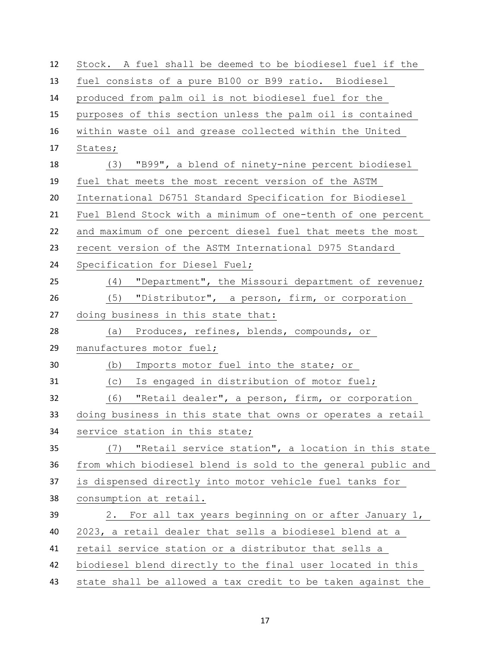| 12 | Stock. A fuel shall be deemed to be biodiesel fuel if the    |
|----|--------------------------------------------------------------|
| 13 | fuel consists of a pure B100 or B99 ratio. Biodiesel         |
| 14 | produced from palm oil is not biodiesel fuel for the         |
| 15 | purposes of this section unless the palm oil is contained    |
| 16 | within waste oil and grease collected within the United      |
| 17 | States;                                                      |
| 18 | (3) "B99", a blend of ninety-nine percent biodiesel          |
| 19 | fuel that meets the most recent version of the ASTM          |
| 20 | International D6751 Standard Specification for Biodiesel     |
| 21 | Fuel Blend Stock with a minimum of one-tenth of one percent  |
| 22 | and maximum of one percent diesel fuel that meets the most   |
| 23 | recent version of the ASTM International D975 Standard       |
| 24 | Specification for Diesel Fuel;                               |
| 25 | (4) "Department", the Missouri department of revenue;        |
| 26 | (5) "Distributor", a person, firm, or corporation            |
| 27 | doing business in this state that:                           |
| 28 | (a) Produces, refines, blends, compounds, or                 |
| 29 | manufactures motor fuel;                                     |
| 30 | Imports motor fuel into the state; or<br>(b)                 |
| 31 | (C)<br>Is engaged in distribution of motor fuel;             |
| 32 | (6) "Retail dealer", a person, firm, or corporation          |
| 33 | doing business in this state that owns or operates a retail  |
| 34 | service station in this state;                               |
| 35 | (7) "Retail service station", a location in this state       |
| 36 | from which biodiesel blend is sold to the general public and |
| 37 | is dispensed directly into motor vehicle fuel tanks for      |
| 38 | consumption at retail.                                       |
| 39 | 2. For all tax years beginning on or after January 1,        |
| 40 | 2023, a retail dealer that sells a biodiesel blend at a      |
| 41 | retail service station or a distributor that sells a         |
| 42 | biodiesel blend directly to the final user located in this   |
| 43 | state shall be allowed a tax credit to be taken against the  |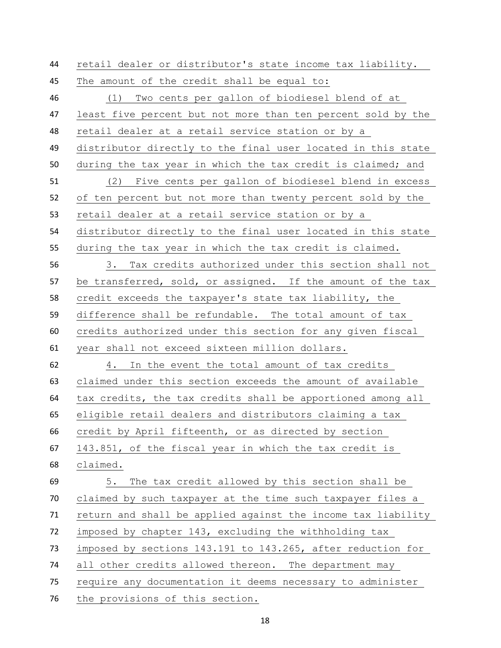retail dealer or distributor's state income tax liability. The amount of the credit shall be equal to: (1) Two cents per gallon of biodiesel blend of at least five percent but not more than ten percent sold by the retail dealer at a retail service station or by a distributor directly to the final user located in this state during the tax year in which the tax credit is claimed; and (2) Five cents per gallon of biodiesel blend in excess of ten percent but not more than twenty percent sold by the retail dealer at a retail service station or by a distributor directly to the final user located in this state during the tax year in which the tax credit is claimed. 3. Tax credits authorized under this section shall not be transferred, sold, or assigned. If the amount of the tax credit exceeds the taxpayer's state tax liability, the difference shall be refundable. The total amount of tax credits authorized under this section for any given fiscal year shall not exceed sixteen million dollars. 4. In the event the total amount of tax credits claimed under this section exceeds the amount of available tax credits, the tax credits shall be apportioned among all eligible retail dealers and distributors claiming a tax credit by April fifteenth, or as directed by section 143.851, of the fiscal year in which the tax credit is claimed. 5. The tax credit allowed by this section shall be claimed by such taxpayer at the time such taxpayer files a return and shall be applied against the income tax liability imposed by chapter 143, excluding the withholding tax imposed by sections 143.191 to 143.265, after reduction for all other credits allowed thereon. The department may require any documentation it deems necessary to administer the provisions of this section.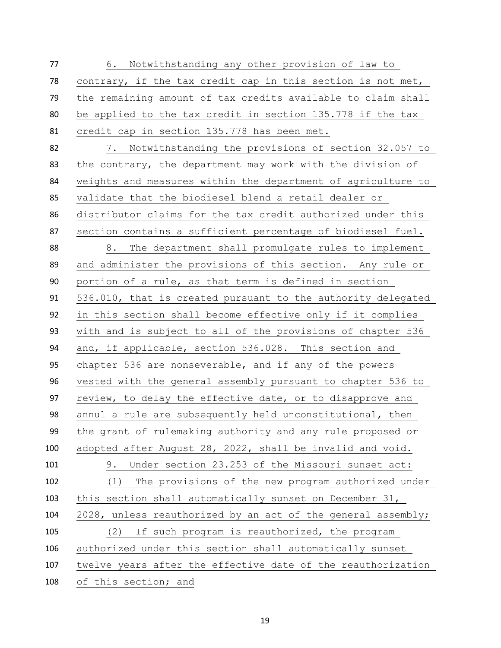| 77  | 6. Notwithstanding any other provision of law to             |
|-----|--------------------------------------------------------------|
| 78  | contrary, if the tax credit cap in this section is not met,  |
| 79  | the remaining amount of tax credits available to claim shall |
| 80  | be applied to the tax credit in section 135.778 if the tax   |
| 81  | credit cap in section 135.778 has been met.                  |
| 82  | 7. Notwithstanding the provisions of section 32.057 to       |
| 83  | the contrary, the department may work with the division of   |
| 84  | weights and measures within the department of agriculture to |
| 85  | validate that the biodiesel blend a retail dealer or         |
| 86  | distributor claims for the tax credit authorized under this  |
| 87  | section contains a sufficient percentage of biodiesel fuel.  |
| 88  | 8. The department shall promulgate rules to implement        |
| 89  | and administer the provisions of this section. Any rule or   |
| 90  | portion of a rule, as that term is defined in section        |
| 91  | 536.010, that is created pursuant to the authority delegated |
| 92  | in this section shall become effective only if it complies   |
| 93  | with and is subject to all of the provisions of chapter 536  |
| 94  | and, if applicable, section 536.028. This section and        |
| 95  | chapter 536 are nonseverable, and if any of the powers       |
| 96  | vested with the general assembly pursuant to chapter 536 to  |
| 97  | review, to delay the effective date, or to disapprove and    |
| 98  | annul a rule are subsequently held unconstitutional, then    |
| 99  | the grant of rulemaking authority and any rule proposed or   |
| 100 | adopted after August 28, 2022, shall be invalid and void.    |
| 101 | Under section 23.253 of the Missouri sunset act:<br>9.       |
| 102 | (1) The provisions of the new program authorized under       |
| 103 | this section shall automatically sunset on December 31,      |
| 104 | 2028, unless reauthorized by an act of the general assembly; |
| 105 | If such program is reauthorized, the program<br>(2)          |
| 106 | authorized under this section shall automatically sunset     |
| 107 | twelve years after the effective date of the reauthorization |
| 108 | of this section; and                                         |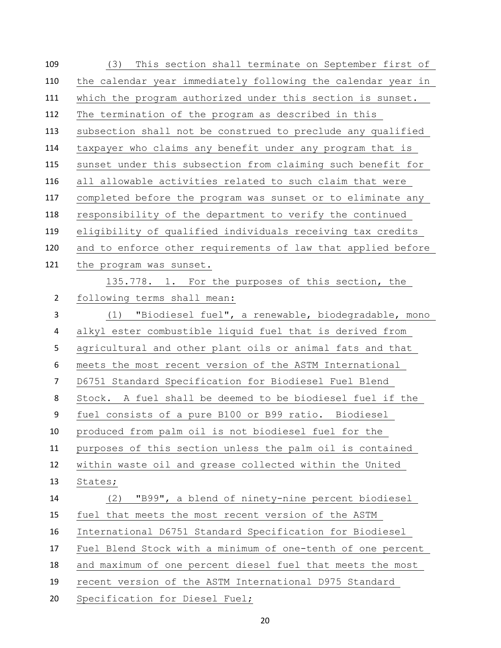| 109            | (3) This section shall terminate on September first of       |
|----------------|--------------------------------------------------------------|
| 110            | the calendar year immediately following the calendar year in |
| 111            | which the program authorized under this section is sunset.   |
| 112            | The termination of the program as described in this          |
| 113            | subsection shall not be construed to preclude any qualified  |
| 114            | taxpayer who claims any benefit under any program that is    |
| 115            | sunset under this subsection from claiming such benefit for  |
| 116            | all allowable activities related to such claim that were     |
| 117            | completed before the program was sunset or to eliminate any  |
| 118            | responsibility of the department to verify the continued     |
| 119            | eligibility of qualified individuals receiving tax credits   |
| 120            | and to enforce other requirements of law that applied before |
| 121            | the program was sunset.                                      |
|                | 135.778. 1. For the purposes of this section, the            |
| $\overline{2}$ | following terms shall mean:                                  |
| 3              | (1) "Biodiesel fuel", a renewable, biodegradable, mono       |
| 4              | alkyl ester combustible liquid fuel that is derived from     |
| 5              | agricultural and other plant oils or animal fats and that    |
| 6              | meets the most recent version of the ASTM International      |
| $\overline{7}$ | D6751 Standard Specification for Biodiesel Fuel Blend        |
| 8              | Stock. A fuel shall be deemed to be biodiesel fuel if the    |
| 9              | fuel consists of a pure B100 or B99 ratio. Biodiesel         |
| 10             | produced from palm oil is not biodiesel fuel for the         |
| 11             | purposes of this section unless the palm oil is contained    |
| 12             | within waste oil and grease collected within the United      |
| 13             | States;                                                      |
| 14             | "B99", a blend of ninety-nine percent biodiesel<br>(2)       |
| 15             | fuel that meets the most recent version of the ASTM          |
| 16             | International D6751 Standard Specification for Biodiesel     |
| 17             | Fuel Blend Stock with a minimum of one-tenth of one percent  |
| 18             | and maximum of one percent diesel fuel that meets the most   |
| 19             | recent version of the ASTM International D975 Standard       |
| 20             | Specification for Diesel Fuel;                               |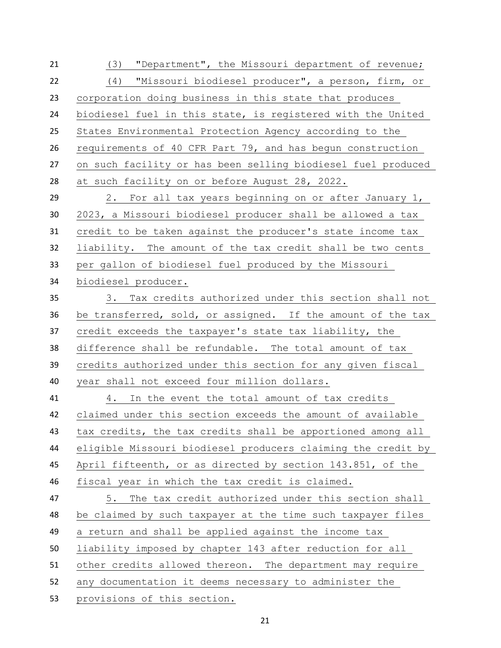(3) "Department", the Missouri department of revenue; (4) "Missouri biodiesel producer", a person, firm, or corporation doing business in this state that produces biodiesel fuel in this state, is registered with the United States Environmental Protection Agency according to the requirements of 40 CFR Part 79, and has begun construction on such facility or has been selling biodiesel fuel produced at such facility on or before August 28, 2022. 2. For all tax years beginning on or after January 1, 2023, a Missouri biodiesel producer shall be allowed a tax credit to be taken against the producer's state income tax liability. The amount of the tax credit shall be two cents per gallon of biodiesel fuel produced by the Missouri biodiesel producer. 3. Tax credits authorized under this section shall not be transferred, sold, or assigned. If the amount of the tax credit exceeds the taxpayer's state tax liability, the difference shall be refundable. The total amount of tax credits authorized under this section for any given fiscal year shall not exceed four million dollars. 4. In the event the total amount of tax credits claimed under this section exceeds the amount of available tax credits, the tax credits shall be apportioned among all eligible Missouri biodiesel producers claiming the credit by April fifteenth, or as directed by section 143.851, of the fiscal year in which the tax credit is claimed. 5. The tax credit authorized under this section shall be claimed by such taxpayer at the time such taxpayer files a return and shall be applied against the income tax liability imposed by chapter 143 after reduction for all other credits allowed thereon. The department may require any documentation it deems necessary to administer the provisions of this section.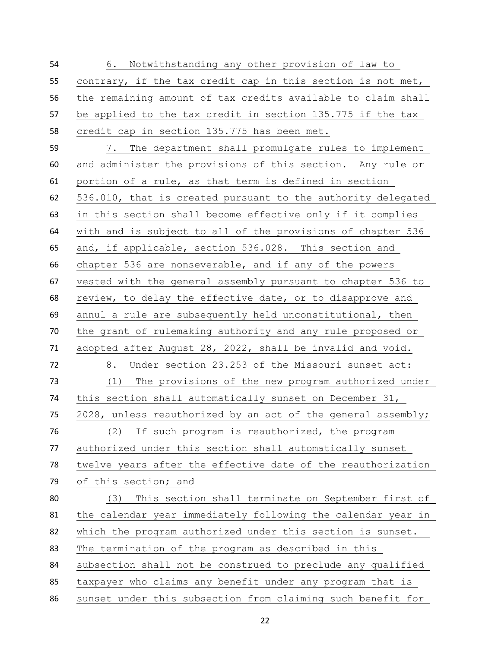| 54 | 6. Notwithstanding any other provision of law to             |
|----|--------------------------------------------------------------|
| 55 | contrary, if the tax credit cap in this section is not met,  |
| 56 | the remaining amount of tax credits available to claim shall |
| 57 | be applied to the tax credit in section 135.775 if the tax   |
| 58 | credit cap in section 135.775 has been met.                  |
| 59 | The department shall promulgate rules to implement<br>7.     |
| 60 | and administer the provisions of this section. Any rule or   |
| 61 | portion of a rule, as that term is defined in section        |
| 62 | 536.010, that is created pursuant to the authority delegated |
| 63 | in this section shall become effective only if it complies   |
| 64 | with and is subject to all of the provisions of chapter 536  |
| 65 | and, if applicable, section 536.028. This section and        |
| 66 | chapter 536 are nonseverable, and if any of the powers       |
| 67 | vested with the general assembly pursuant to chapter 536 to  |
| 68 | review, to delay the effective date, or to disapprove and    |
| 69 | annul a rule are subsequently held unconstitutional, then    |
| 70 | the grant of rulemaking authority and any rule proposed or   |
| 71 | adopted after August 28, 2022, shall be invalid and void.    |
| 72 | 8. Under section 23.253 of the Missouri sunset act:          |
| 73 | The provisions of the new program authorized under<br>(1)    |
| 74 | this section shall automatically sunset on December 31,      |
| 75 | 2028, unless reauthorized by an act of the general assembly; |
| 76 | If such program is reauthorized, the program<br>(2)          |
| 77 | authorized under this section shall automatically sunset     |
| 78 | twelve years after the effective date of the reauthorization |
| 79 | of this section; and                                         |
| 80 | This section shall terminate on September first of<br>(3)    |
| 81 | the calendar year immediately following the calendar year in |
| 82 | which the program authorized under this section is sunset.   |
| 83 | The termination of the program as described in this          |
| 84 | subsection shall not be construed to preclude any qualified  |
| 85 | taxpayer who claims any benefit under any program that is    |
| 86 | sunset under this subsection from claiming such benefit for  |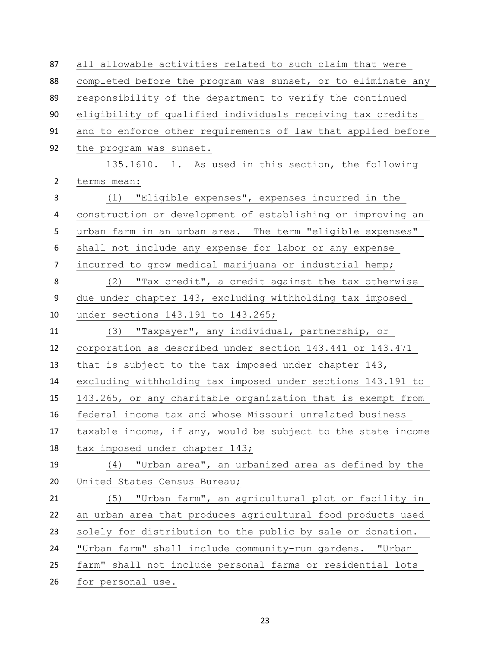| 87             | all allowable activities related to such claim that were     |
|----------------|--------------------------------------------------------------|
| 88             | completed before the program was sunset, or to eliminate any |
| 89             | responsibility of the department to verify the continued     |
| 90             | eligibility of qualified individuals receiving tax credits   |
| 91             | and to enforce other requirements of law that applied before |
| 92             | the program was sunset.                                      |
|                | 135.1610. 1. As used in this section, the following          |
| $\overline{2}$ | terms mean:                                                  |
| 3              | (1) "Eligible expenses", expenses incurred in the            |
| 4              | construction or development of establishing or improving an  |
| 5              | urban farm in an urban area. The term "eligible expenses"    |
| 6              | shall not include any expense for labor or any expense       |
| $\overline{7}$ | incurred to grow medical marijuana or industrial hemp;       |
| $\bf 8$        | (2) "Tax credit", a credit against the tax otherwise         |
| 9              | due under chapter 143, excluding withholding tax imposed     |
| 10             | under sections 143.191 to 143.265;                           |
| 11             | (3) "Taxpayer", any individual, partnership, or              |
| 12             | corporation as described under section 143.441 or 143.471    |
| 13             | that is subject to the tax imposed under chapter 143,        |
| 14             | excluding withholding tax imposed under sections 143.191 to  |
| 15             | 143.265, or any charitable organization that is exempt from  |
| 16             | federal income tax and whose Missouri unrelated business     |
| 17             | taxable income, if any, would be subject to the state income |
| 18             | tax imposed under chapter 143;                               |
| 19             |                                                              |
| 20             | "Urban area", an urbanized area as defined by the<br>(4)     |
|                | United States Census Bureau;                                 |
| 21             | "Urban farm", an agricultural plot or facility in<br>(5)     |
| 22             | an urban area that produces agricultural food products used  |
| 23             | solely for distribution to the public by sale or donation.   |
| 24             | "Urban farm" shall include community-run gardens. "Urban     |
| 25             | farm" shall not include personal farms or residential lots   |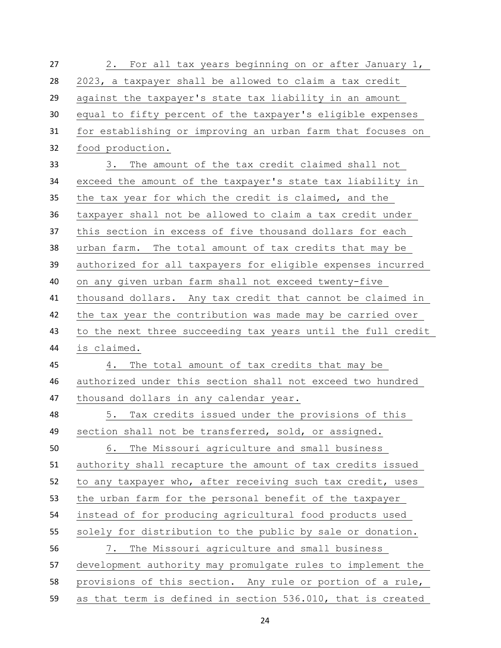| 27 | 2. For all tax years beginning on or after January 1,        |
|----|--------------------------------------------------------------|
| 28 | 2023, a taxpayer shall be allowed to claim a tax credit      |
| 29 | against the taxpayer's state tax liability in an amount      |
| 30 | equal to fifty percent of the taxpayer's eligible expenses   |
| 31 | for establishing or improving an urban farm that focuses on  |
| 32 | food production.                                             |
| 33 | The amount of the tax credit claimed shall not<br>3.         |
| 34 | exceed the amount of the taxpayer's state tax liability in   |
| 35 | the tax year for which the credit is claimed, and the        |
| 36 | taxpayer shall not be allowed to claim a tax credit under    |
| 37 | this section in excess of five thousand dollars for each     |
| 38 | urban farm. The total amount of tax credits that may be      |
| 39 | authorized for all taxpayers for eligible expenses incurred  |
| 40 | on any given urban farm shall not exceed twenty-five         |
| 41 | thousand dollars. Any tax credit that cannot be claimed in   |
| 42 | the tax year the contribution was made may be carried over   |
| 43 | to the next three succeeding tax years until the full credit |
| 44 | is claimed.                                                  |
| 45 | The total amount of tax credits that may be<br>4.            |
| 46 | authorized under this section shall not exceed two hundred   |
| 47 | thousand dollars in any calendar year.                       |
| 48 | 5. Tax credits issued under the provisions of this           |
| 49 | section shall not be transferred, sold, or assigned.         |
| 50 | The Missouri agriculture and small business<br>6.            |
| 51 | authority shall recapture the amount of tax credits issued   |
| 52 | to any taxpayer who, after receiving such tax credit, uses   |
| 53 | the urban farm for the personal benefit of the taxpayer      |
| 54 | instead of for producing agricultural food products used     |
| 55 | solely for distribution to the public by sale or donation.   |
| 56 | The Missouri agriculture and small business<br>7.            |
| 57 | development authority may promulgate rules to implement the  |
| 58 | provisions of this section. Any rule or portion of a rule,   |
| 59 | as that term is defined in section 536.010, that is created  |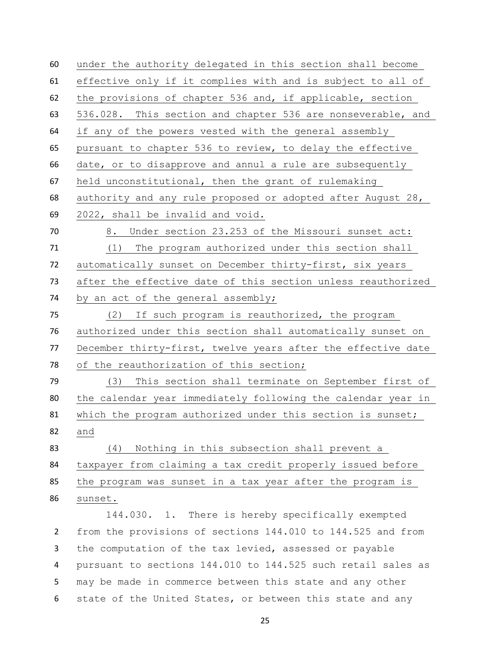under the authority delegated in this section shall become effective only if it complies with and is subject to all of the provisions of chapter 536 and, if applicable, section 536.028. This section and chapter 536 are nonseverable, and if any of the powers vested with the general assembly pursuant to chapter 536 to review, to delay the effective date, or to disapprove and annul a rule are subsequently held unconstitutional, then the grant of rulemaking authority and any rule proposed or adopted after August 28, 2022, shall be invalid and void. 8. Under section 23.253 of the Missouri sunset act: (1) The program authorized under this section shall automatically sunset on December thirty-first, six years after the effective date of this section unless reauthorized 74 by an act of the general assembly; (2) If such program is reauthorized, the program authorized under this section shall automatically sunset on December thirty-first, twelve years after the effective date 78 of the reauthorization of this section; (3) This section shall terminate on September first of the calendar year immediately following the calendar year in 81 which the program authorized under this section is sunset; and (4) Nothing in this subsection shall prevent a taxpayer from claiming a tax credit properly issued before the program was sunset in a tax year after the program is sunset. 144.030. 1. There is hereby specifically exempted from the provisions of sections 144.010 to 144.525 and from the computation of the tax levied, assessed or payable pursuant to sections 144.010 to 144.525 such retail sales as may be made in commerce between this state and any other state of the United States, or between this state and any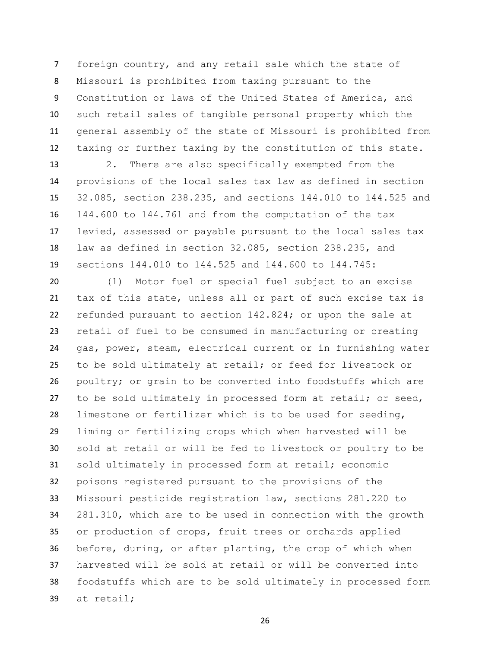foreign country, and any retail sale which the state of Missouri is prohibited from taxing pursuant to the Constitution or laws of the United States of America, and such retail sales of tangible personal property which the general assembly of the state of Missouri is prohibited from taxing or further taxing by the constitution of this state.

 2. There are also specifically exempted from the provisions of the local sales tax law as defined in section 32.085, section 238.235, and sections 144.010 to 144.525 and 144.600 to 144.761 and from the computation of the tax levied, assessed or payable pursuant to the local sales tax law as defined in section 32.085, section 238.235, and sections 144.010 to 144.525 and 144.600 to 144.745:

 (1) Motor fuel or special fuel subject to an excise tax of this state, unless all or part of such excise tax is refunded pursuant to section 142.824; or upon the sale at retail of fuel to be consumed in manufacturing or creating gas, power, steam, electrical current or in furnishing water to be sold ultimately at retail; or feed for livestock or poultry; or grain to be converted into foodstuffs which are to be sold ultimately in processed form at retail; or seed, limestone or fertilizer which is to be used for seeding, liming or fertilizing crops which when harvested will be sold at retail or will be fed to livestock or poultry to be sold ultimately in processed form at retail; economic poisons registered pursuant to the provisions of the Missouri pesticide registration law, sections 281.220 to 281.310, which are to be used in connection with the growth or production of crops, fruit trees or orchards applied before, during, or after planting, the crop of which when harvested will be sold at retail or will be converted into foodstuffs which are to be sold ultimately in processed form at retail;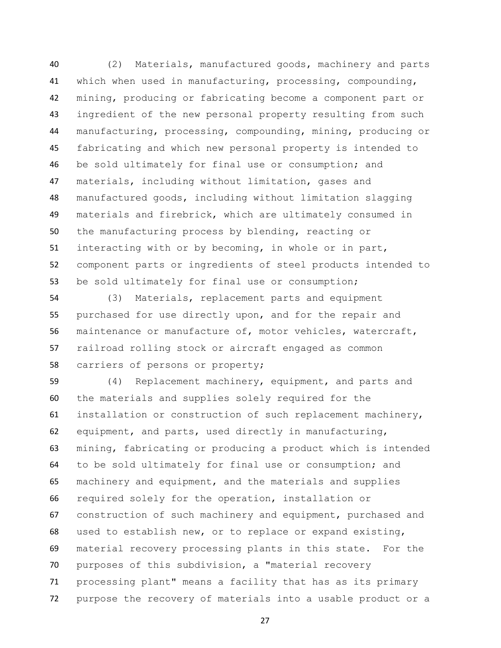(2) Materials, manufactured goods, machinery and parts which when used in manufacturing, processing, compounding, mining, producing or fabricating become a component part or ingredient of the new personal property resulting from such manufacturing, processing, compounding, mining, producing or fabricating and which new personal property is intended to be sold ultimately for final use or consumption; and materials, including without limitation, gases and manufactured goods, including without limitation slagging materials and firebrick, which are ultimately consumed in the manufacturing process by blending, reacting or interacting with or by becoming, in whole or in part, component parts or ingredients of steel products intended to be sold ultimately for final use or consumption;

 (3) Materials, replacement parts and equipment purchased for use directly upon, and for the repair and maintenance or manufacture of, motor vehicles, watercraft, railroad rolling stock or aircraft engaged as common carriers of persons or property;

 (4) Replacement machinery, equipment, and parts and the materials and supplies solely required for the installation or construction of such replacement machinery, equipment, and parts, used directly in manufacturing, mining, fabricating or producing a product which is intended to be sold ultimately for final use or consumption; and machinery and equipment, and the materials and supplies required solely for the operation, installation or construction of such machinery and equipment, purchased and used to establish new, or to replace or expand existing, material recovery processing plants in this state. For the purposes of this subdivision, a "material recovery processing plant" means a facility that has as its primary purpose the recovery of materials into a usable product or a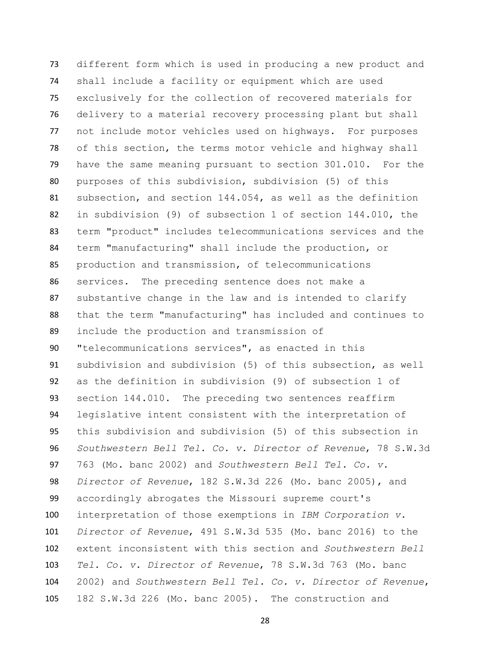different form which is used in producing a new product and shall include a facility or equipment which are used exclusively for the collection of recovered materials for delivery to a material recovery processing plant but shall not include motor vehicles used on highways. For purposes of this section, the terms motor vehicle and highway shall have the same meaning pursuant to section 301.010. For the purposes of this subdivision, subdivision (5) of this subsection, and section 144.054, as well as the definition in subdivision (9) of subsection 1 of section 144.010, the term "product" includes telecommunications services and the term "manufacturing" shall include the production, or production and transmission, of telecommunications services. The preceding sentence does not make a substantive change in the law and is intended to clarify that the term "manufacturing" has included and continues to include the production and transmission of "telecommunications services", as enacted in this subdivision and subdivision (5) of this subsection, as well as the definition in subdivision (9) of subsection 1 of section 144.010. The preceding two sentences reaffirm legislative intent consistent with the interpretation of this subdivision and subdivision (5) of this subsection in *Southwestern Bell Tel. Co. v. Director of Revenue*, 78 S.W.3d 763 (Mo. banc 2002) and *Southwestern Bell Tel. Co. v. Director of Revenue*, 182 S.W.3d 226 (Mo. banc 2005), and accordingly abrogates the Missouri supreme court's interpretation of those exemptions in *IBM Corporation v. Director of Revenue*, 491 S.W.3d 535 (Mo. banc 2016) to the extent inconsistent with this section and *Southwestern Bell Tel. Co. v. Director of Revenue*, 78 S.W.3d 763 (Mo. banc 2002) and *Southwestern Bell Tel. Co. v. Director of Revenue*, 182 S.W.3d 226 (Mo. banc 2005). The construction and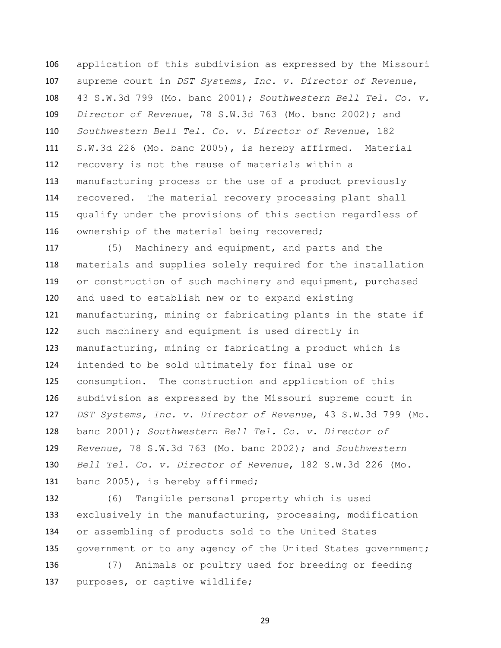application of this subdivision as expressed by the Missouri supreme court in *DST Systems, Inc. v. Director of Revenue*, 43 S.W.3d 799 (Mo. banc 2001); *Southwestern Bell Tel. Co. v. Director of Revenue*, 78 S.W.3d 763 (Mo. banc 2002); and *Southwestern Bell Tel. Co. v. Director of Revenue*, 182 S.W.3d 226 (Mo. banc 2005), is hereby affirmed. Material recovery is not the reuse of materials within a manufacturing process or the use of a product previously recovered. The material recovery processing plant shall qualify under the provisions of this section regardless of ownership of the material being recovered;

 (5) Machinery and equipment, and parts and the materials and supplies solely required for the installation or construction of such machinery and equipment, purchased and used to establish new or to expand existing manufacturing, mining or fabricating plants in the state if such machinery and equipment is used directly in manufacturing, mining or fabricating a product which is intended to be sold ultimately for final use or consumption. The construction and application of this subdivision as expressed by the Missouri supreme court in *DST Systems, Inc. v. Director of Revenue*, 43 S.W.3d 799 (Mo. banc 2001); *Southwestern Bell Tel. Co. v. Director of Revenue*, 78 S.W.3d 763 (Mo. banc 2002); and *Southwestern Bell Tel. Co. v. Director of Revenue*, 182 S.W.3d 226 (Mo. banc 2005), is hereby affirmed;

 (6) Tangible personal property which is used exclusively in the manufacturing, processing, modification or assembling of products sold to the United States 135 government or to any agency of the United States government; (7) Animals or poultry used for breeding or feeding purposes, or captive wildlife;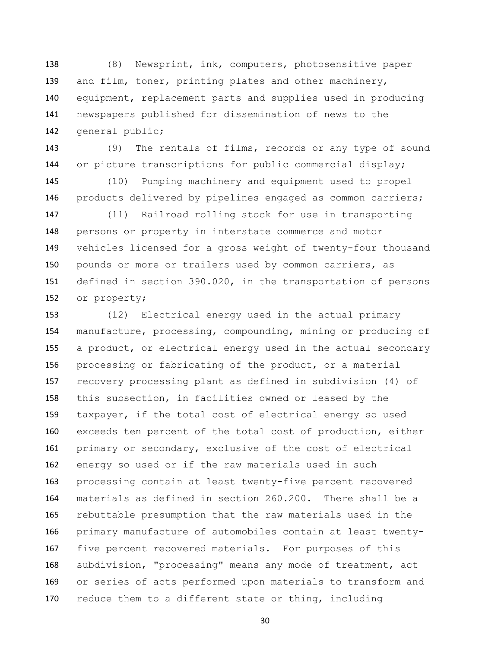(8) Newsprint, ink, computers, photosensitive paper and film, toner, printing plates and other machinery, equipment, replacement parts and supplies used in producing newspapers published for dissemination of news to the general public;

 (9) The rentals of films, records or any type of sound or picture transcriptions for public commercial display;

 (10) Pumping machinery and equipment used to propel products delivered by pipelines engaged as common carriers;

 (11) Railroad rolling stock for use in transporting persons or property in interstate commerce and motor vehicles licensed for a gross weight of twenty-four thousand pounds or more or trailers used by common carriers, as defined in section 390.020, in the transportation of persons or property;

 (12) Electrical energy used in the actual primary manufacture, processing, compounding, mining or producing of a product, or electrical energy used in the actual secondary processing or fabricating of the product, or a material recovery processing plant as defined in subdivision (4) of this subsection, in facilities owned or leased by the taxpayer, if the total cost of electrical energy so used exceeds ten percent of the total cost of production, either primary or secondary, exclusive of the cost of electrical energy so used or if the raw materials used in such processing contain at least twenty-five percent recovered materials as defined in section 260.200. There shall be a rebuttable presumption that the raw materials used in the primary manufacture of automobiles contain at least twenty- five percent recovered materials. For purposes of this subdivision, "processing" means any mode of treatment, act or series of acts performed upon materials to transform and reduce them to a different state or thing, including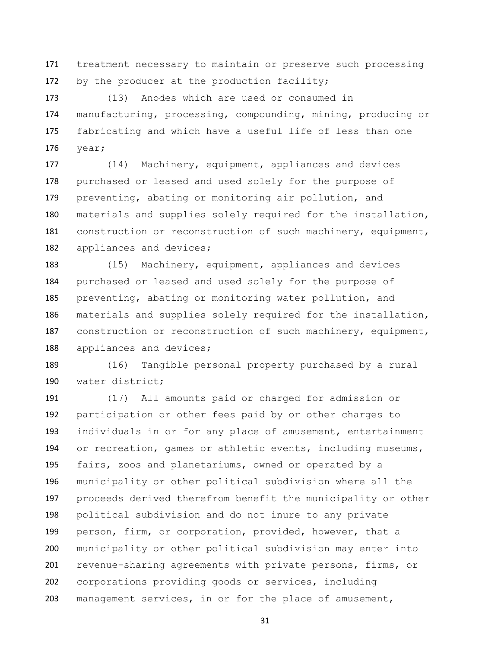treatment necessary to maintain or preserve such processing 172 by the producer at the production facility;

 (13) Anodes which are used or consumed in manufacturing, processing, compounding, mining, producing or fabricating and which have a useful life of less than one year;

 (14) Machinery, equipment, appliances and devices purchased or leased and used solely for the purpose of preventing, abating or monitoring air pollution, and materials and supplies solely required for the installation, 181 construction or reconstruction of such machinery, equipment, 182 appliances and devices;

 (15) Machinery, equipment, appliances and devices purchased or leased and used solely for the purpose of preventing, abating or monitoring water pollution, and materials and supplies solely required for the installation, 187 construction or reconstruction of such machinery, equipment, appliances and devices;

 (16) Tangible personal property purchased by a rural water district;

 (17) All amounts paid or charged for admission or participation or other fees paid by or other charges to individuals in or for any place of amusement, entertainment or recreation, games or athletic events, including museums, fairs, zoos and planetariums, owned or operated by a municipality or other political subdivision where all the proceeds derived therefrom benefit the municipality or other political subdivision and do not inure to any private person, firm, or corporation, provided, however, that a municipality or other political subdivision may enter into 201 revenue-sharing agreements with private persons, firms, or corporations providing goods or services, including management services, in or for the place of amusement,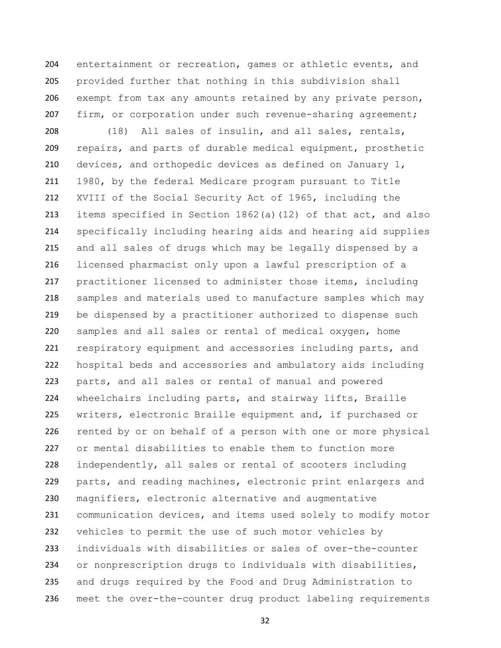entertainment or recreation, games or athletic events, and provided further that nothing in this subdivision shall exempt from tax any amounts retained by any private person, 207 firm, or corporation under such revenue-sharing agreement;

 (18) All sales of insulin, and all sales, rentals, repairs, and parts of durable medical equipment, prosthetic devices, and orthopedic devices as defined on January 1, 1980, by the federal Medicare program pursuant to Title XVIII of the Social Security Act of 1965, including the items specified in Section 1862(a)(12) of that act, and also specifically including hearing aids and hearing aid supplies and all sales of drugs which may be legally dispensed by a licensed pharmacist only upon a lawful prescription of a practitioner licensed to administer those items, including samples and materials used to manufacture samples which may be dispensed by a practitioner authorized to dispense such samples and all sales or rental of medical oxygen, home 221 respiratory equipment and accessories including parts, and hospital beds and accessories and ambulatory aids including parts, and all sales or rental of manual and powered wheelchairs including parts, and stairway lifts, Braille writers, electronic Braille equipment and, if purchased or rented by or on behalf of a person with one or more physical or mental disabilities to enable them to function more independently, all sales or rental of scooters including parts, and reading machines, electronic print enlargers and magnifiers, electronic alternative and augmentative communication devices, and items used solely to modify motor vehicles to permit the use of such motor vehicles by individuals with disabilities or sales of over-the-counter or nonprescription drugs to individuals with disabilities, and drugs required by the Food and Drug Administration to meet the over-the-counter drug product labeling requirements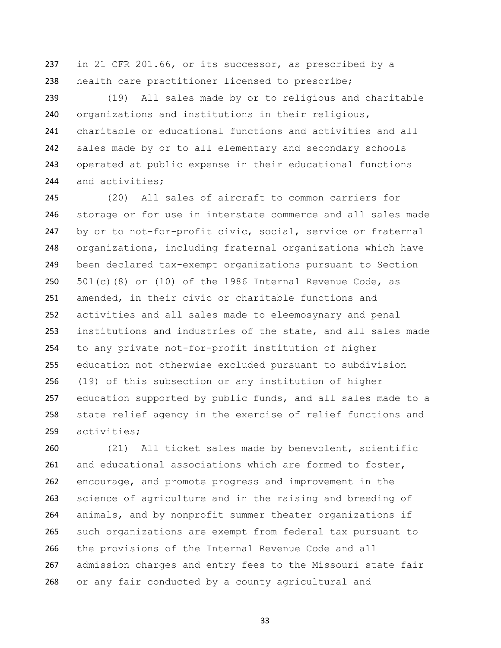in 21 CFR 201.66, or its successor, as prescribed by a health care practitioner licensed to prescribe;

 (19) All sales made by or to religious and charitable organizations and institutions in their religious, charitable or educational functions and activities and all sales made by or to all elementary and secondary schools operated at public expense in their educational functions 244 and activities;

 (20) All sales of aircraft to common carriers for storage or for use in interstate commerce and all sales made by or to not-for-profit civic, social, service or fraternal organizations, including fraternal organizations which have been declared tax-exempt organizations pursuant to Section  $501(c)(8)$  or (10) of the 1986 Internal Revenue Code, as amended, in their civic or charitable functions and activities and all sales made to eleemosynary and penal institutions and industries of the state, and all sales made to any private not-for-profit institution of higher education not otherwise excluded pursuant to subdivision (19) of this subsection or any institution of higher education supported by public funds, and all sales made to a state relief agency in the exercise of relief functions and activities;

 (21) All ticket sales made by benevolent, scientific and educational associations which are formed to foster, encourage, and promote progress and improvement in the science of agriculture and in the raising and breeding of 264 animals, and by nonprofit summer theater organizations if such organizations are exempt from federal tax pursuant to the provisions of the Internal Revenue Code and all admission charges and entry fees to the Missouri state fair or any fair conducted by a county agricultural and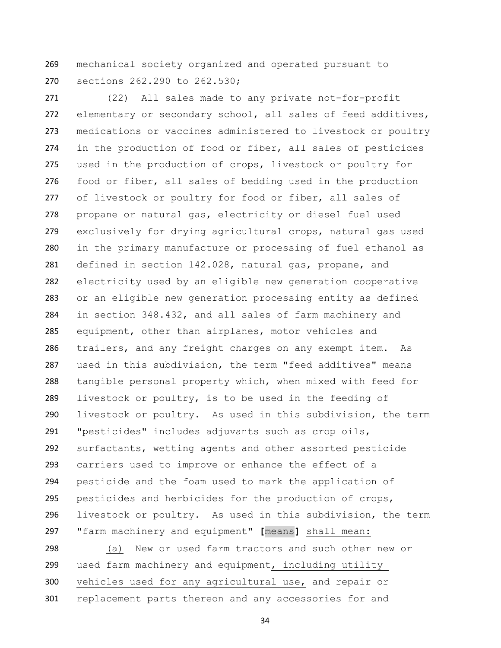mechanical society organized and operated pursuant to sections 262.290 to 262.530;

 (22) All sales made to any private not-for-profit elementary or secondary school, all sales of feed additives, medications or vaccines administered to livestock or poultry in the production of food or fiber, all sales of pesticides used in the production of crops, livestock or poultry for food or fiber, all sales of bedding used in the production 277 of livestock or poultry for food or fiber, all sales of propane or natural gas, electricity or diesel fuel used exclusively for drying agricultural crops, natural gas used in the primary manufacture or processing of fuel ethanol as defined in section 142.028, natural gas, propane, and electricity used by an eligible new generation cooperative or an eligible new generation processing entity as defined in section 348.432, and all sales of farm machinery and equipment, other than airplanes, motor vehicles and trailers, and any freight charges on any exempt item. As used in this subdivision, the term "feed additives" means tangible personal property which, when mixed with feed for livestock or poultry, is to be used in the feeding of livestock or poultry. As used in this subdivision, the term "pesticides" includes adjuvants such as crop oils, surfactants, wetting agents and other assorted pesticide carriers used to improve or enhance the effect of a pesticide and the foam used to mark the application of pesticides and herbicides for the production of crops, livestock or poultry. As used in this subdivision, the term "farm machinery and equipment" **[**means**]** shall mean:

 (a) New or used farm tractors and such other new or used farm machinery and equipment, including utility vehicles used for any agricultural use, and repair or replacement parts thereon and any accessories for and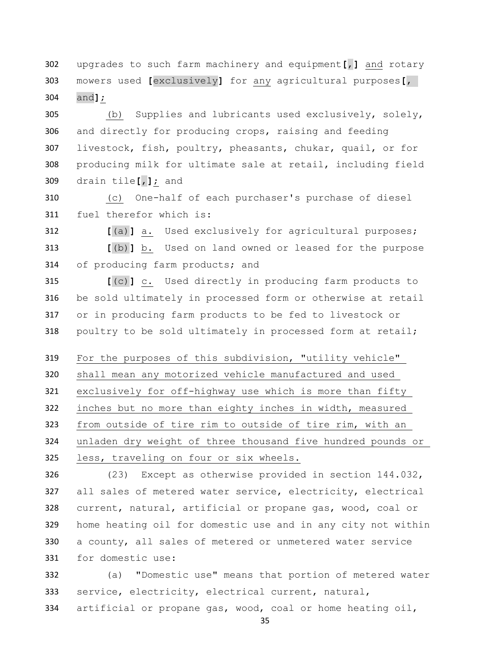upgrades to such farm machinery and equipment**[**,**]** and rotary mowers used **[**exclusively**]** for any agricultural purposes**[**, and**]**;

 (b) Supplies and lubricants used exclusively, solely, and directly for producing crops, raising and feeding livestock, fish, poultry, pheasants, chukar, quail, or for producing milk for ultimate sale at retail, including field drain tile**[**,**]**; and

 (c) One-half of each purchaser's purchase of diesel fuel therefor which is:

 **[**(a)**]** a. Used exclusively for agricultural purposes; **[**(b)**]** b. Used on land owned or leased for the purpose of producing farm products; and

 **[**(c)**]** c. Used directly in producing farm products to be sold ultimately in processed form or otherwise at retail or in producing farm products to be fed to livestock or 318 poultry to be sold ultimately in processed form at retail;

 For the purposes of this subdivision, "utility vehicle" shall mean any motorized vehicle manufactured and used exclusively for off-highway use which is more than fifty inches but no more than eighty inches in width, measured from outside of tire rim to outside of tire rim, with an unladen dry weight of three thousand five hundred pounds or less, traveling on four or six wheels.

 (23) Except as otherwise provided in section 144.032, all sales of metered water service, electricity, electrical current, natural, artificial or propane gas, wood, coal or home heating oil for domestic use and in any city not within a county, all sales of metered or unmetered water service for domestic use:

 (a) "Domestic use" means that portion of metered water service, electricity, electrical current, natural,

artificial or propane gas, wood, coal or home heating oil,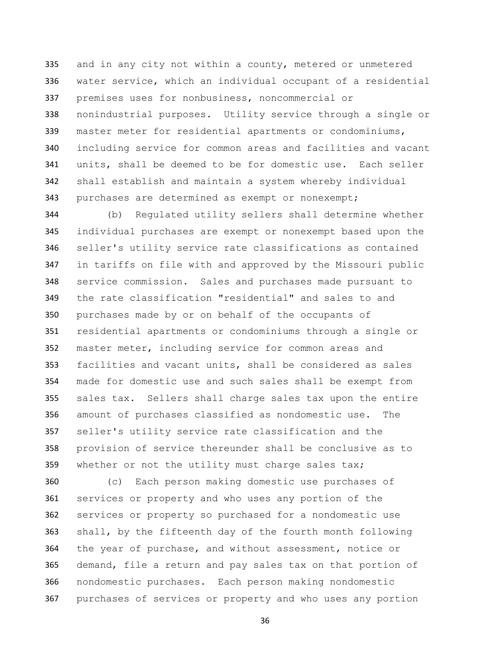and in any city not within a county, metered or unmetered water service, which an individual occupant of a residential premises uses for nonbusiness, noncommercial or nonindustrial purposes. Utility service through a single or master meter for residential apartments or condominiums, including service for common areas and facilities and vacant units, shall be deemed to be for domestic use. Each seller shall establish and maintain a system whereby individual purchases are determined as exempt or nonexempt;

 (b) Regulated utility sellers shall determine whether individual purchases are exempt or nonexempt based upon the seller's utility service rate classifications as contained in tariffs on file with and approved by the Missouri public service commission. Sales and purchases made pursuant to the rate classification "residential" and sales to and purchases made by or on behalf of the occupants of residential apartments or condominiums through a single or master meter, including service for common areas and facilities and vacant units, shall be considered as sales made for domestic use and such sales shall be exempt from sales tax. Sellers shall charge sales tax upon the entire amount of purchases classified as nondomestic use. The seller's utility service rate classification and the provision of service thereunder shall be conclusive as to 359 whether or not the utility must charge sales tax;

 (c) Each person making domestic use purchases of services or property and who uses any portion of the services or property so purchased for a nondomestic use shall, by the fifteenth day of the fourth month following the year of purchase, and without assessment, notice or demand, file a return and pay sales tax on that portion of nondomestic purchases. Each person making nondomestic purchases of services or property and who uses any portion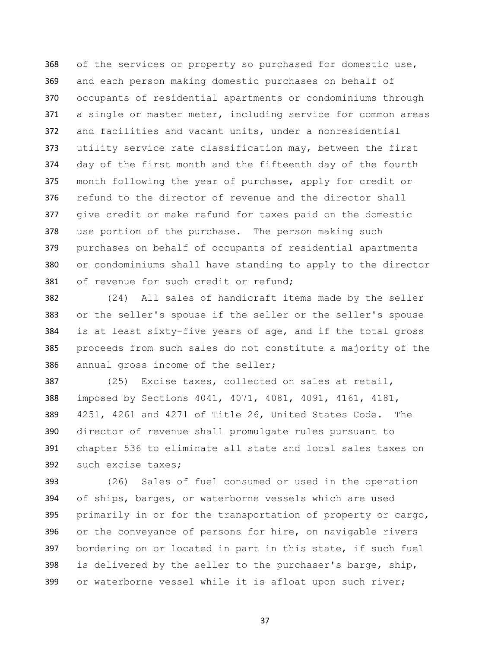of the services or property so purchased for domestic use, and each person making domestic purchases on behalf of occupants of residential apartments or condominiums through a single or master meter, including service for common areas and facilities and vacant units, under a nonresidential utility service rate classification may, between the first 374 day of the first month and the fifteenth day of the fourth month following the year of purchase, apply for credit or refund to the director of revenue and the director shall give credit or make refund for taxes paid on the domestic use portion of the purchase. The person making such purchases on behalf of occupants of residential apartments or condominiums shall have standing to apply to the director of revenue for such credit or refund;

 (24) All sales of handicraft items made by the seller or the seller's spouse if the seller or the seller's spouse is at least sixty-five years of age, and if the total gross proceeds from such sales do not constitute a majority of the annual gross income of the seller;

 (25) Excise taxes, collected on sales at retail, imposed by Sections 4041, 4071, 4081, 4091, 4161, 4181, 4251, 4261 and 4271 of Title 26, United States Code. The director of revenue shall promulgate rules pursuant to chapter 536 to eliminate all state and local sales taxes on such excise taxes;

 (26) Sales of fuel consumed or used in the operation of ships, barges, or waterborne vessels which are used primarily in or for the transportation of property or cargo, or the conveyance of persons for hire, on navigable rivers bordering on or located in part in this state, if such fuel is delivered by the seller to the purchaser's barge, ship, or waterborne vessel while it is afloat upon such river;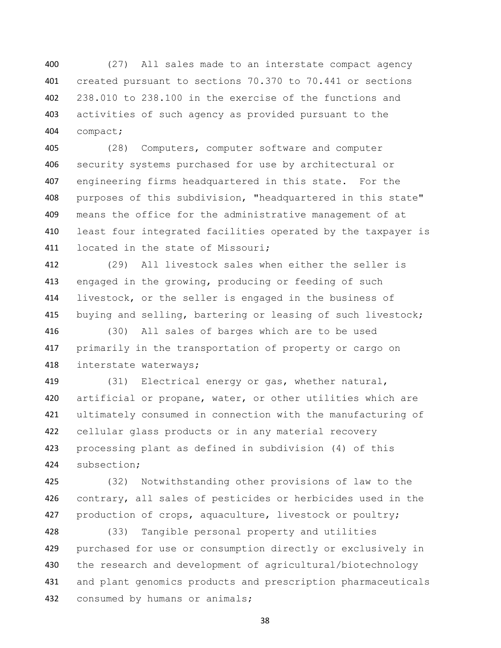(27) All sales made to an interstate compact agency created pursuant to sections 70.370 to 70.441 or sections 238.010 to 238.100 in the exercise of the functions and activities of such agency as provided pursuant to the compact;

 (28) Computers, computer software and computer security systems purchased for use by architectural or engineering firms headquartered in this state. For the purposes of this subdivision, "headquartered in this state" means the office for the administrative management of at least four integrated facilities operated by the taxpayer is 411 located in the state of Missouri;

 (29) All livestock sales when either the seller is engaged in the growing, producing or feeding of such livestock, or the seller is engaged in the business of 415 buying and selling, bartering or leasing of such livestock;

 (30) All sales of barges which are to be used primarily in the transportation of property or cargo on interstate waterways;

 (31) Electrical energy or gas, whether natural, artificial or propane, water, or other utilities which are ultimately consumed in connection with the manufacturing of cellular glass products or in any material recovery processing plant as defined in subdivision (4) of this subsection;

 (32) Notwithstanding other provisions of law to the contrary, all sales of pesticides or herbicides used in the 427 production of crops, aquaculture, livestock or poultry;

 (33) Tangible personal property and utilities purchased for use or consumption directly or exclusively in the research and development of agricultural/biotechnology and plant genomics products and prescription pharmaceuticals 432 consumed by humans or animals;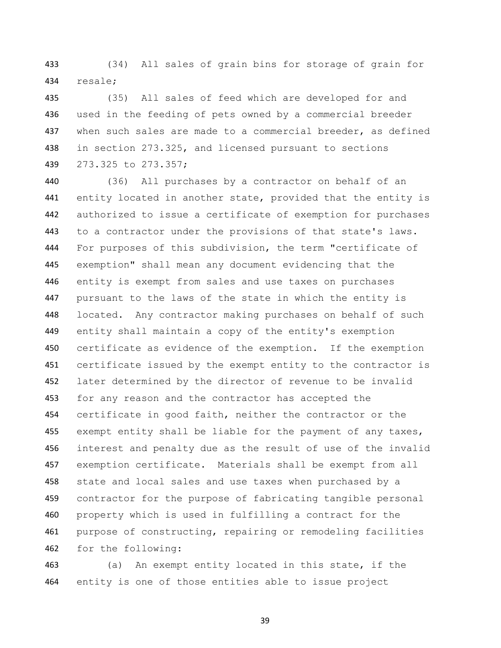(34) All sales of grain bins for storage of grain for resale;

 (35) All sales of feed which are developed for and used in the feeding of pets owned by a commercial breeder when such sales are made to a commercial breeder, as defined in section 273.325, and licensed pursuant to sections 273.325 to 273.357;

 (36) All purchases by a contractor on behalf of an entity located in another state, provided that the entity is authorized to issue a certificate of exemption for purchases to a contractor under the provisions of that state's laws. 444 For purposes of this subdivision, the term "certificate of exemption" shall mean any document evidencing that the entity is exempt from sales and use taxes on purchases pursuant to the laws of the state in which the entity is located. Any contractor making purchases on behalf of such entity shall maintain a copy of the entity's exemption 450 certificate as evidence of the exemption. If the exemption certificate issued by the exempt entity to the contractor is later determined by the director of revenue to be invalid 453 for any reason and the contractor has accepted the certificate in good faith, neither the contractor or the 455 exempt entity shall be liable for the payment of any taxes, interest and penalty due as the result of use of the invalid exemption certificate. Materials shall be exempt from all 458 state and local sales and use taxes when purchased by a contractor for the purpose of fabricating tangible personal property which is used in fulfilling a contract for the purpose of constructing, repairing or remodeling facilities for the following:

 (a) An exempt entity located in this state, if the entity is one of those entities able to issue project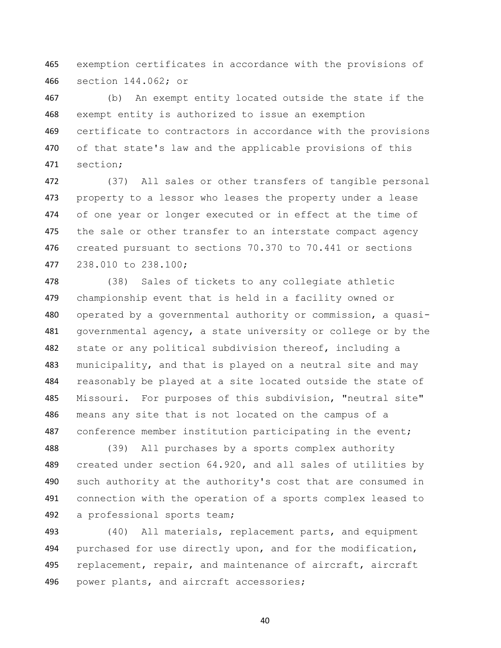exemption certificates in accordance with the provisions of section 144.062; or

 (b) An exempt entity located outside the state if the exempt entity is authorized to issue an exemption certificate to contractors in accordance with the provisions of that state's law and the applicable provisions of this section;

 (37) All sales or other transfers of tangible personal 473 property to a lessor who leases the property under a lease of one year or longer executed or in effect at the time of 475 the sale or other transfer to an interstate compact agency created pursuant to sections 70.370 to 70.441 or sections 238.010 to 238.100;

 (38) Sales of tickets to any collegiate athletic championship event that is held in a facility owned or operated by a governmental authority or commission, a quasi- governmental agency, a state university or college or by the 482 state or any political subdivision thereof, including a 483 municipality, and that is played on a neutral site and may reasonably be played at a site located outside the state of Missouri. For purposes of this subdivision, "neutral site" means any site that is not located on the campus of a 487 conference member institution participating in the event;

 (39) All purchases by a sports complex authority created under section 64.920, and all sales of utilities by such authority at the authority's cost that are consumed in connection with the operation of a sports complex leased to a professional sports team;

 (40) All materials, replacement parts, and equipment purchased for use directly upon, and for the modification, 495 replacement, repair, and maintenance of aircraft, aircraft 496 power plants, and aircraft accessories;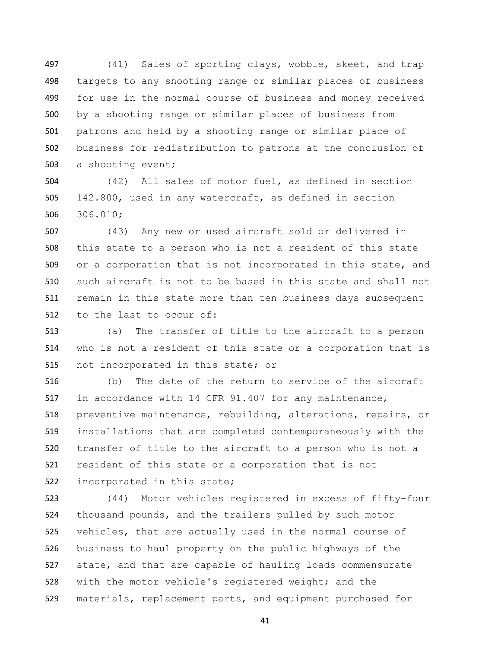(41) Sales of sporting clays, wobble, skeet, and trap targets to any shooting range or similar places of business for use in the normal course of business and money received by a shooting range or similar places of business from patrons and held by a shooting range or similar place of business for redistribution to patrons at the conclusion of a shooting event;

 (42) All sales of motor fuel, as defined in section 142.800, used in any watercraft, as defined in section 306.010;

 (43) Any new or used aircraft sold or delivered in this state to a person who is not a resident of this state or a corporation that is not incorporated in this state, and such aircraft is not to be based in this state and shall not remain in this state more than ten business days subsequent to the last to occur of:

 (a) The transfer of title to the aircraft to a person who is not a resident of this state or a corporation that is not incorporated in this state; or

 (b) The date of the return to service of the aircraft in accordance with 14 CFR 91.407 for any maintenance, preventive maintenance, rebuilding, alterations, repairs, or installations that are completed contemporaneously with the transfer of title to the aircraft to a person who is not a resident of this state or a corporation that is not incorporated in this state;

 (44) Motor vehicles registered in excess of fifty-four thousand pounds, and the trailers pulled by such motor vehicles, that are actually used in the normal course of business to haul property on the public highways of the state, and that are capable of hauling loads commensurate with the motor vehicle's registered weight; and the materials, replacement parts, and equipment purchased for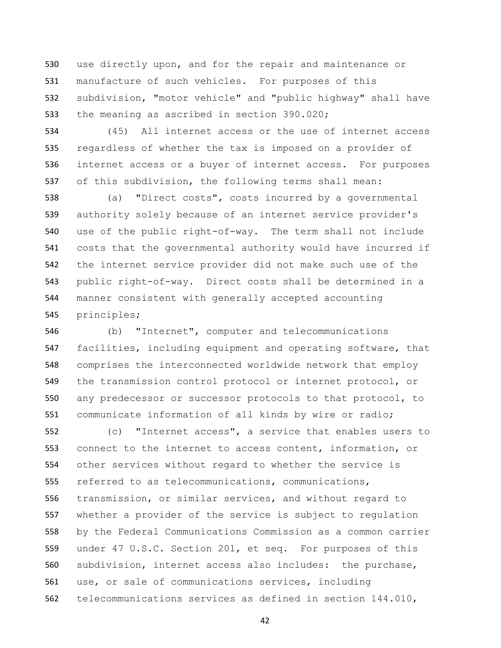530 use directly upon, and for the repair and maintenance or manufacture of such vehicles. For purposes of this subdivision, "motor vehicle" and "public highway" shall have 533 the meaning as ascribed in section 390.020;

 (45) All internet access or the use of internet access regardless of whether the tax is imposed on a provider of internet access or a buyer of internet access. For purposes of this subdivision, the following terms shall mean:

 (a) "Direct costs", costs incurred by a governmental authority solely because of an internet service provider's use of the public right-of-way. The term shall not include costs that the governmental authority would have incurred if the internet service provider did not make such use of the public right-of-way. Direct costs shall be determined in a manner consistent with generally accepted accounting principles;

 (b) "Internet", computer and telecommunications facilities, including equipment and operating software, that comprises the interconnected worldwide network that employ the transmission control protocol or internet protocol, or any predecessor or successor protocols to that protocol, to communicate information of all kinds by wire or radio;

 (c) "Internet access", a service that enables users to connect to the internet to access content, information, or other services without regard to whether the service is referred to as telecommunications, communications, transmission, or similar services, and without regard to whether a provider of the service is subject to regulation by the Federal Communications Commission as a common carrier under 47 U.S.C. Section 201, et seq. For purposes of this subdivision, internet access also includes: the purchase, use, or sale of communications services, including telecommunications services as defined in section 144.010,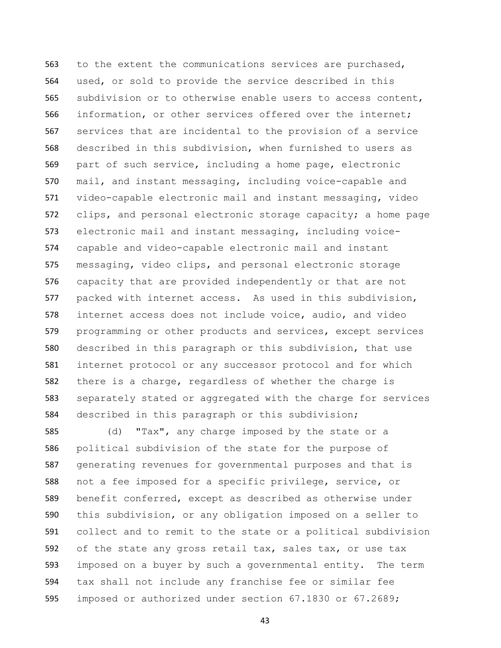to the extent the communications services are purchased, used, or sold to provide the service described in this subdivision or to otherwise enable users to access content, information, or other services offered over the internet; services that are incidental to the provision of a service described in this subdivision, when furnished to users as part of such service, including a home page, electronic mail, and instant messaging, including voice-capable and video-capable electronic mail and instant messaging, video 572 clips, and personal electronic storage capacity; a home page electronic mail and instant messaging, including voice- capable and video-capable electronic mail and instant messaging, video clips, and personal electronic storage capacity that are provided independently or that are not packed with internet access. As used in this subdivision, internet access does not include voice, audio, and video programming or other products and services, except services described in this paragraph or this subdivision, that use internet protocol or any successor protocol and for which 582 there is a charge, regardless of whether the charge is separately stated or aggregated with the charge for services described in this paragraph or this subdivision;

 (d) "Tax", any charge imposed by the state or a political subdivision of the state for the purpose of generating revenues for governmental purposes and that is not a fee imposed for a specific privilege, service, or benefit conferred, except as described as otherwise under this subdivision, or any obligation imposed on a seller to collect and to remit to the state or a political subdivision of the state any gross retail tax, sales tax, or use tax imposed on a buyer by such a governmental entity. The term tax shall not include any franchise fee or similar fee imposed or authorized under section 67.1830 or 67.2689;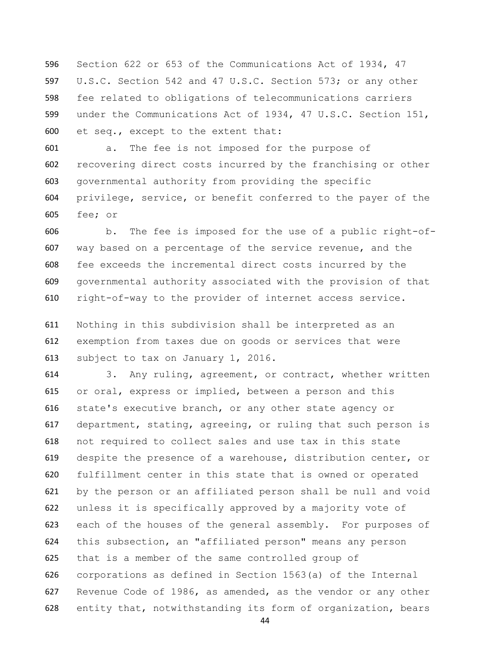Section 622 or 653 of the Communications Act of 1934, 47 U.S.C. Section 542 and 47 U.S.C. Section 573; or any other fee related to obligations of telecommunications carriers under the Communications Act of 1934, 47 U.S.C. Section 151, et seq., except to the extent that:

 a. The fee is not imposed for the purpose of recovering direct costs incurred by the franchising or other governmental authority from providing the specific privilege, service, or benefit conferred to the payer of the fee; or

 b. The fee is imposed for the use of a public right-of- way based on a percentage of the service revenue, and the fee exceeds the incremental direct costs incurred by the governmental authority associated with the provision of that right-of-way to the provider of internet access service.

 Nothing in this subdivision shall be interpreted as an exemption from taxes due on goods or services that were subject to tax on January 1, 2016.

 3. Any ruling, agreement, or contract, whether written or oral, express or implied, between a person and this state's executive branch, or any other state agency or department, stating, agreeing, or ruling that such person is not required to collect sales and use tax in this state despite the presence of a warehouse, distribution center, or fulfillment center in this state that is owned or operated by the person or an affiliated person shall be null and void unless it is specifically approved by a majority vote of 623 each of the houses of the general assembly. For purposes of this subsection, an "affiliated person" means any person that is a member of the same controlled group of corporations as defined in Section 1563(a) of the Internal Revenue Code of 1986, as amended, as the vendor or any other entity that, notwithstanding its form of organization, bears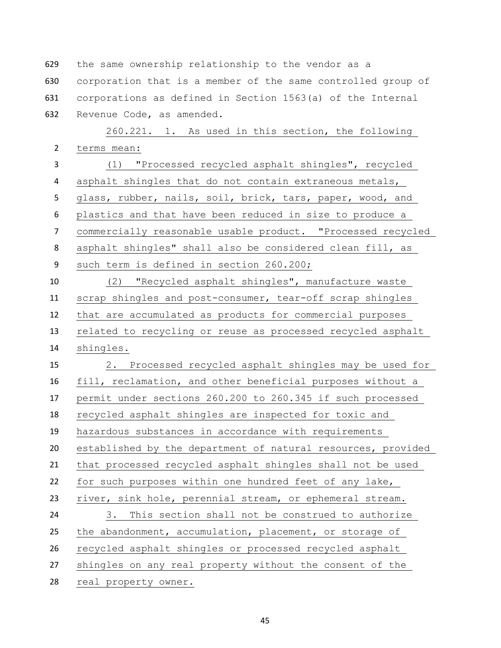the same ownership relationship to the vendor as a corporation that is a member of the same controlled group of corporations as defined in Section 1563(a) of the Internal Revenue Code, as amended.

260.221. 1. As used in this section, the following terms mean: (1) "Processed recycled asphalt shingles", recycled asphalt shingles that do not contain extraneous metals, glass, rubber, nails, soil, brick, tars, paper, wood, and plastics and that have been reduced in size to produce a commercially reasonable usable product. "Processed recycled asphalt shingles" shall also be considered clean fill, as such term is defined in section 260.200; (2) "Recycled asphalt shingles", manufacture waste scrap shingles and post-consumer, tear-off scrap shingles that are accumulated as products for commercial purposes related to recycling or reuse as processed recycled asphalt shingles. 2. Processed recycled asphalt shingles may be used for fill, reclamation, and other beneficial purposes without a permit under sections 260.200 to 260.345 if such processed recycled asphalt shingles are inspected for toxic and hazardous substances in accordance with requirements established by the department of natural resources, provided that processed recycled asphalt shingles shall not be used for such purposes within one hundred feet of any lake, river, sink hole, perennial stream, or ephemeral stream. 3. This section shall not be construed to authorize the abandonment, accumulation, placement, or storage of recycled asphalt shingles or processed recycled asphalt shingles on any real property without the consent of the real property owner.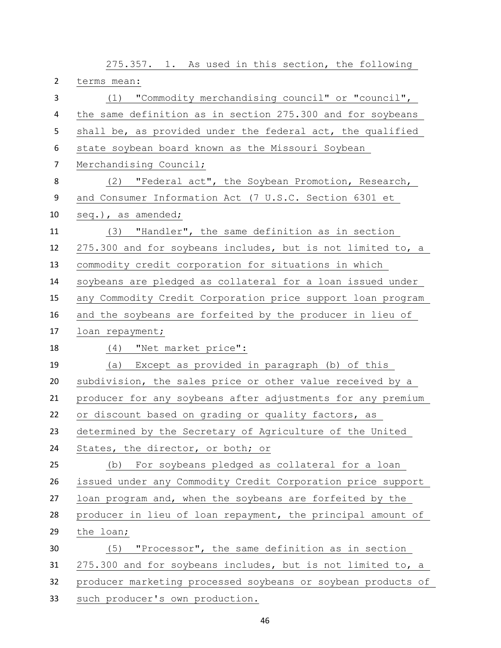|                | 275.357. 1. As used in this section, the following           |
|----------------|--------------------------------------------------------------|
| $\overline{2}$ | terms mean:                                                  |
| 3              | "Commodity merchandising council" or "council",<br>(1)       |
| 4              | the same definition as in section 275.300 and for soybeans   |
| 5              | shall be, as provided under the federal act, the qualified   |
| 6              | state soybean board known as the Missouri Soybean            |
| 7              | Merchandising Council;                                       |
| 8              | "Federal act", the Soybean Promotion, Research,<br>(2)       |
| 9              | and Consumer Information Act (7 U.S.C. Section 6301 et       |
| 10             | seq.), as amended;                                           |
| 11             | (3) "Handler", the same definition as in section             |
| 12             | 275.300 and for soybeans includes, but is not limited to, a  |
| 13             | commodity credit corporation for situations in which         |
| 14             | soybeans are pledged as collateral for a loan issued under   |
| 15             | any Commodity Credit Corporation price support loan program  |
| 16             | and the soybeans are forfeited by the producer in lieu of    |
| 17             | loan repayment;                                              |
| 18             | (4) "Net market price":                                      |
| 19             | (a) Except as provided in paragraph (b) of this              |
| 20             | subdivision, the sales price or other value received by a    |
| 21             | producer for any soybeans after adjustments for any premium  |
| 22             | or discount based on grading or quality factors, as          |
| 23             | determined by the Secretary of Agriculture of the United     |
| 24             | States, the director, or both; or                            |
| 25             | For soybeans pledged as collateral for a loan<br>(b)         |
| 26             | issued under any Commodity Credit Corporation price support  |
| 27             | loan program and, when the soybeans are forfeited by the     |
| 28             | producer in lieu of loan repayment, the principal amount of  |
| 29             | the loan;                                                    |
| 30             | "Processor", the same definition as in section<br>(5)        |
| 31             | 275.300 and for soybeans includes, but is not limited to, a  |
| 32             | producer marketing processed soybeans or soybean products of |
| 33             | such producer's own production.                              |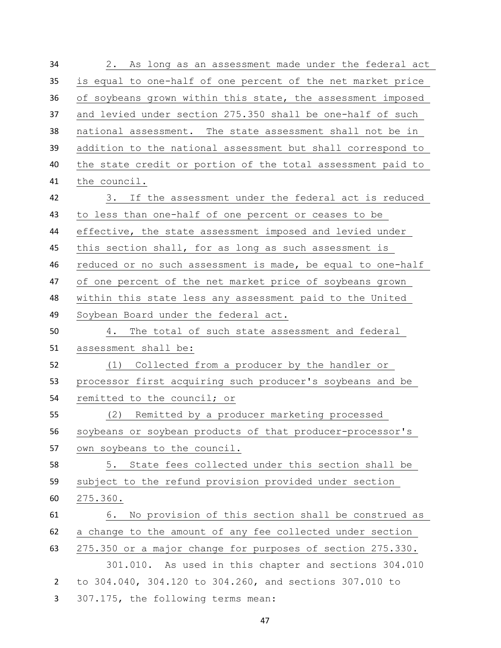| 34             | 2. As long as an assessment made under the federal act      |
|----------------|-------------------------------------------------------------|
| 35             | is equal to one-half of one percent of the net market price |
| 36             | of soybeans grown within this state, the assessment imposed |
| 37             | and levied under section 275.350 shall be one-half of such  |
| 38             | national assessment. The state assessment shall not be in   |
| 39             | addition to the national assessment but shall correspond to |
| 40             | the state credit or portion of the total assessment paid to |
| 41             | the council.                                                |
| 42             | 3. If the assessment under the federal act is reduced       |
| 43             | to less than one-half of one percent or ceases to be        |
| 44             | effective, the state assessment imposed and levied under    |
| 45             | this section shall, for as long as such assessment is       |
| 46             | reduced or no such assessment is made, be equal to one-half |
| 47             | of one percent of the net market price of soybeans grown    |
| 48             | within this state less any assessment paid to the United    |
| 49             | Soybean Board under the federal act.                        |
| 50             | The total of such state assessment and federal<br>4.        |
| 51             | assessment shall be:                                        |
| 52             | (1) Collected from a producer by the handler or             |
| 53             | processor first acquiring such producer's soybeans and be   |
| 54             | remitted to the council; or                                 |
| 55             | (2) Remitted by a producer marketing processed              |
| 56             | soybeans or soybean products of that producer-processor's   |
| 57             | own soybeans to the council.                                |
| 58             | 5. State fees collected under this section shall be         |
| 59             | subject to the refund provision provided under section      |
| 60             | 275.360.                                                    |
| 61             | No provision of this section shall be construed as<br>6.    |
| 62             | a change to the amount of any fee collected under section   |
| 63             | 275.350 or a major change for purposes of section 275.330.  |
|                | 301.010. As used in this chapter and sections 304.010       |
| $\overline{2}$ | to 304.040, 304.120 to 304.260, and sections 307.010 to     |
| 3              | 307.175, the following terms mean:                          |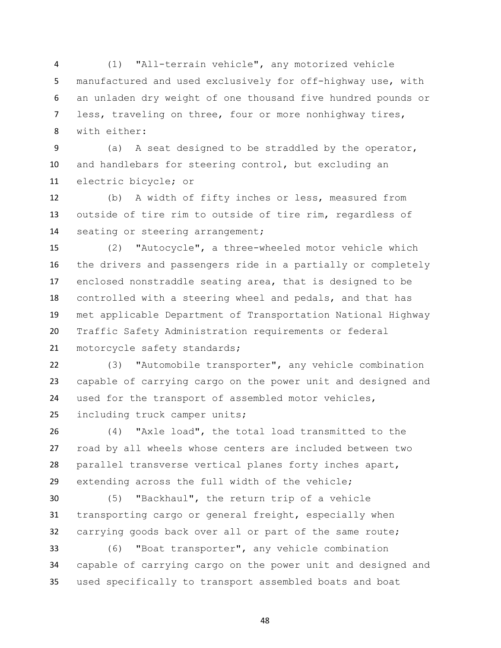(1) "All-terrain vehicle", any motorized vehicle manufactured and used exclusively for off-highway use, with an unladen dry weight of one thousand five hundred pounds or less, traveling on three, four or more nonhighway tires, with either:

 (a) A seat designed to be straddled by the operator, and handlebars for steering control, but excluding an electric bicycle; or

 (b) A width of fifty inches or less, measured from outside of tire rim to outside of tire rim, regardless of 14 seating or steering arrangement;

 (2) "Autocycle", a three-wheeled motor vehicle which the drivers and passengers ride in a partially or completely enclosed nonstraddle seating area, that is designed to be controlled with a steering wheel and pedals, and that has met applicable Department of Transportation National Highway Traffic Safety Administration requirements or federal motorcycle safety standards;

 (3) "Automobile transporter", any vehicle combination capable of carrying cargo on the power unit and designed and used for the transport of assembled motor vehicles, including truck camper units;

 (4) "Axle load", the total load transmitted to the road by all wheels whose centers are included between two parallel transverse vertical planes forty inches apart, extending across the full width of the vehicle;

 (5) "Backhaul", the return trip of a vehicle transporting cargo or general freight, especially when carrying goods back over all or part of the same route;

 (6) "Boat transporter", any vehicle combination capable of carrying cargo on the power unit and designed and used specifically to transport assembled boats and boat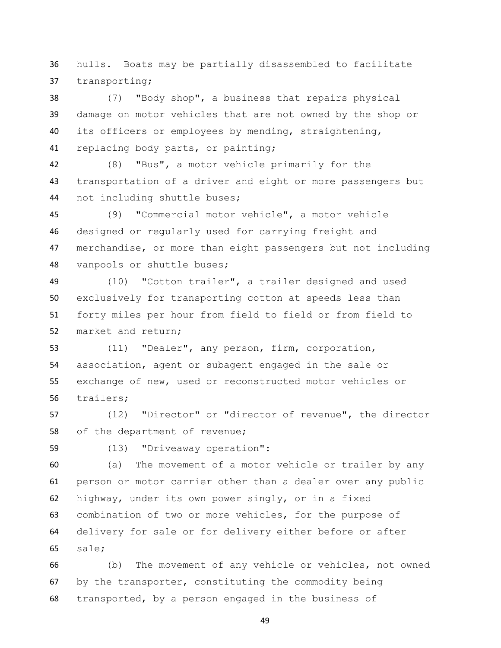hulls. Boats may be partially disassembled to facilitate transporting;

 (7) "Body shop", a business that repairs physical damage on motor vehicles that are not owned by the shop or its officers or employees by mending, straightening, replacing body parts, or painting;

 (8) "Bus", a motor vehicle primarily for the transportation of a driver and eight or more passengers but not including shuttle buses;

 (9) "Commercial motor vehicle", a motor vehicle designed or regularly used for carrying freight and merchandise, or more than eight passengers but not including vanpools or shuttle buses;

 (10) "Cotton trailer", a trailer designed and used exclusively for transporting cotton at speeds less than forty miles per hour from field to field or from field to market and return;

 (11) "Dealer", any person, firm, corporation, association, agent or subagent engaged in the sale or exchange of new, used or reconstructed motor vehicles or trailers;

 (12) "Director" or "director of revenue", the director of the department of revenue;

(13) "Driveaway operation":

 (a) The movement of a motor vehicle or trailer by any person or motor carrier other than a dealer over any public highway, under its own power singly, or in a fixed combination of two or more vehicles, for the purpose of delivery for sale or for delivery either before or after sale;

 (b) The movement of any vehicle or vehicles, not owned by the transporter, constituting the commodity being transported, by a person engaged in the business of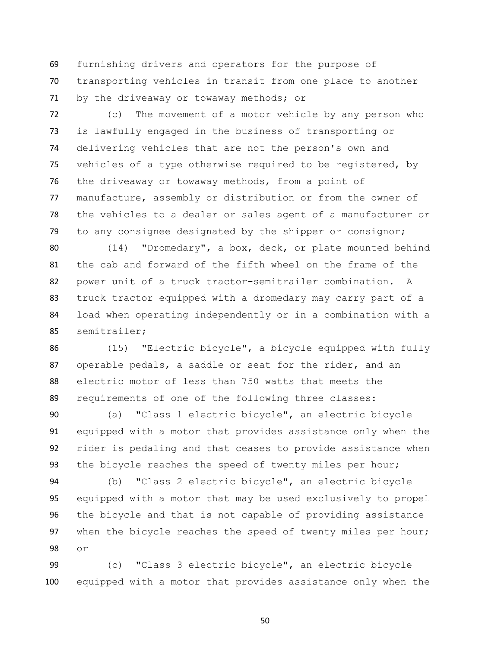furnishing drivers and operators for the purpose of transporting vehicles in transit from one place to another by the driveaway or towaway methods; or

 (c) The movement of a motor vehicle by any person who is lawfully engaged in the business of transporting or delivering vehicles that are not the person's own and vehicles of a type otherwise required to be registered, by the driveaway or towaway methods, from a point of manufacture, assembly or distribution or from the owner of the vehicles to a dealer or sales agent of a manufacturer or to any consignee designated by the shipper or consignor;

 (14) "Dromedary", a box, deck, or plate mounted behind the cab and forward of the fifth wheel on the frame of the power unit of a truck tractor-semitrailer combination. A truck tractor equipped with a dromedary may carry part of a load when operating independently or in a combination with a semitrailer;

 (15) "Electric bicycle", a bicycle equipped with fully operable pedals, a saddle or seat for the rider, and an electric motor of less than 750 watts that meets the requirements of one of the following three classes:

 (a) "Class 1 electric bicycle", an electric bicycle equipped with a motor that provides assistance only when the rider is pedaling and that ceases to provide assistance when the bicycle reaches the speed of twenty miles per hour;

 (b) "Class 2 electric bicycle", an electric bicycle equipped with a motor that may be used exclusively to propel the bicycle and that is not capable of providing assistance when the bicycle reaches the speed of twenty miles per hour; or

 (c) "Class 3 electric bicycle", an electric bicycle equipped with a motor that provides assistance only when the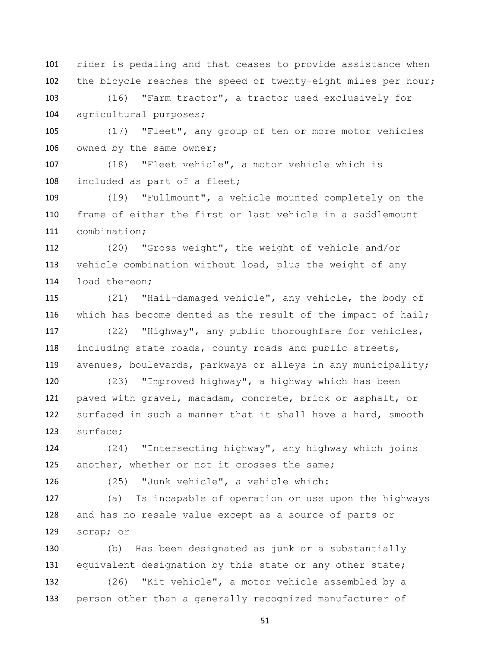rider is pedaling and that ceases to provide assistance when 102 the bicycle reaches the speed of twenty-eight miles per hour;

 (16) "Farm tractor", a tractor used exclusively for agricultural purposes;

 (17) "Fleet", any group of ten or more motor vehicles 106 owned by the same owner;

 (18) "Fleet vehicle", a motor vehicle which is 108 included as part of a fleet;

 (19) "Fullmount", a vehicle mounted completely on the frame of either the first or last vehicle in a saddlemount combination;

 (20) "Gross weight", the weight of vehicle and/or vehicle combination without load, plus the weight of any load thereon;

 (21) "Hail-damaged vehicle", any vehicle, the body of which has become dented as the result of the impact of hail;

 (22) "Highway", any public thoroughfare for vehicles, including state roads, county roads and public streets, 119 avenues, boulevards, parkways or alleys in any municipality;

 (23) "Improved highway", a highway which has been paved with gravel, macadam, concrete, brick or asphalt, or surfaced in such a manner that it shall have a hard, smooth surface;

 (24) "Intersecting highway", any highway which joins another, whether or not it crosses the same;

(25) "Junk vehicle", a vehicle which:

 (a) Is incapable of operation or use upon the highways and has no resale value except as a source of parts or scrap; or

 (b) Has been designated as junk or a substantially equivalent designation by this state or any other state;

 (26) "Kit vehicle", a motor vehicle assembled by a person other than a generally recognized manufacturer of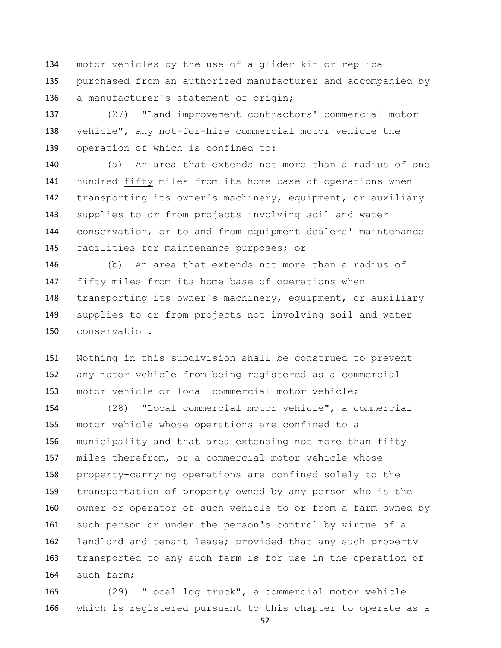motor vehicles by the use of a glider kit or replica purchased from an authorized manufacturer and accompanied by a manufacturer's statement of origin;

 (27) "Land improvement contractors' commercial motor vehicle", any not-for-hire commercial motor vehicle the operation of which is confined to:

 (a) An area that extends not more than a radius of one hundred fifty miles from its home base of operations when transporting its owner's machinery, equipment, or auxiliary supplies to or from projects involving soil and water conservation, or to and from equipment dealers' maintenance facilities for maintenance purposes; or

 (b) An area that extends not more than a radius of fifty miles from its home base of operations when transporting its owner's machinery, equipment, or auxiliary supplies to or from projects not involving soil and water conservation.

 Nothing in this subdivision shall be construed to prevent any motor vehicle from being registered as a commercial motor vehicle or local commercial motor vehicle;

 (28) "Local commercial motor vehicle", a commercial motor vehicle whose operations are confined to a municipality and that area extending not more than fifty miles therefrom, or a commercial motor vehicle whose property-carrying operations are confined solely to the transportation of property owned by any person who is the owner or operator of such vehicle to or from a farm owned by such person or under the person's control by virtue of a landlord and tenant lease; provided that any such property transported to any such farm is for use in the operation of such farm;

 (29) "Local log truck", a commercial motor vehicle which is registered pursuant to this chapter to operate as a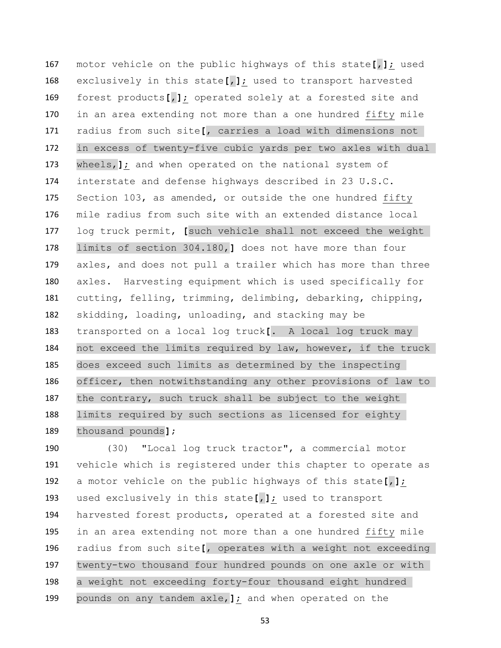motor vehicle on the public highways of this state**[**,**]**; used exclusively in this state**[**,**]**; used to transport harvested forest products**[**,**]**; operated solely at a forested site and in an area extending not more than a one hundred fifty mile radius from such site**[**, carries a load with dimensions not in excess of twenty-five cubic yards per two axles with dual wheels,**]**; and when operated on the national system of interstate and defense highways described in 23 U.S.C. 175 Section 103, as amended, or outside the one hundred fifty mile radius from such site with an extended distance local log truck permit, **[**such vehicle shall not exceed the weight limits of section 304.180,**]** does not have more than four axles, and does not pull a trailer which has more than three axles. Harvesting equipment which is used specifically for cutting, felling, trimming, delimbing, debarking, chipping, skidding, loading, unloading, and stacking may be transported on a local log truck**[**. A local log truck may not exceed the limits required by law, however, if the truck does exceed such limits as determined by the inspecting officer, then notwithstanding any other provisions of law to the contrary, such truck shall be subject to the weight limits required by such sections as licensed for eighty thousand pounds**]**;

 (30) "Local log truck tractor", a commercial motor vehicle which is registered under this chapter to operate as a motor vehicle on the public highways of this state**[**,**]**; used exclusively in this state**[**,**]**; used to transport harvested forest products, operated at a forested site and in an area extending not more than a one hundred fifty mile radius from such site**[**, operates with a weight not exceeding twenty-two thousand four hundred pounds on one axle or with a weight not exceeding forty-four thousand eight hundred pounds on any tandem axle,**]**; and when operated on the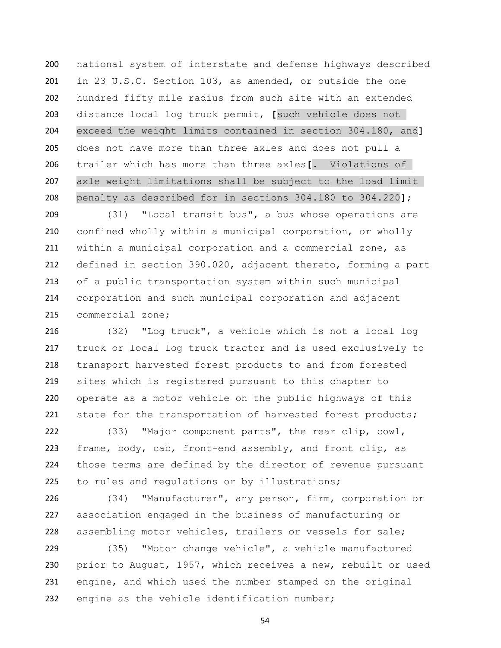national system of interstate and defense highways described in 23 U.S.C. Section 103, as amended, or outside the one hundred fifty mile radius from such site with an extended distance local log truck permit, **[**such vehicle does not exceed the weight limits contained in section 304.180, and**]** does not have more than three axles and does not pull a trailer which has more than three axles**[**. Violations of axle weight limitations shall be subject to the load limit penalty as described for in sections 304.180 to 304.220**]**;

 (31) "Local transit bus", a bus whose operations are confined wholly within a municipal corporation, or wholly within a municipal corporation and a commercial zone, as defined in section 390.020, adjacent thereto, forming a part of a public transportation system within such municipal corporation and such municipal corporation and adjacent commercial zone;

 (32) "Log truck", a vehicle which is not a local log truck or local log truck tractor and is used exclusively to transport harvested forest products to and from forested sites which is registered pursuant to this chapter to operate as a motor vehicle on the public highways of this 221 state for the transportation of harvested forest products;

 (33) "Major component parts", the rear clip, cowl, frame, body, cab, front-end assembly, and front clip, as those terms are defined by the director of revenue pursuant to rules and regulations or by illustrations;

 (34) "Manufacturer", any person, firm, corporation or association engaged in the business of manufacturing or assembling motor vehicles, trailers or vessels for sale;

 (35) "Motor change vehicle", a vehicle manufactured prior to August, 1957, which receives a new, rebuilt or used engine, and which used the number stamped on the original 232 engine as the vehicle identification number;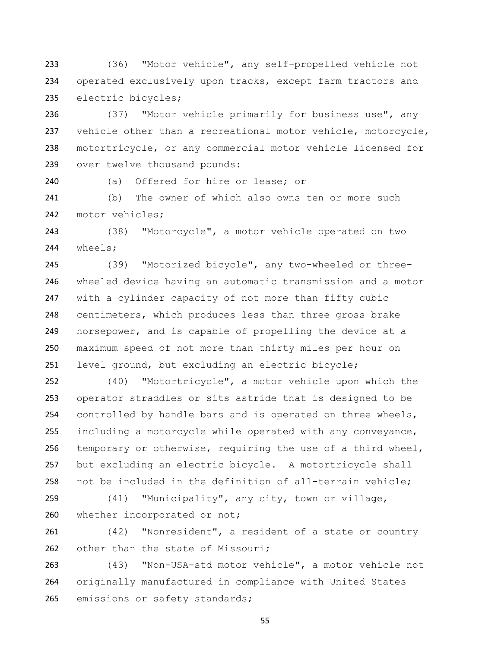(36) "Motor vehicle", any self-propelled vehicle not 234 operated exclusively upon tracks, except farm tractors and electric bicycles;

 (37) "Motor vehicle primarily for business use", any vehicle other than a recreational motor vehicle, motorcycle, motortricycle, or any commercial motor vehicle licensed for over twelve thousand pounds:

(a) Offered for hire or lease; or

 (b) The owner of which also owns ten or more such 242 motor vehicles:

 (38) "Motorcycle", a motor vehicle operated on two wheels;

 (39) "Motorized bicycle", any two-wheeled or three- wheeled device having an automatic transmission and a motor with a cylinder capacity of not more than fifty cubic centimeters, which produces less than three gross brake horsepower, and is capable of propelling the device at a maximum speed of not more than thirty miles per hour on level ground, but excluding an electric bicycle;

 (40) "Motortricycle", a motor vehicle upon which the operator straddles or sits astride that is designed to be controlled by handle bars and is operated on three wheels, including a motorcycle while operated with any conveyance, temporary or otherwise, requiring the use of a third wheel, but excluding an electric bicycle. A motortricycle shall not be included in the definition of all-terrain vehicle;

 (41) "Municipality", any city, town or village, 260 whether incorporated or not;

 (42) "Nonresident", a resident of a state or country 262 other than the state of Missouri;

 (43) "Non-USA-std motor vehicle", a motor vehicle not originally manufactured in compliance with United States 265 emissions or safety standards;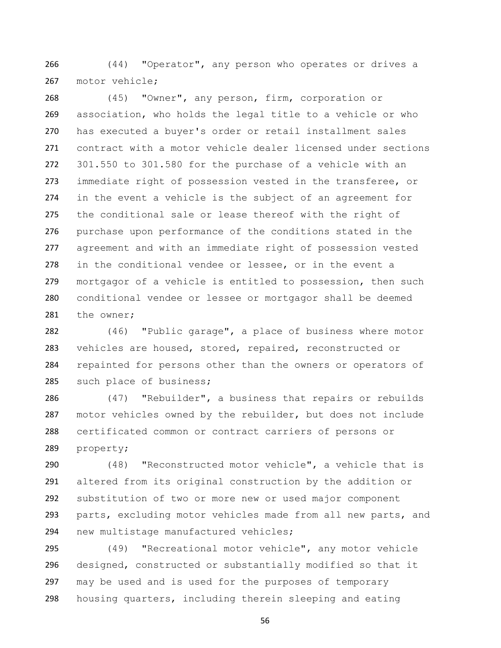(44) "Operator", any person who operates or drives a 267 motor vehicle;

 (45) "Owner", any person, firm, corporation or association, who holds the legal title to a vehicle or who has executed a buyer's order or retail installment sales contract with a motor vehicle dealer licensed under sections 301.550 to 301.580 for the purchase of a vehicle with an immediate right of possession vested in the transferee, or in the event a vehicle is the subject of an agreement for the conditional sale or lease thereof with the right of purchase upon performance of the conditions stated in the agreement and with an immediate right of possession vested 278 in the conditional vendee or lessee, or in the event a mortgagor of a vehicle is entitled to possession, then such conditional vendee or lessee or mortgagor shall be deemed 281 the owner;

 (46) "Public garage", a place of business where motor vehicles are housed, stored, repaired, reconstructed or repainted for persons other than the owners or operators of such place of business;

 (47) "Rebuilder", a business that repairs or rebuilds motor vehicles owned by the rebuilder, but does not include certificated common or contract carriers of persons or property;

 (48) "Reconstructed motor vehicle", a vehicle that is altered from its original construction by the addition or substitution of two or more new or used major component parts, excluding motor vehicles made from all new parts, and new multistage manufactured vehicles;

 (49) "Recreational motor vehicle", any motor vehicle designed, constructed or substantially modified so that it may be used and is used for the purposes of temporary housing quarters, including therein sleeping and eating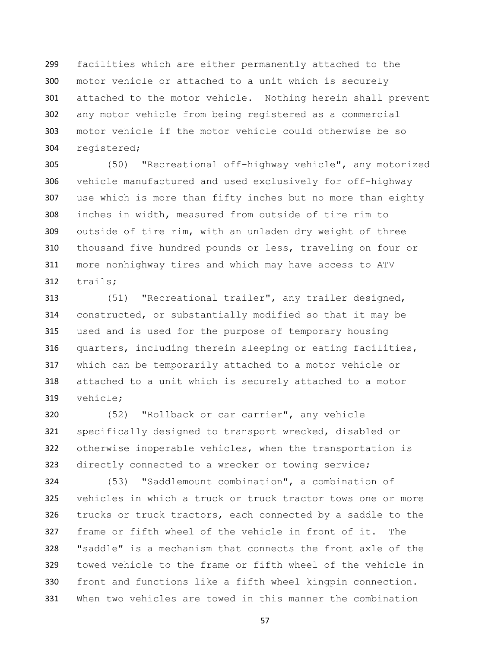facilities which are either permanently attached to the motor vehicle or attached to a unit which is securely attached to the motor vehicle. Nothing herein shall prevent any motor vehicle from being registered as a commercial motor vehicle if the motor vehicle could otherwise be so registered;

 (50) "Recreational off-highway vehicle", any motorized vehicle manufactured and used exclusively for off-highway use which is more than fifty inches but no more than eighty inches in width, measured from outside of tire rim to outside of tire rim, with an unladen dry weight of three thousand five hundred pounds or less, traveling on four or more nonhighway tires and which may have access to ATV trails;

 (51) "Recreational trailer", any trailer designed, constructed, or substantially modified so that it may be used and is used for the purpose of temporary housing quarters, including therein sleeping or eating facilities, which can be temporarily attached to a motor vehicle or attached to a unit which is securely attached to a motor vehicle;

 (52) "Rollback or car carrier", any vehicle specifically designed to transport wrecked, disabled or otherwise inoperable vehicles, when the transportation is directly connected to a wrecker or towing service;

 (53) "Saddlemount combination", a combination of vehicles in which a truck or truck tractor tows one or more 326 trucks or truck tractors, each connected by a saddle to the frame or fifth wheel of the vehicle in front of it. The "saddle" is a mechanism that connects the front axle of the towed vehicle to the frame or fifth wheel of the vehicle in front and functions like a fifth wheel kingpin connection. When two vehicles are towed in this manner the combination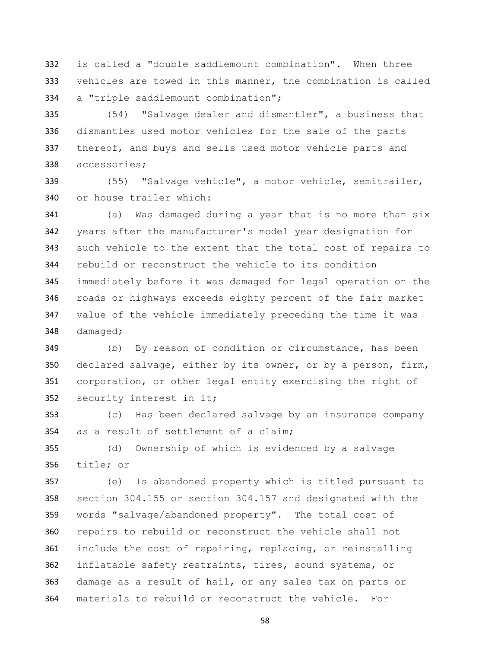is called a "double saddlemount combination". When three vehicles are towed in this manner, the combination is called a "triple saddlemount combination";

 (54) "Salvage dealer and dismantler", a business that dismantles used motor vehicles for the sale of the parts 337 thereof, and buys and sells used motor vehicle parts and accessories;

 (55) "Salvage vehicle", a motor vehicle, semitrailer, or house trailer which:

 (a) Was damaged during a year that is no more than six years after the manufacturer's model year designation for such vehicle to the extent that the total cost of repairs to rebuild or reconstruct the vehicle to its condition immediately before it was damaged for legal operation on the roads or highways exceeds eighty percent of the fair market value of the vehicle immediately preceding the time it was damaged;

 (b) By reason of condition or circumstance, has been declared salvage, either by its owner, or by a person, firm, corporation, or other legal entity exercising the right of security interest in it;

 (c) Has been declared salvage by an insurance company as a result of settlement of a claim;

 (d) Ownership of which is evidenced by a salvage title; or

 (e) Is abandoned property which is titled pursuant to section 304.155 or section 304.157 and designated with the words "salvage/abandoned property". The total cost of repairs to rebuild or reconstruct the vehicle shall not include the cost of repairing, replacing, or reinstalling inflatable safety restraints, tires, sound systems, or damage as a result of hail, or any sales tax on parts or materials to rebuild or reconstruct the vehicle. For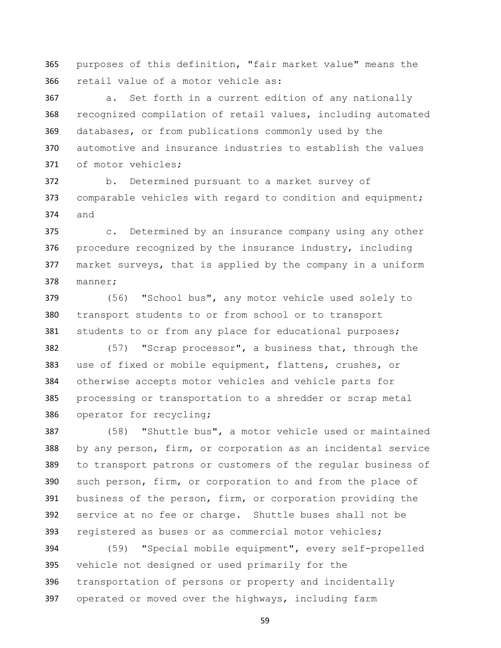purposes of this definition, "fair market value" means the retail value of a motor vehicle as:

 a. Set forth in a current edition of any nationally recognized compilation of retail values, including automated databases, or from publications commonly used by the automotive and insurance industries to establish the values of motor vehicles;

 b. Determined pursuant to a market survey of 373 comparable vehicles with regard to condition and equipment; and

 c. Determined by an insurance company using any other procedure recognized by the insurance industry, including market surveys, that is applied by the company in a uniform manner;

 (56) "School bus", any motor vehicle used solely to transport students to or from school or to transport students to or from any place for educational purposes;

 (57) "Scrap processor", a business that, through the use of fixed or mobile equipment, flattens, crushes, or otherwise accepts motor vehicles and vehicle parts for processing or transportation to a shredder or scrap metal operator for recycling;

 (58) "Shuttle bus", a motor vehicle used or maintained by any person, firm, or corporation as an incidental service to transport patrons or customers of the regular business of such person, firm, or corporation to and from the place of business of the person, firm, or corporation providing the service at no fee or charge. Shuttle buses shall not be registered as buses or as commercial motor vehicles;

 (59) "Special mobile equipment", every self-propelled vehicle not designed or used primarily for the transportation of persons or property and incidentally operated or moved over the highways, including farm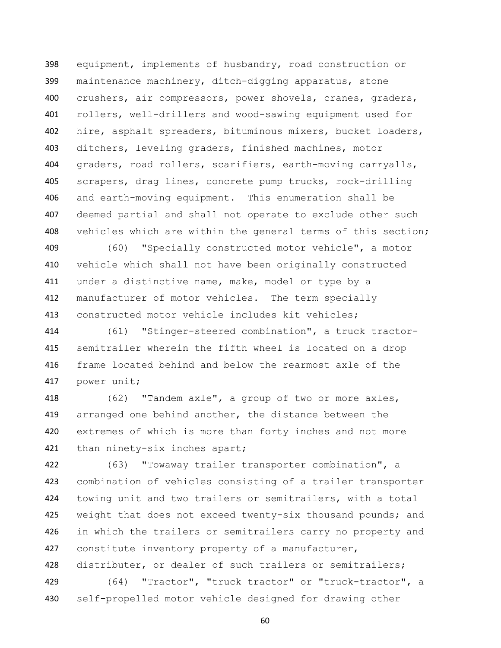equipment, implements of husbandry, road construction or maintenance machinery, ditch-digging apparatus, stone crushers, air compressors, power shovels, cranes, graders, rollers, well-drillers and wood-sawing equipment used for hire, asphalt spreaders, bituminous mixers, bucket loaders, ditchers, leveling graders, finished machines, motor graders, road rollers, scarifiers, earth-moving carryalls, scrapers, drag lines, concrete pump trucks, rock-drilling and earth-moving equipment. This enumeration shall be deemed partial and shall not operate to exclude other such vehicles which are within the general terms of this section;

 (60) "Specially constructed motor vehicle", a motor vehicle which shall not have been originally constructed 411 under a distinctive name, make, model or type by a manufacturer of motor vehicles. The term specially constructed motor vehicle includes kit vehicles;

 (61) "Stinger-steered combination", a truck tractor- semitrailer wherein the fifth wheel is located on a drop frame located behind and below the rearmost axle of the power unit;

 (62) "Tandem axle", a group of two or more axles, arranged one behind another, the distance between the extremes of which is more than forty inches and not more than ninety-six inches apart;

 (63) "Towaway trailer transporter combination", a combination of vehicles consisting of a trailer transporter towing unit and two trailers or semitrailers, with a total 425 weight that does not exceed twenty-six thousand pounds; and in which the trailers or semitrailers carry no property and constitute inventory property of a manufacturer, 428 distributer, or dealer of such trailers or semitrailers; (64) "Tractor", "truck tractor" or "truck-tractor", a

self-propelled motor vehicle designed for drawing other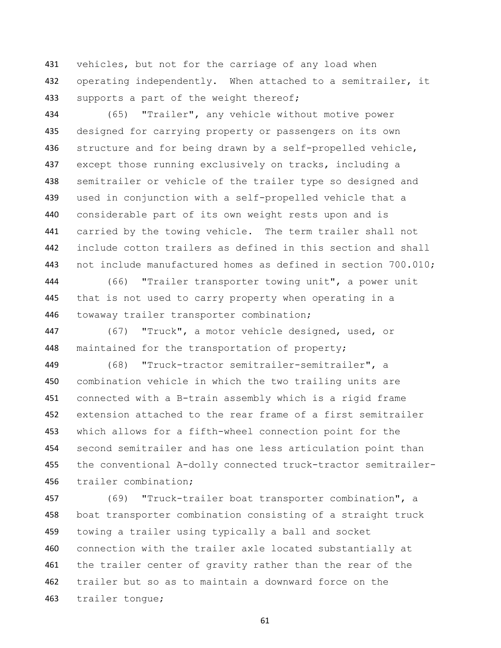vehicles, but not for the carriage of any load when 432 operating independently. When attached to a semitrailer, it 433 supports a part of the weight thereof;

 (65) "Trailer", any vehicle without motive power designed for carrying property or passengers on its own 436 structure and for being drawn by a self-propelled vehicle, 437 except those running exclusively on tracks, including a semitrailer or vehicle of the trailer type so designed and used in conjunction with a self-propelled vehicle that a considerable part of its own weight rests upon and is carried by the towing vehicle. The term trailer shall not include cotton trailers as defined in this section and shall not include manufactured homes as defined in section 700.010;

 (66) "Trailer transporter towing unit", a power unit that is not used to carry property when operating in a towaway trailer transporter combination;

 (67) "Truck", a motor vehicle designed, used, or 448 maintained for the transportation of property;

 (68) "Truck-tractor semitrailer-semitrailer", a combination vehicle in which the two trailing units are connected with a B-train assembly which is a rigid frame extension attached to the rear frame of a first semitrailer which allows for a fifth-wheel connection point for the second semitrailer and has one less articulation point than the conventional A-dolly connected truck-tractor semitrailer-trailer combination;

 (69) "Truck-trailer boat transporter combination", a boat transporter combination consisting of a straight truck towing a trailer using typically a ball and socket connection with the trailer axle located substantially at 461 the trailer center of gravity rather than the rear of the trailer but so as to maintain a downward force on the trailer tongue;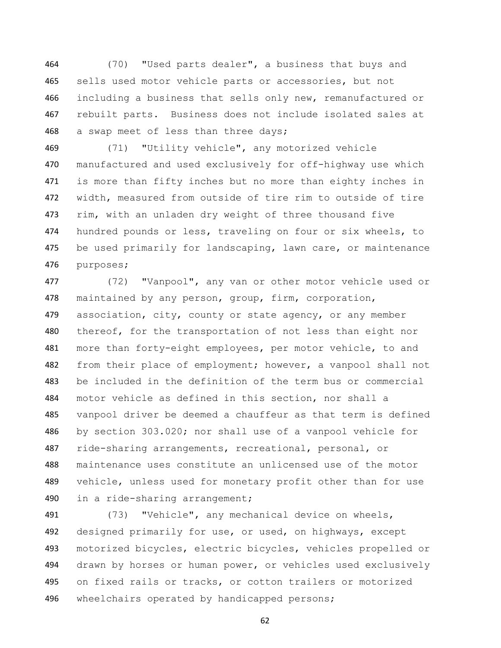(70) "Used parts dealer", a business that buys and sells used motor vehicle parts or accessories, but not including a business that sells only new, remanufactured or rebuilt parts. Business does not include isolated sales at 468 a swap meet of less than three days;

 (71) "Utility vehicle", any motorized vehicle manufactured and used exclusively for off-highway use which is more than fifty inches but no more than eighty inches in width, measured from outside of tire rim to outside of tire rim, with an unladen dry weight of three thousand five hundred pounds or less, traveling on four or six wheels, to be used primarily for landscaping, lawn care, or maintenance purposes;

 (72) "Vanpool", any van or other motor vehicle used or 478 maintained by any person, group, firm, corporation, 479 association, city, county or state agency, or any member 480 thereof, for the transportation of not less than eight nor 481 more than forty-eight employees, per motor vehicle, to and 482 from their place of employment; however, a vanpool shall not be included in the definition of the term bus or commercial motor vehicle as defined in this section, nor shall a vanpool driver be deemed a chauffeur as that term is defined by section 303.020; nor shall use of a vanpool vehicle for ride-sharing arrangements, recreational, personal, or maintenance uses constitute an unlicensed use of the motor 489 vehicle, unless used for monetary profit other than for use in a ride-sharing arrangement;

 (73) "Vehicle", any mechanical device on wheels, designed primarily for use, or used, on highways, except motorized bicycles, electric bicycles, vehicles propelled or drawn by horses or human power, or vehicles used exclusively on fixed rails or tracks, or cotton trailers or motorized 496 wheelchairs operated by handicapped persons;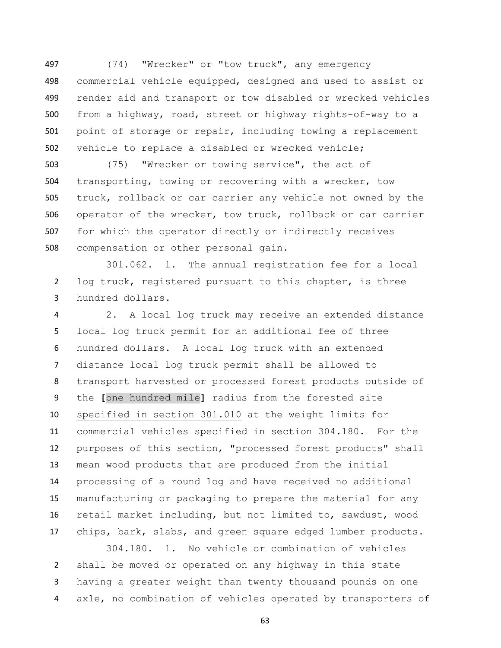(74) "Wrecker" or "tow truck", any emergency commercial vehicle equipped, designed and used to assist or render aid and transport or tow disabled or wrecked vehicles from a highway, road, street or highway rights-of-way to a point of storage or repair, including towing a replacement vehicle to replace a disabled or wrecked vehicle;

 (75) "Wrecker or towing service", the act of transporting, towing or recovering with a wrecker, tow truck, rollback or car carrier any vehicle not owned by the operator of the wrecker, tow truck, rollback or car carrier for which the operator directly or indirectly receives compensation or other personal gain.

 301.062. 1. The annual registration fee for a local log truck, registered pursuant to this chapter, is three hundred dollars.

 2. A local log truck may receive an extended distance local log truck permit for an additional fee of three hundred dollars. A local log truck with an extended distance local log truck permit shall be allowed to transport harvested or processed forest products outside of the **[**one hundred mile**]** radius from the forested site specified in section 301.010 at the weight limits for commercial vehicles specified in section 304.180. For the purposes of this section, "processed forest products" shall mean wood products that are produced from the initial processing of a round log and have received no additional manufacturing or packaging to prepare the material for any retail market including, but not limited to, sawdust, wood chips, bark, slabs, and green square edged lumber products.

 304.180. 1. No vehicle or combination of vehicles shall be moved or operated on any highway in this state having a greater weight than twenty thousand pounds on one axle, no combination of vehicles operated by transporters of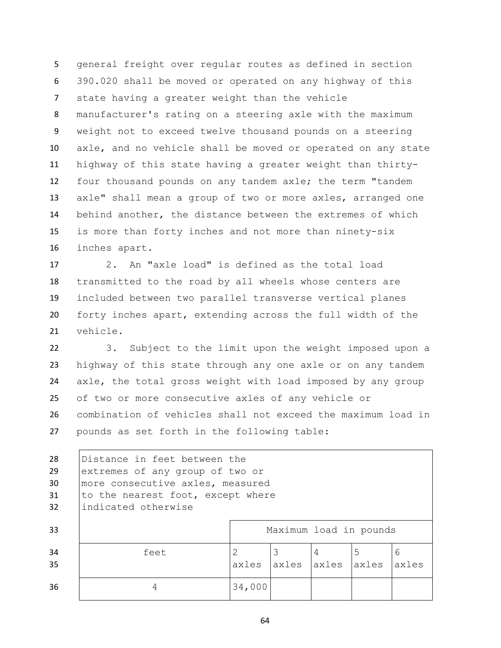general freight over regular routes as defined in section 390.020 shall be moved or operated on any highway of this state having a greater weight than the vehicle manufacturer's rating on a steering axle with the maximum weight not to exceed twelve thousand pounds on a steering axle, and no vehicle shall be moved or operated on any state highway of this state having a greater weight than thirty- four thousand pounds on any tandem axle; the term "tandem axle" shall mean a group of two or more axles, arranged one behind another, the distance between the extremes of which is more than forty inches and not more than ninety-six inches apart.

 2. An "axle load" is defined as the total load transmitted to the road by all wheels whose centers are included between two parallel transverse vertical planes forty inches apart, extending across the full width of the vehicle.

 3. Subject to the limit upon the weight imposed upon a highway of this state through any one axle or on any tandem axle, the total gross weight with load imposed by any group of two or more consecutive axles of any vehicle or combination of vehicles shall not exceed the maximum load in pounds as set forth in the following table:

| 28              | Distance in feet between the      |                        |       |       |       |       |  |
|-----------------|-----------------------------------|------------------------|-------|-------|-------|-------|--|
| 29              | extremes of any group of two or   |                        |       |       |       |       |  |
| 30              | more consecutive axles, measured  |                        |       |       |       |       |  |
| 31              | to the nearest foot, except where |                        |       |       |       |       |  |
| 32 <sup>2</sup> | indicated otherwise               |                        |       |       |       |       |  |
|                 |                                   |                        |       |       |       |       |  |
| 33              |                                   | Maximum load in pounds |       |       |       |       |  |
| 34              | feet                              |                        | 3     | 4     | 5     | 6     |  |
| 35              |                                   | axles                  | axles | axles | axles | axles |  |
| 36              | 4                                 | 34,000                 |       |       |       |       |  |
|                 |                                   |                        |       |       |       |       |  |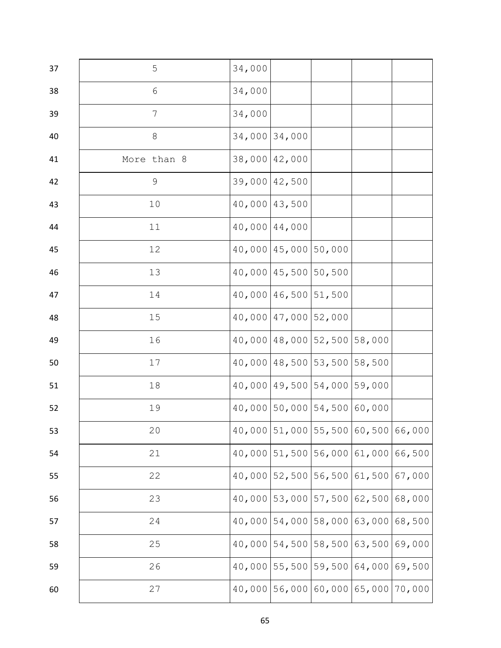| 37 | 5              | 34,000        |                              |                                        |               |        |
|----|----------------|---------------|------------------------------|----------------------------------------|---------------|--------|
| 38 | 6              | 34,000        |                              |                                        |               |        |
| 39 | $\overline{7}$ | 34,000        |                              |                                        |               |        |
| 40 | $\,8\,$        | 34,000 34,000 |                              |                                        |               |        |
| 41 | More than 8    | 38,000 42,000 |                              |                                        |               |        |
| 42 | 9              | 39,000 42,500 |                              |                                        |               |        |
| 43 | 10             | 40,000 43,500 |                              |                                        |               |        |
| 44 | 11             | 40,000 44,000 |                              |                                        |               |        |
| 45 | 12             |               | $40,000$ $45,000$ $50,000$   |                                        |               |        |
| 46 | 13             |               | 40,000 45,500 50,500         |                                        |               |        |
| 47 | 14             |               | 40,000 46,500 51,500         |                                        |               |        |
| 48 | 15             |               | $40,000$ $ 47,000$ $ 52,000$ |                                        |               |        |
| 49 | 16             |               |                              | 40,000 48,000 52,500 58,000            |               |        |
| 50 | 17             |               |                              | $40,000$ $48,500$ 53,500 58,500        |               |        |
| 51 | 18             |               |                              | $40,000$ $ 49,500$ $ 54,000$ $ 59,000$ |               |        |
| 52 | 19             |               |                              | 40,000 50,000 54,500 60,000            |               |        |
| 53 | 20             |               |                              | $40,000$ 51,000 55,500 60,500 66,000   |               |        |
| 54 | 21             |               |                              | 40,000 51,500 56,000 61,000 66,500     |               |        |
| 55 | 22             |               |                              | 40,000 52,500 56,500 61,500            |               | 67,000 |
| 56 | 23             |               |                              | $40,000$ 53,000 57,500 62,500 68,000   |               |        |
| 57 | 24             | 40,000        |                              | $54,000$ 58,000 63,000                 |               | 68,500 |
| 58 | 25             | 40,000        | 54,500                       |                                        | 58,500 63,500 | 69,000 |
| 59 | 26             |               |                              | $40,000$ 55,500 59,500 64,000          |               | 69,500 |
| 60 | 27             |               |                              | 40,000 56,000 60,000 65,000 70,000     |               |        |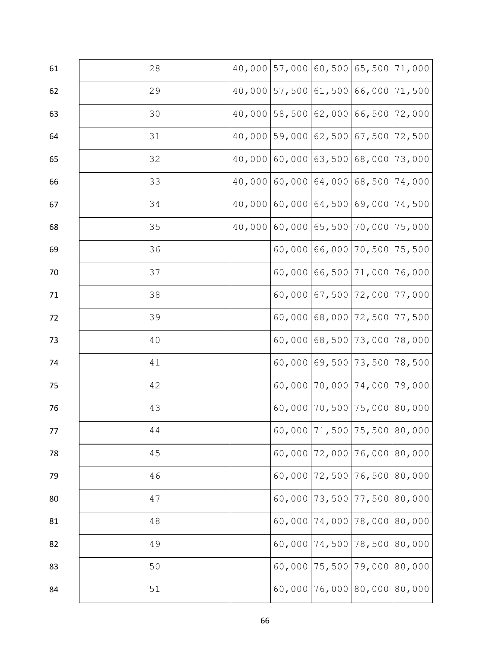| 61 | 28 | 40,000 | $57,000$ 60, 500 65, 500 71,000        |  |
|----|----|--------|----------------------------------------|--|
| 62 | 29 |        | 40,000 57,500 61,500 66,000 71,500     |  |
| 63 | 30 |        | 40,000 58,500 62,000 66,500 72,000     |  |
| 64 | 31 | 40,000 | 59,000 62,500 67,500 72,500            |  |
| 65 | 32 | 40,000 | $60,000$ 63,500 68,000 73,000          |  |
| 66 | 33 |        | 40,000 60,000 64,000 68,500 74,000     |  |
| 67 | 34 |        | 40,000 60,000 64,500 69,000 74,500     |  |
| 68 | 35 |        | 40,000 60,000 65,500 70,000 75,000     |  |
| 69 | 36 |        | $60,000$ 66,000 70,500 75,500          |  |
| 70 | 37 |        | 60,00066,50071,00076,000               |  |
| 71 | 38 |        | $60,000$ $67,500$ 72,000 77,000        |  |
| 72 | 39 |        | $60,000$ 68,000 72,500 77,500          |  |
| 73 | 40 |        | $60,000$ $68,500$ 73,000 78,000        |  |
| 74 | 41 |        | $60,000$ 69,500 73,500 78,500          |  |
| 75 | 42 |        | $60,000$   70,000   74,000   79,000    |  |
| 76 | 43 |        | $60,000$   70, 500   75, 000   80, 000 |  |
| 77 | 44 |        | 60,000 71,500 75,500 80,000            |  |
| 78 | 45 |        | $60,000$ 72,000 76,000 80,000          |  |
| 79 | 46 |        | $60,000$   72, 500   76, 500   80, 000 |  |
| 80 | 47 |        | $60,000$ 73,500 77,500 80,000          |  |
| 81 | 48 |        | $60,000$ 74,000 78,000 80,000          |  |
| 82 | 49 |        | $60,000$   74, 500   78, 500   80, 000 |  |
| 83 | 50 |        | $60,000$   75,500   79,000   80,000    |  |
| 84 | 51 |        | $60,000$ 76,000 80,000 80,000          |  |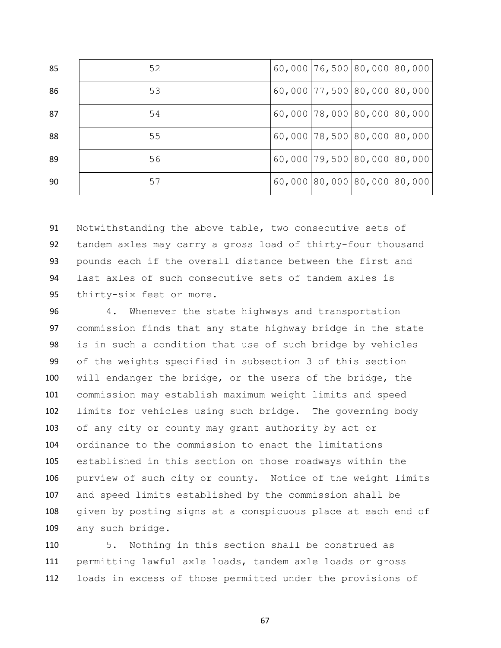| 85 | 52 |  |                                     | $60,000$   76,500   80,000   80,000 |
|----|----|--|-------------------------------------|-------------------------------------|
| 86 | 53 |  |                                     | $60,000$  77,500 80,000 80,000      |
| 87 | 54 |  |                                     | $60,000$   78,000   80,000   80,000 |
| 88 | 55 |  |                                     | $60,000$  78,500 80,000 80,000      |
| 89 | 56 |  | $60,000$   79,500   80,000   80,000 |                                     |
| 90 | 57 |  |                                     | 60,000 80,000 80,000 80,000         |

 Notwithstanding the above table, two consecutive sets of tandem axles may carry a gross load of thirty-four thousand pounds each if the overall distance between the first and last axles of such consecutive sets of tandem axles is thirty-six feet or more.

 4. Whenever the state highways and transportation commission finds that any state highway bridge in the state is in such a condition that use of such bridge by vehicles of the weights specified in subsection 3 of this section will endanger the bridge, or the users of the bridge, the commission may establish maximum weight limits and speed limits for vehicles using such bridge. The governing body of any city or county may grant authority by act or ordinance to the commission to enact the limitations established in this section on those roadways within the purview of such city or county. Notice of the weight limits and speed limits established by the commission shall be given by posting signs at a conspicuous place at each end of any such bridge.

 5. Nothing in this section shall be construed as permitting lawful axle loads, tandem axle loads or gross loads in excess of those permitted under the provisions of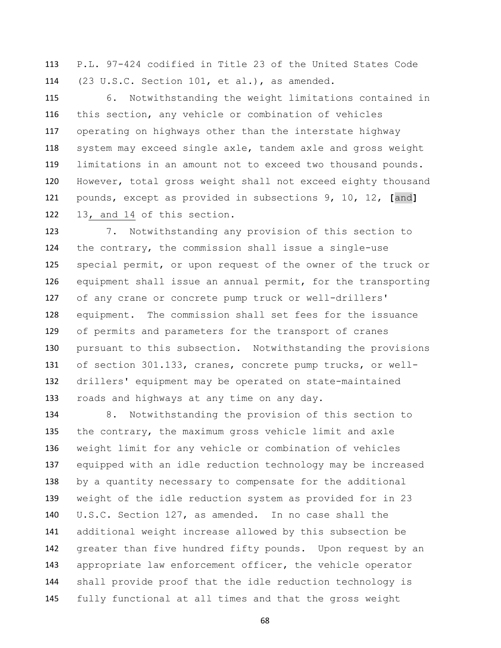P.L. 97-424 codified in Title 23 of the United States Code (23 U.S.C. Section 101, et al.), as amended.

 6. Notwithstanding the weight limitations contained in this section, any vehicle or combination of vehicles operating on highways other than the interstate highway system may exceed single axle, tandem axle and gross weight limitations in an amount not to exceed two thousand pounds. However, total gross weight shall not exceed eighty thousand pounds, except as provided in subsections 9, 10, 12, **[**and**]** 13, and 14 of this section.

 7. Notwithstanding any provision of this section to the contrary, the commission shall issue a single-use special permit, or upon request of the owner of the truck or equipment shall issue an annual permit, for the transporting of any crane or concrete pump truck or well-drillers' equipment. The commission shall set fees for the issuance of permits and parameters for the transport of cranes pursuant to this subsection. Notwithstanding the provisions of section 301.133, cranes, concrete pump trucks, or well- drillers' equipment may be operated on state-maintained roads and highways at any time on any day.

 8. Notwithstanding the provision of this section to the contrary, the maximum gross vehicle limit and axle weight limit for any vehicle or combination of vehicles equipped with an idle reduction technology may be increased by a quantity necessary to compensate for the additional weight of the idle reduction system as provided for in 23 U.S.C. Section 127, as amended. In no case shall the additional weight increase allowed by this subsection be 142 greater than five hundred fifty pounds. Upon request by an appropriate law enforcement officer, the vehicle operator shall provide proof that the idle reduction technology is fully functional at all times and that the gross weight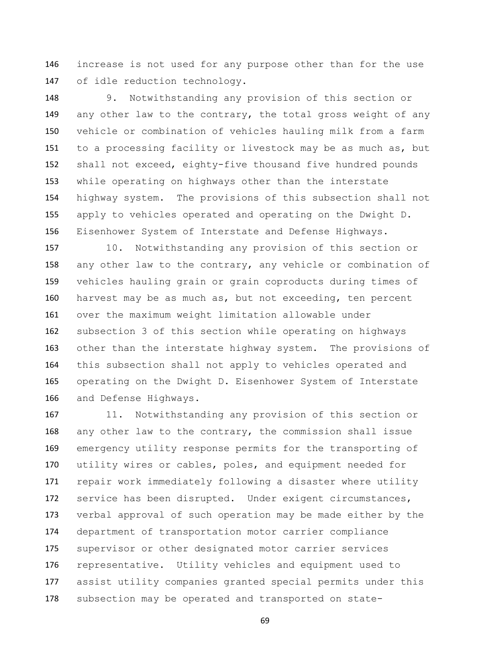increase is not used for any purpose other than for the use of idle reduction technology.

 9. Notwithstanding any provision of this section or 149 any other law to the contrary, the total gross weight of any vehicle or combination of vehicles hauling milk from a farm to a processing facility or livestock may be as much as, but shall not exceed, eighty-five thousand five hundred pounds while operating on highways other than the interstate highway system. The provisions of this subsection shall not apply to vehicles operated and operating on the Dwight D. Eisenhower System of Interstate and Defense Highways.

 10. Notwithstanding any provision of this section or 158 any other law to the contrary, any vehicle or combination of vehicles hauling grain or grain coproducts during times of harvest may be as much as, but not exceeding, ten percent over the maximum weight limitation allowable under subsection 3 of this section while operating on highways other than the interstate highway system. The provisions of this subsection shall not apply to vehicles operated and operating on the Dwight D. Eisenhower System of Interstate and Defense Highways.

 11. Notwithstanding any provision of this section or 168 any other law to the contrary, the commission shall issue emergency utility response permits for the transporting of 170 utility wires or cables, poles, and equipment needed for repair work immediately following a disaster where utility service has been disrupted. Under exigent circumstances, verbal approval of such operation may be made either by the department of transportation motor carrier compliance supervisor or other designated motor carrier services representative. Utility vehicles and equipment used to assist utility companies granted special permits under this subsection may be operated and transported on state-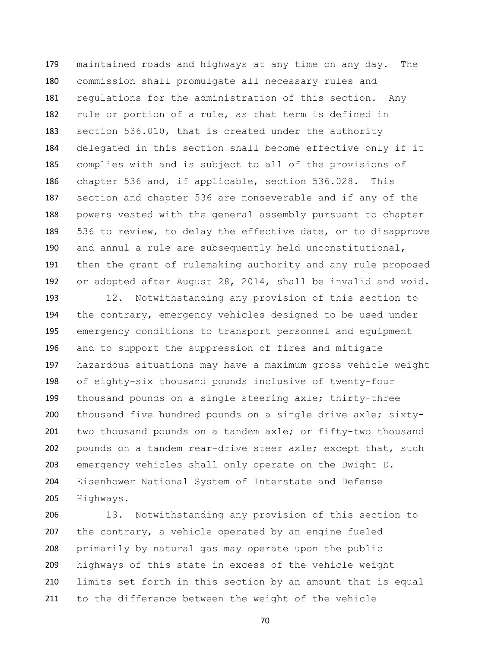maintained roads and highways at any time on any day. The commission shall promulgate all necessary rules and regulations for the administration of this section. Any rule or portion of a rule, as that term is defined in section 536.010, that is created under the authority delegated in this section shall become effective only if it complies with and is subject to all of the provisions of chapter 536 and, if applicable, section 536.028. This section and chapter 536 are nonseverable and if any of the powers vested with the general assembly pursuant to chapter 536 to review, to delay the effective date, or to disapprove and annul a rule are subsequently held unconstitutional, then the grant of rulemaking authority and any rule proposed or adopted after August 28, 2014, shall be invalid and void.

 12. Notwithstanding any provision of this section to 194 the contrary, emergency vehicles designed to be used under emergency conditions to transport personnel and equipment and to support the suppression of fires and mitigate hazardous situations may have a maximum gross vehicle weight of eighty-six thousand pounds inclusive of twenty-four thousand pounds on a single steering axle; thirty-three thousand five hundred pounds on a single drive axle; sixty- two thousand pounds on a tandem axle; or fifty-two thousand 202 pounds on a tandem rear-drive steer axle; except that, such emergency vehicles shall only operate on the Dwight D. Eisenhower National System of Interstate and Defense Highways.

 13. Notwithstanding any provision of this section to 207 the contrary, a vehicle operated by an engine fueled primarily by natural gas may operate upon the public highways of this state in excess of the vehicle weight limits set forth in this section by an amount that is equal to the difference between the weight of the vehicle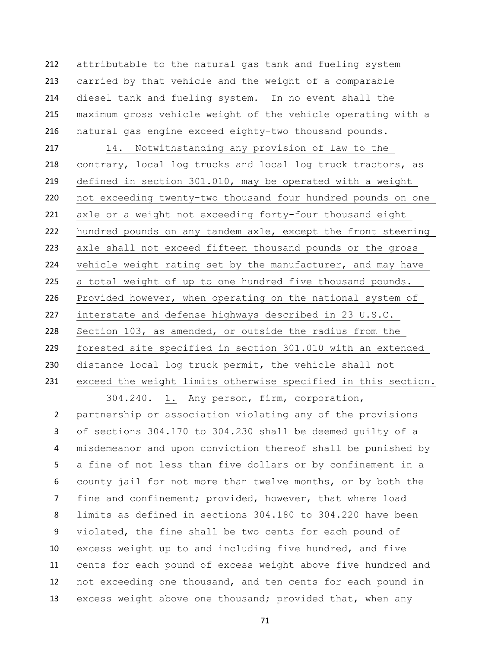attributable to the natural gas tank and fueling system carried by that vehicle and the weight of a comparable diesel tank and fueling system. In no event shall the maximum gross vehicle weight of the vehicle operating with a natural gas engine exceed eighty-two thousand pounds.

 14. Notwithstanding any provision of law to the 218 contrary, local log trucks and local log truck tractors, as defined in section 301.010, may be operated with a weight not exceeding twenty-two thousand four hundred pounds on one axle or a weight not exceeding forty-four thousand eight hundred pounds on any tandem axle, except the front steering axle shall not exceed fifteen thousand pounds or the gross vehicle weight rating set by the manufacturer, and may have a total weight of up to one hundred five thousand pounds. 226 Provided however, when operating on the national system of interstate and defense highways described in 23 U.S.C. Section 103, as amended, or outside the radius from the forested site specified in section 301.010 with an extended distance local log truck permit, the vehicle shall not exceed the weight limits otherwise specified in this section.

 304.240. 1. Any person, firm, corporation, partnership or association violating any of the provisions of sections 304.170 to 304.230 shall be deemed guilty of a misdemeanor and upon conviction thereof shall be punished by a fine of not less than five dollars or by confinement in a county jail for not more than twelve months, or by both the fine and confinement; provided, however, that where load limits as defined in sections 304.180 to 304.220 have been violated, the fine shall be two cents for each pound of excess weight up to and including five hundred, and five cents for each pound of excess weight above five hundred and not exceeding one thousand, and ten cents for each pound in 13 excess weight above one thousand; provided that, when any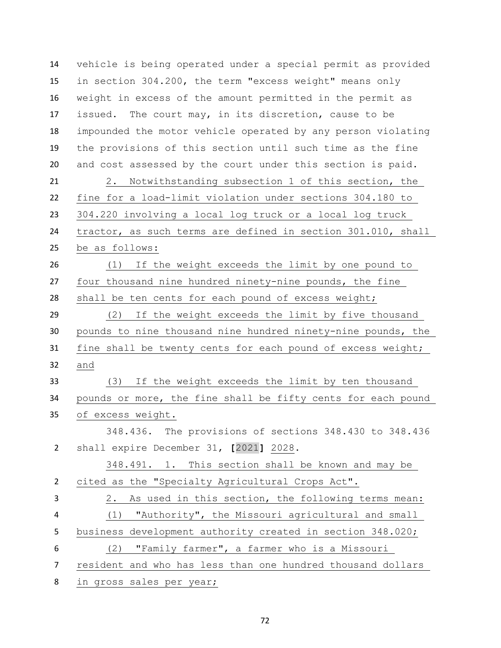vehicle is being operated under a special permit as provided in section 304.200, the term "excess weight" means only weight in excess of the amount permitted in the permit as issued. The court may, in its discretion, cause to be impounded the motor vehicle operated by any person violating the provisions of this section until such time as the fine and cost assessed by the court under this section is paid. 2. Notwithstanding subsection 1 of this section, the fine for a load-limit violation under sections 304.180 to 304.220 involving a local log truck or a local log truck tractor, as such terms are defined in section 301.010, shall be as follows: (1) If the weight exceeds the limit by one pound to four thousand nine hundred ninety-nine pounds, the fine 28 shall be ten cents for each pound of excess weight; (2) If the weight exceeds the limit by five thousand pounds to nine thousand nine hundred ninety-nine pounds, the fine shall be twenty cents for each pound of excess weight; and (3) If the weight exceeds the limit by ten thousand pounds or more, the fine shall be fifty cents for each pound of excess weight. 348.436. The provisions of sections 348.430 to 348.436 shall expire December 31, **[**2021**]** 2028. 348.491. 1. This section shall be known and may be cited as the "Specialty Agricultural Crops Act". 2. As used in this section, the following terms mean: (1) "Authority", the Missouri agricultural and small business development authority created in section 348.020; (2) "Family farmer", a farmer who is a Missouri resident and who has less than one hundred thousand dollars in gross sales per year;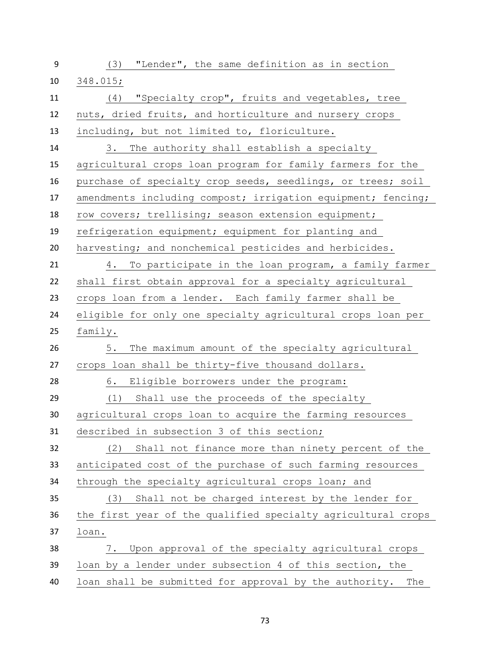| 9  | (3)<br>"Lender", the same definition as in section           |
|----|--------------------------------------------------------------|
| 10 | 348.015;                                                     |
| 11 | "Specialty crop", fruits and vegetables, tree<br>(4)         |
| 12 | nuts, dried fruits, and horticulture and nursery crops       |
| 13 | including, but not limited to, floriculture.                 |
| 14 | 3. The authority shall establish a specialty                 |
| 15 | agricultural crops loan program for family farmers for the   |
| 16 | purchase of specialty crop seeds, seedlings, or trees; soil  |
| 17 | amendments including compost; irrigation equipment; fencing; |
| 18 | row covers; trellising; season extension equipment;          |
| 19 | refrigeration equipment; equipment for planting and          |
| 20 | harvesting; and nonchemical pesticides and herbicides.       |
| 21 | To participate in the loan program, a family farmer<br>4.    |
| 22 | shall first obtain approval for a specialty agricultural     |
| 23 | crops loan from a lender. Each family farmer shall be        |
| 24 | eligible for only one specialty agricultural crops loan per  |
| 25 | family.                                                      |
| 26 | The maximum amount of the specialty agricultural<br>5.       |
| 27 | crops loan shall be thirty-five thousand dollars.            |
| 28 | 6. Eligible borrowers under the program:                     |
| 29 | (1) Shall use the proceeds of the specialty                  |
| 30 | agricultural crops loan to acquire the farming resources     |
| 31 | described in subsection 3 of this section;                   |
| 32 | Shall not finance more than ninety percent of the<br>(2)     |
| 33 |                                                              |
|    | anticipated cost of the purchase of such farming resources   |
| 34 | through the specialty agricultural crops loan; and           |
| 35 | Shall not be charged interest by the lender for<br>(3)       |
| 36 | the first year of the qualified specialty agricultural crops |
| 37 | loan.                                                        |
| 38 | 7. Upon approval of the specialty agricultural crops         |
| 39 | loan by a lender under subsection 4 of this section, the     |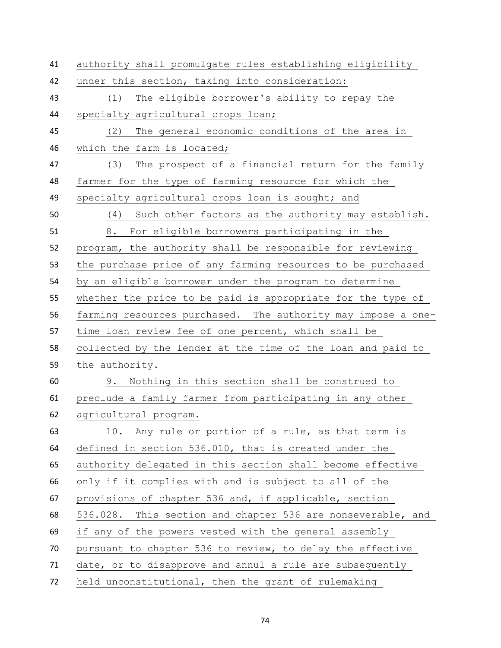| 41 | authority shall promulgate rules establishing eligibility    |
|----|--------------------------------------------------------------|
| 42 | under this section, taking into consideration:               |
| 43 | The eligible borrower's ability to repay the<br>(1)          |
| 44 | specialty agricultural crops loan;                           |
| 45 | (2)<br>The general economic conditions of the area in        |
| 46 | which the farm is located;                                   |
| 47 | (3)<br>The prospect of a financial return for the family     |
| 48 | farmer for the type of farming resource for which the        |
| 49 | specialty agricultural crops loan is sought; and             |
| 50 | (4) Such other factors as the authority may establish.       |
| 51 | For eligible borrowers participating in the<br>8.            |
| 52 | program, the authority shall be responsible for reviewing    |
| 53 | the purchase price of any farming resources to be purchased  |
| 54 | by an eligible borrower under the program to determine       |
| 55 | whether the price to be paid is appropriate for the type of  |
| 56 | farming resources purchased. The authority may impose a one- |
|    |                                                              |
| 57 | time loan review fee of one percent, which shall be          |
| 58 | collected by the lender at the time of the loan and paid to  |
| 59 | the authority.                                               |
| 60 | 9. Nothing in this section shall be construed to             |
| 61 | preclude a family farmer from participating in any other     |
| 62 | agricultural program.                                        |
| 63 | 10. Any rule or portion of a rule, as that term is           |
| 64 | defined in section 536.010, that is created under the        |
| 65 | authority delegated in this section shall become effective   |
| 66 | only if it complies with and is subject to all of the        |
| 67 | provisions of chapter 536 and, if applicable, section        |
| 68 | 536.028. This section and chapter 536 are nonseverable, and  |
| 69 | if any of the powers vested with the general assembly        |
| 70 | pursuant to chapter 536 to review, to delay the effective    |
| 71 | date, or to disapprove and annul a rule are subsequently     |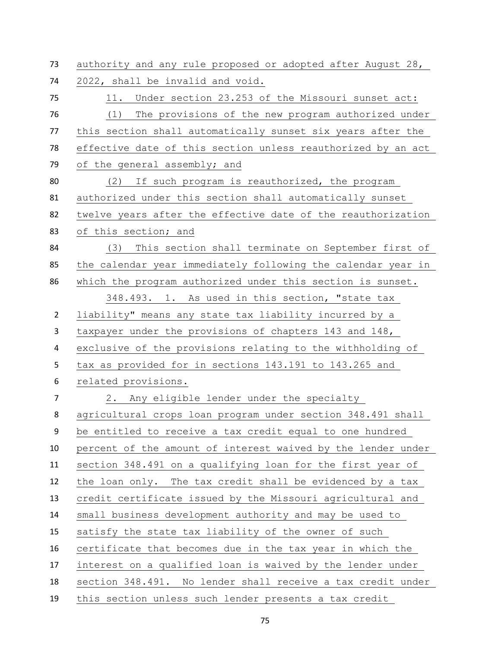authority and any rule proposed or adopted after August 28, 2022, shall be invalid and void. 11. Under section 23.253 of the Missouri sunset act: (1) The provisions of the new program authorized under this section shall automatically sunset six years after the effective date of this section unless reauthorized by an act 79 of the general assembly; and (2) If such program is reauthorized, the program authorized under this section shall automatically sunset twelve years after the effective date of the reauthorization of this section; and (3) This section shall terminate on September first of the calendar year immediately following the calendar year in which the program authorized under this section is sunset. 348.493. 1. As used in this section, "state tax liability" means any state tax liability incurred by a taxpayer under the provisions of chapters 143 and 148, exclusive of the provisions relating to the withholding of tax as provided for in sections 143.191 to 143.265 and related provisions. 2. Any eligible lender under the specialty agricultural crops loan program under section 348.491 shall be entitled to receive a tax credit equal to one hundred percent of the amount of interest waived by the lender under section 348.491 on a qualifying loan for the first year of the loan only. The tax credit shall be evidenced by a tax credit certificate issued by the Missouri agricultural and small business development authority and may be used to satisfy the state tax liability of the owner of such certificate that becomes due in the tax year in which the interest on a qualified loan is waived by the lender under section 348.491. No lender shall receive a tax credit under this section unless such lender presents a tax credit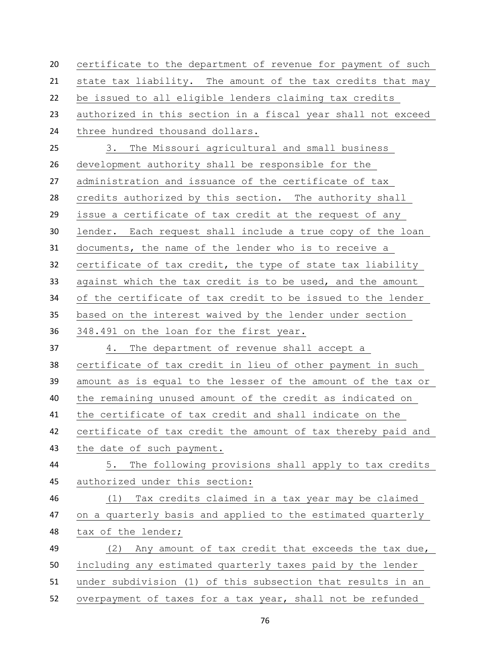| 20 | certificate to the department of revenue for payment of such |
|----|--------------------------------------------------------------|
| 21 | state tax liability. The amount of the tax credits that may  |
| 22 | be issued to all eligible lenders claiming tax credits       |
| 23 | authorized in this section in a fiscal year shall not exceed |
| 24 | three hundred thousand dollars.                              |
| 25 | 3.<br>The Missouri agricultural and small business           |
| 26 | development authority shall be responsible for the           |
| 27 | administration and issuance of the certificate of tax        |
| 28 | credits authorized by this section. The authority shall      |
| 29 | issue a certificate of tax credit at the request of any      |
| 30 | lender. Each request shall include a true copy of the loan   |
| 31 | documents, the name of the lender who is to receive a        |
| 32 | certificate of tax credit, the type of state tax liability   |
| 33 | against which the tax credit is to be used, and the amount   |
| 34 | of the certificate of tax credit to be issued to the lender  |
| 35 | based on the interest waived by the lender under section     |
| 36 | 348.491 on the loan for the first year.                      |
| 37 | The department of revenue shall accept a<br>4.               |
| 38 | certificate of tax credit in lieu of other payment in such   |
| 39 | amount as is equal to the lesser of the amount of the tax or |
| 40 | the remaining unused amount of the credit as indicated on    |
| 41 | the certificate of tax credit and shall indicate on the      |
| 42 | certificate of tax credit the amount of tax thereby paid and |
| 43 | the date of such payment.                                    |
| 44 | The following provisions shall apply to tax credits<br>5.    |
| 45 | authorized under this section:                               |
| 46 | Tax credits claimed in a tax year may be claimed<br>(1)      |
| 47 | on a quarterly basis and applied to the estimated quarterly  |
| 48 | tax of the lender;                                           |
| 49 | Any amount of tax credit that exceeds the tax due,<br>(2)    |
| 50 | including any estimated quarterly taxes paid by the lender   |
| 51 | under subdivision (1) of this subsection that results in an  |
| 52 | overpayment of taxes for a tax year, shall not be refunded   |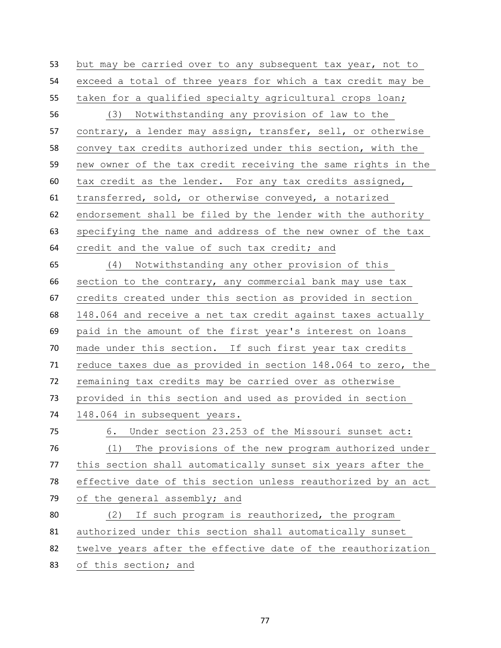but may be carried over to any subsequent tax year, not to exceed a total of three years for which a tax credit may be taken for a qualified specialty agricultural crops loan; (3) Notwithstanding any provision of law to the contrary, a lender may assign, transfer, sell, or otherwise convey tax credits authorized under this section, with the new owner of the tax credit receiving the same rights in the tax credit as the lender. For any tax credits assigned, transferred, sold, or otherwise conveyed, a notarized endorsement shall be filed by the lender with the authority specifying the name and address of the new owner of the tax credit and the value of such tax credit; and (4) Notwithstanding any other provision of this section to the contrary, any commercial bank may use tax credits created under this section as provided in section 148.064 and receive a net tax credit against taxes actually paid in the amount of the first year's interest on loans made under this section. If such first year tax credits reduce taxes due as provided in section 148.064 to zero, the remaining tax credits may be carried over as otherwise provided in this section and used as provided in section 148.064 in subsequent years. 6. Under section 23.253 of the Missouri sunset act: (1) The provisions of the new program authorized under this section shall automatically sunset six years after the effective date of this section unless reauthorized by an act 79 of the general assembly; and (2) If such program is reauthorized, the program authorized under this section shall automatically sunset twelve years after the effective date of the reauthorization of this section; and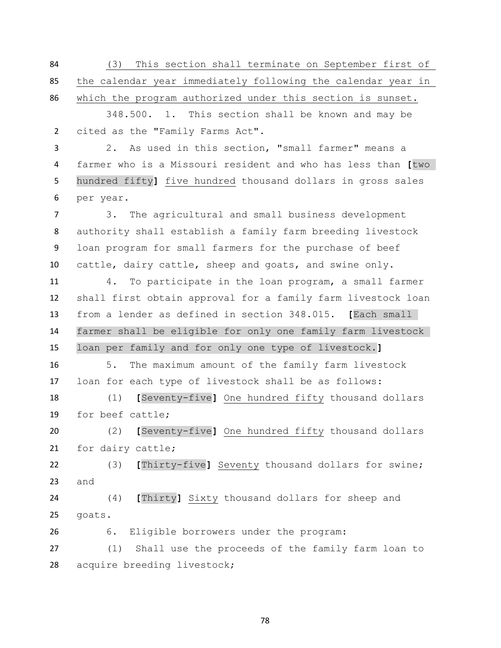(3) This section shall terminate on September first of the calendar year immediately following the calendar year in which the program authorized under this section is sunset.

 348.500. 1. This section shall be known and may be cited as the "Family Farms Act".

 2. As used in this section, "small farmer" means a farmer who is a Missouri resident and who has less than **[**two hundred fifty**]** five hundred thousand dollars in gross sales per year.

 3. The agricultural and small business development authority shall establish a family farm breeding livestock loan program for small farmers for the purchase of beef cattle, dairy cattle, sheep and goats, and swine only.

 4. To participate in the loan program, a small farmer shall first obtain approval for a family farm livestock loan from a lender as defined in section 348.015. **[**Each small farmer shall be eligible for only one family farm livestock loan per family and for only one type of livestock.**]**

 5. The maximum amount of the family farm livestock loan for each type of livestock shall be as follows:

 (1) **[**Seventy-five**]** One hundred fifty thousand dollars for beef cattle;

 (2) **[**Seventy-five**]** One hundred fifty thousand dollars for dairy cattle;

 (3) **[**Thirty-five**]** Seventy thousand dollars for swine; and

 (4) **[**Thirty**]** Sixty thousand dollars for sheep and goats.

6. Eligible borrowers under the program:

 (1) Shall use the proceeds of the family farm loan to acquire breeding livestock;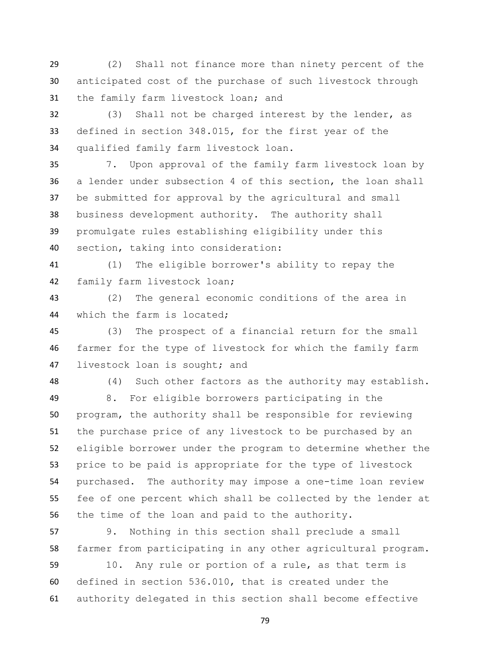(2) Shall not finance more than ninety percent of the anticipated cost of the purchase of such livestock through the family farm livestock loan; and

 (3) Shall not be charged interest by the lender, as defined in section 348.015, for the first year of the qualified family farm livestock loan.

 7. Upon approval of the family farm livestock loan by a lender under subsection 4 of this section, the loan shall be submitted for approval by the agricultural and small business development authority. The authority shall promulgate rules establishing eligibility under this section, taking into consideration:

 (1) The eligible borrower's ability to repay the family farm livestock loan;

 (2) The general economic conditions of the area in which the farm is located;

 (3) The prospect of a financial return for the small farmer for the type of livestock for which the family farm livestock loan is sought; and

(4) Such other factors as the authority may establish.

 8. For eligible borrowers participating in the program, the authority shall be responsible for reviewing the purchase price of any livestock to be purchased by an eligible borrower under the program to determine whether the price to be paid is appropriate for the type of livestock purchased. The authority may impose a one-time loan review fee of one percent which shall be collected by the lender at the time of the loan and paid to the authority.

 9. Nothing in this section shall preclude a small farmer from participating in any other agricultural program.

 10. Any rule or portion of a rule, as that term is defined in section 536.010, that is created under the authority delegated in this section shall become effective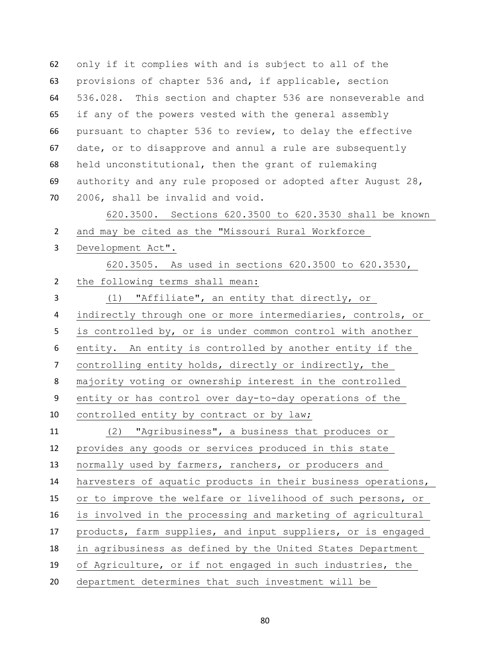only if it complies with and is subject to all of the provisions of chapter 536 and, if applicable, section 536.028. This section and chapter 536 are nonseverable and if any of the powers vested with the general assembly pursuant to chapter 536 to review, to delay the effective date, or to disapprove and annul a rule are subsequently held unconstitutional, then the grant of rulemaking authority and any rule proposed or adopted after August 28, 2006, shall be invalid and void.

 620.3500. Sections 620.3500 to 620.3530 shall be known and may be cited as the "Missouri Rural Workforce Development Act". 620.3505. As used in sections 620.3500 to 620.3530, the following terms shall mean: (1) "Affiliate", an entity that directly, or indirectly through one or more intermediaries, controls, or is controlled by, or is under common control with another entity. An entity is controlled by another entity if the controlling entity holds, directly or indirectly, the majority voting or ownership interest in the controlled entity or has control over day-to-day operations of the controlled entity by contract or by law; (2) "Agribusiness", a business that produces or provides any goods or services produced in this state normally used by farmers, ranchers, or producers and harvesters of aquatic products in their business operations, or to improve the welfare or livelihood of such persons, or is involved in the processing and marketing of agricultural products, farm supplies, and input suppliers, or is engaged in agribusiness as defined by the United States Department of Agriculture, or if not engaged in such industries, the department determines that such investment will be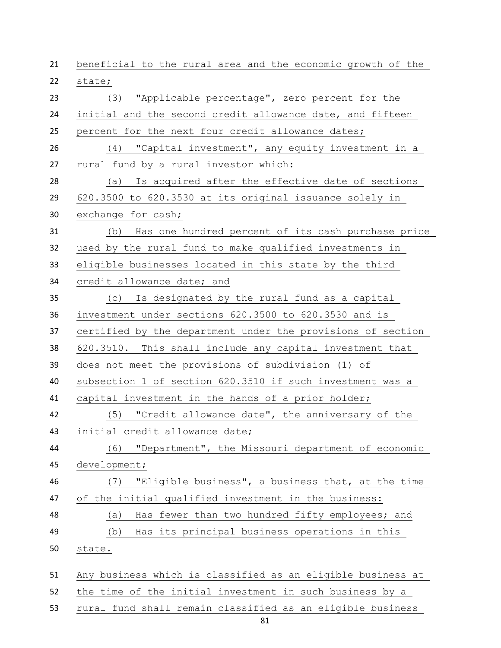| 21 | beneficial to the rural area and the economic growth of the |
|----|-------------------------------------------------------------|
| 22 | state;                                                      |
| 23 | (3) "Applicable percentage", zero percent for the           |
| 24 | initial and the second credit allowance date, and fifteen   |
| 25 | percent for the next four credit allowance dates;           |
| 26 | (4) "Capital investment", any equity investment in a        |
| 27 | rural fund by a rural investor which:                       |
| 28 | Is acquired after the effective date of sections<br>(a)     |
| 29 | 620.3500 to 620.3530 at its original issuance solely in     |
| 30 | exchange for cash;                                          |
| 31 | Has one hundred percent of its cash purchase price<br>(b)   |
| 32 | used by the rural fund to make qualified investments in     |
| 33 | eligible businesses located in this state by the third      |
| 34 | credit allowance date; and                                  |
| 35 | (c) Is designated by the rural fund as a capital            |
| 36 | investment under sections 620.3500 to 620.3530 and is       |
| 37 | certified by the department under the provisions of section |
| 38 | 620.3510. This shall include any capital investment that    |
| 39 | does not meet the provisions of subdivision (1) of          |
| 40 | subsection 1 of section 620.3510 if such investment was a   |
| 41 | capital investment in the hands of a prior holder;          |
| 42 | (5) "Credit allowance date", the anniversary of the         |
| 43 | initial credit allowance date;                              |
| 44 | "Department", the Missouri department of economic<br>(6)    |
| 45 | development;                                                |
| 46 | "Eligible business", a business that, at the time<br>(7)    |
| 47 | of the initial qualified investment in the business:        |
| 48 | Has fewer than two hundred fifty employees; and<br>(a)      |
| 49 | Has its principal business operations in this<br>(b)        |
| 50 | state.                                                      |
|    |                                                             |
| 51 | Any business which is classified as an eligible business at |
| 52 | the time of the initial investment in such business by a    |
| 53 | rural fund shall remain classified as an eligible business  |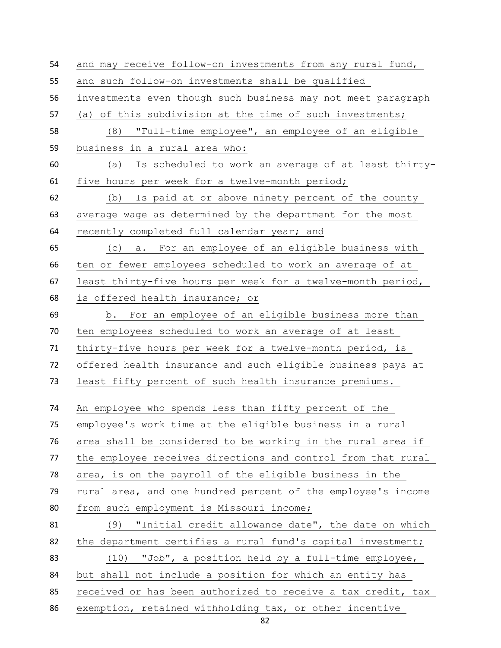| 54 | and may receive follow-on investments from any rural fund,   |
|----|--------------------------------------------------------------|
| 55 | and such follow-on investments shall be qualified            |
| 56 | investments even though such business may not meet paragraph |
| 57 | (a) of this subdivision at the time of such investments;     |
| 58 | (8) "Full-time employee", an employee of an eligible         |
| 59 | business in a rural area who:                                |
| 60 | Is scheduled to work an average of at least thirty-<br>(a)   |
| 61 | five hours per week for a twelve-month period;               |
| 62 | Is paid at or above ninety percent of the county<br>(b)      |
| 63 | average wage as determined by the department for the most    |
| 64 | recently completed full calendar year; and                   |
| 65 | For an employee of an eligible business with<br>$(c)$ a.     |
| 66 | ten or fewer employees scheduled to work an average of at    |
| 67 | least thirty-five hours per week for a twelve-month period,  |
| 68 | is offered health insurance; or                              |
| 69 | b. For an employee of an eligible business more than         |
| 70 | ten employees scheduled to work an average of at least       |
| 71 | thirty-five hours per week for a twelve-month period, is     |
| 72 | offered health insurance and such eligible business pays at  |
| 73 | least fifty percent of such health insurance premiums.       |
| 74 |                                                              |
|    | An employee who spends less than fifty percent of the        |
| 75 | employee's work time at the eligible business in a rural     |
| 76 | area shall be considered to be working in the rural area if  |
| 77 | the employee receives directions and control from that rural |
| 78 | area, is on the payroll of the eligible business in the      |
| 79 | rural area, and one hundred percent of the employee's income |
| 80 | from such employment is Missouri income;                     |
| 81 | "Initial credit allowance date", the date on which<br>(9)    |
| 82 | the department certifies a rural fund's capital investment;  |
| 83 | (10) "Job", a position held by a full-time employee,         |
| 84 | but shall not include a position for which an entity has     |
| 85 | received or has been authorized to receive a tax credit, tax |
| 86 | exemption, retained withholding tax, or other incentive      |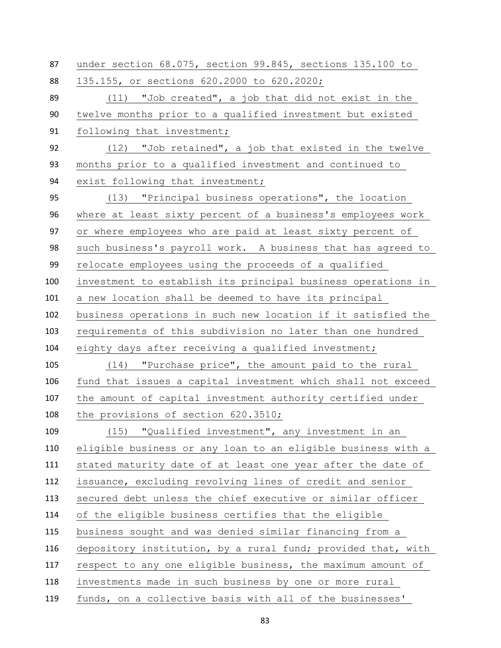| 87  | under section 68.075, section 99.845, sections 135.100 to    |
|-----|--------------------------------------------------------------|
| 88  | 135.155, or sections 620.2000 to 620.2020;                   |
| 89  | (11) "Job created", a job that did not exist in the          |
| 90  | twelve months prior to a qualified investment but existed    |
| 91  | following that investment;                                   |
| 92  | (12) "Job retained", a job that existed in the twelve        |
| 93  | months prior to a qualified investment and continued to      |
| 94  | exist following that investment;                             |
| 95  | (13) "Principal business operations", the location           |
| 96  | where at least sixty percent of a business's employees work  |
| 97  | or where employees who are paid at least sixty percent of    |
| 98  | such business's payroll work. A business that has agreed to  |
| 99  | relocate employees using the proceeds of a qualified         |
| 100 | investment to establish its principal business operations in |
| 101 | a new location shall be deemed to have its principal         |
| 102 | business operations in such new location if it satisfied the |
| 103 | requirements of this subdivision no later than one hundred   |
| 104 | eighty days after receiving a qualified investment;          |
| 105 | (14) "Purchase price", the amount paid to the rural          |
| 106 | fund that issues a capital investment which shall not exceed |
| 107 | the amount of capital investment authority certified under   |
| 108 | the provisions of section 620.3510;                          |
| 109 | "Qualified investment", any investment in an<br>(15)         |
| 110 | eligible business or any loan to an eligible business with a |
| 111 | stated maturity date of at least one year after the date of  |
| 112 | issuance, excluding revolving lines of credit and senior     |
| 113 | secured debt unless the chief executive or similar officer   |
| 114 | of the eligible business certifies that the eligible         |
| 115 | business sought and was denied similar financing from a      |
| 116 | depository institution, by a rural fund; provided that, with |
| 117 | respect to any one eligible business, the maximum amount of  |
| 118 | investments made in such business by one or more rural       |
| 119 | funds, on a collective basis with all of the businesses'     |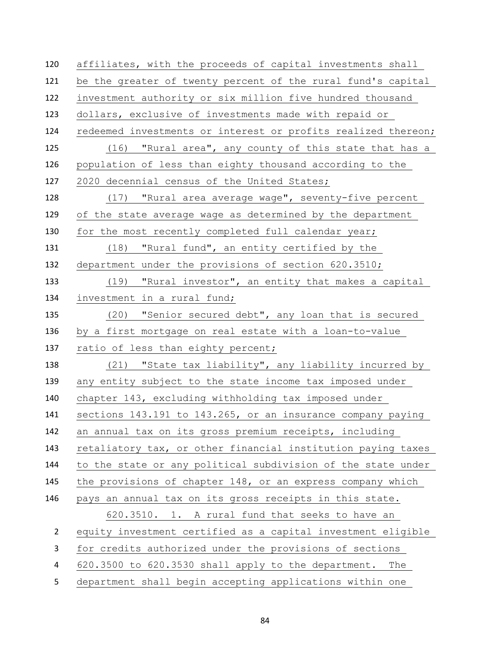affiliates, with the proceeds of capital investments shall be the greater of twenty percent of the rural fund's capital investment authority or six million five hundred thousand dollars, exclusive of investments made with repaid or redeemed investments or interest or profits realized thereon; (16) "Rural area", any county of this state that has a population of less than eighty thousand according to the 127 2020 decennial census of the United States; (17) "Rural area average wage", seventy-five percent of the state average wage as determined by the department 130 for the most recently completed full calendar year; (18) "Rural fund", an entity certified by the department under the provisions of section 620.3510; (19) "Rural investor", an entity that makes a capital 134 investment in a rural fund; (20) "Senior secured debt", any loan that is secured by a first mortgage on real estate with a loan-to-value 137 ratio of less than eighty percent; (21) "State tax liability", any liability incurred by any entity subject to the state income tax imposed under chapter 143, excluding withholding tax imposed under sections 143.191 to 143.265, or an insurance company paying an annual tax on its gross premium receipts, including retaliatory tax, or other financial institution paying taxes to the state or any political subdivision of the state under the provisions of chapter 148, or an express company which pays an annual tax on its gross receipts in this state. 620.3510. 1. A rural fund that seeks to have an equity investment certified as a capital investment eligible for credits authorized under the provisions of sections 620.3500 to 620.3530 shall apply to the department. The department shall begin accepting applications within one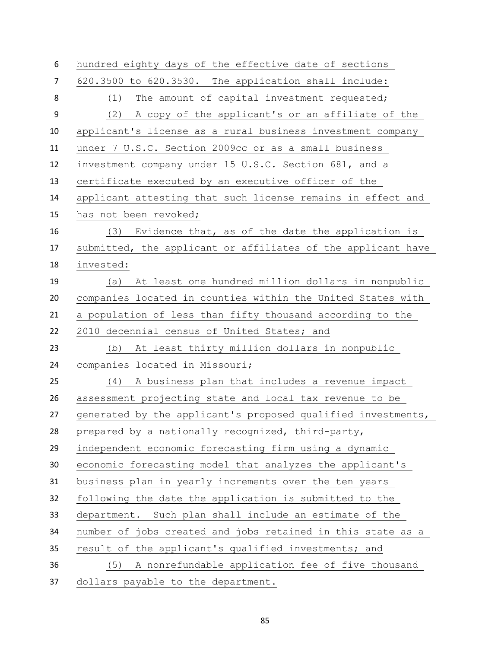| 6              | hundred eighty days of the effective date of sections        |
|----------------|--------------------------------------------------------------|
| $\overline{7}$ | 620.3500 to 620.3530. The application shall include:         |
| 8              | The amount of capital investment requested;<br>(1)           |
| 9              | (2) A copy of the applicant's or an affiliate of the         |
| 10             | applicant's license as a rural business investment company   |
| 11             | under 7 U.S.C. Section 2009cc or as a small business         |
| 12             | investment company under 15 U.S.C. Section 681, and a        |
| 13             | certificate executed by an executive officer of the          |
| 14             | applicant attesting that such license remains in effect and  |
| 15             | has not been revoked;                                        |
| 16             | (3) Evidence that, as of the date the application is         |
| 17             | submitted, the applicant or affiliates of the applicant have |
| 18             | invested:                                                    |
| 19             | (a) At least one hundred million dollars in nonpublic        |
| 20             | companies located in counties within the United States with  |
| 21             | a population of less than fifty thousand according to the    |
| 22             | 2010 decennial census of United States; and                  |
| 23             | At least thirty million dollars in nonpublic<br>(b)          |
| 24             | companies located in Missouri;                               |
| 25             | A business plan that includes a revenue impact<br>(4)        |
| 26             | assessment projecting state and local tax revenue to be      |
| 27             | generated by the applicant's proposed qualified investments, |
| 28             | prepared by a nationally recognized, third-party,            |
| 29             | independent economic forecasting firm using a dynamic        |
| 30             | economic forecasting model that analyzes the applicant's     |
| 31             | business plan in yearly increments over the ten years        |
| 32             | following the date the application is submitted to the       |
| 33             | department. Such plan shall include an estimate of the       |
| 34             | number of jobs created and jobs retained in this state as a  |
| 35             | result of the applicant's qualified investments; and         |
| 36             | A nonrefundable application fee of five thousand<br>(5)      |
| 37             | dollars payable to the department.                           |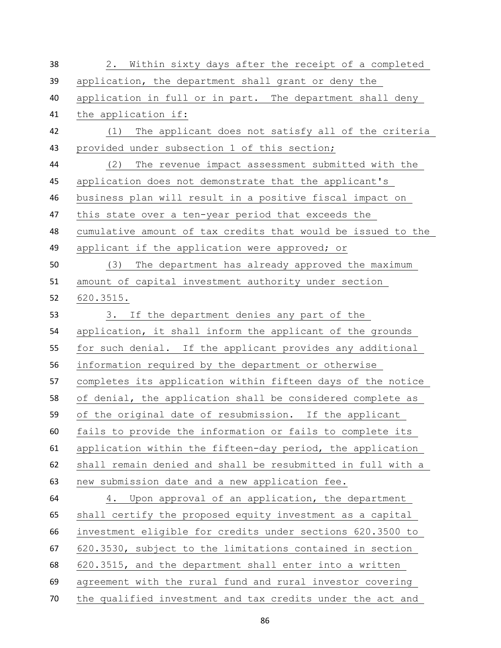| 38 | Within sixty days after the receipt of a completed<br>2.     |
|----|--------------------------------------------------------------|
| 39 | application, the department shall grant or deny the          |
| 40 | application in full or in part. The department shall deny    |
| 41 | the application if:                                          |
| 42 | The applicant does not satisfy all of the criteria<br>(1)    |
| 43 | provided under subsection 1 of this section;                 |
| 44 | The revenue impact assessment submitted with the<br>(2)      |
| 45 | application does not demonstrate that the applicant's        |
| 46 | business plan will result in a positive fiscal impact on     |
| 47 | this state over a ten-year period that exceeds the           |
| 48 | cumulative amount of tax credits that would be issued to the |
| 49 | applicant if the application were approved; or               |
| 50 | The department has already approved the maximum<br>(3)       |
| 51 | amount of capital investment authority under section         |
| 52 | 620.3515.                                                    |
| 53 | If the department denies any part of the<br>3.               |
| 54 | application, it shall inform the applicant of the grounds    |
| 55 | for such denial. If the applicant provides any additional    |
| 56 | information required by the department or otherwise          |
| 57 | completes its application within fifteen days of the notice  |
| 58 | of denial, the application shall be considered complete as   |
| 59 | of the original date of resubmission. If the applicant       |
| 60 | fails to provide the information or fails to complete its    |
| 61 | application within the fifteen-day period, the application   |
| 62 | shall remain denied and shall be resubmitted in full with a  |
| 63 | new submission date and a new application fee.               |
| 64 | Upon approval of an application, the department<br>4.        |
| 65 | shall certify the proposed equity investment as a capital    |
| 66 | investment eligible for credits under sections 620.3500 to   |
| 67 | 620.3530, subject to the limitations contained in section    |
| 68 | 620.3515, and the department shall enter into a written      |
| 69 | agreement with the rural fund and rural investor covering    |
| 70 | the qualified investment and tax credits under the act and   |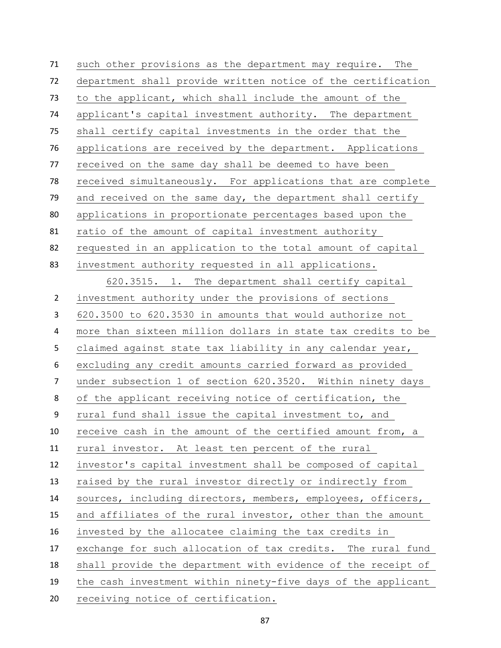such other provisions as the department may require. The department shall provide written notice of the certification to the applicant, which shall include the amount of the applicant's capital investment authority. The department shall certify capital investments in the order that the applications are received by the department. Applications received on the same day shall be deemed to have been received simultaneously. For applications that are complete 79 and received on the same day, the department shall certify applications in proportionate percentages based upon the ratio of the amount of capital investment authority requested in an application to the total amount of capital investment authority requested in all applications. 620.3515. 1. The department shall certify capital investment authority under the provisions of sections 620.3500 to 620.3530 in amounts that would authorize not more than sixteen million dollars in state tax credits to be claimed against state tax liability in any calendar year, excluding any credit amounts carried forward as provided under subsection 1 of section 620.3520. Within ninety days of the applicant receiving notice of certification, the rural fund shall issue the capital investment to, and receive cash in the amount of the certified amount from, a rural investor. At least ten percent of the rural investor's capital investment shall be composed of capital raised by the rural investor directly or indirectly from sources, including directors, members, employees, officers, and affiliates of the rural investor, other than the amount invested by the allocatee claiming the tax credits in exchange for such allocation of tax credits. The rural fund shall provide the department with evidence of the receipt of the cash investment within ninety-five days of the applicant receiving notice of certification.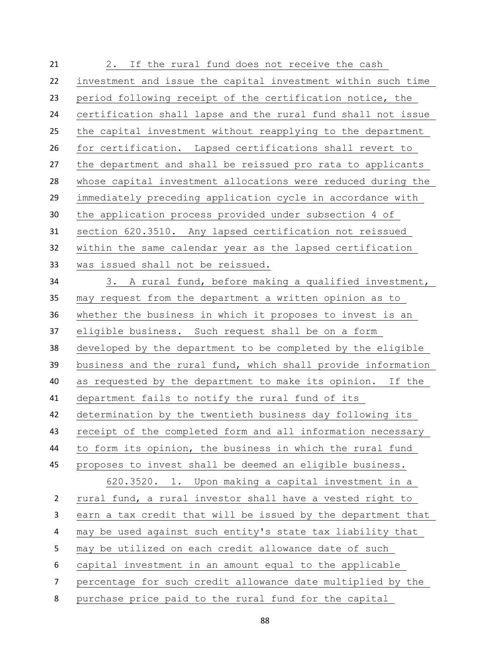2. If the rural fund does not receive the cash investment and issue the capital investment within such time period following receipt of the certification notice, the certification shall lapse and the rural fund shall not issue the capital investment without reapplying to the department for certification. Lapsed certifications shall revert to the department and shall be reissued pro rata to applicants whose capital investment allocations were reduced during the immediately preceding application cycle in accordance with the application process provided under subsection 4 of section 620.3510. Any lapsed certification not reissued within the same calendar year as the lapsed certification was issued shall not be reissued. 3. A rural fund, before making a qualified investment, may request from the department a written opinion as to whether the business in which it proposes to invest is an eligible business. Such request shall be on a form developed by the department to be completed by the eligible business and the rural fund, which shall provide information as requested by the department to make its opinion. If the department fails to notify the rural fund of its determination by the twentieth business day following its receipt of the completed form and all information necessary to form its opinion, the business in which the rural fund proposes to invest shall be deemed an eligible business. 620.3520. 1. Upon making a capital investment in a rural fund, a rural investor shall have a vested right to earn a tax credit that will be issued by the department that may be used against such entity's state tax liability that may be utilized on each credit allowance date of such capital investment in an amount equal to the applicable percentage for such credit allowance date multiplied by the purchase price paid to the rural fund for the capital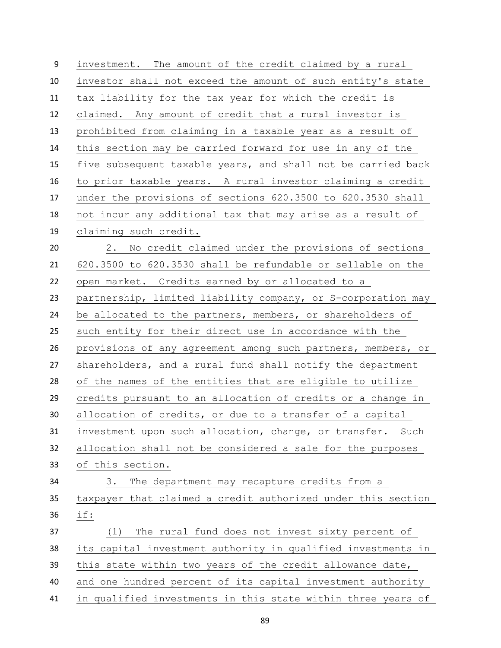| 9  | investment. The amount of the credit claimed by a rural       |
|----|---------------------------------------------------------------|
| 10 | investor shall not exceed the amount of such entity's state   |
| 11 | tax liability for the tax year for which the credit is        |
| 12 | claimed. Any amount of credit that a rural investor is        |
| 13 | prohibited from claiming in a taxable year as a result of     |
| 14 | this section may be carried forward for use in any of the     |
| 15 | five subsequent taxable years, and shall not be carried back  |
| 16 | to prior taxable years. A rural investor claiming a credit    |
| 17 | under the provisions of sections 620.3500 to 620.3530 shall   |
| 18 | not incur any additional tax that may arise as a result of    |
| 19 | claiming such credit.                                         |
| 20 | No credit claimed under the provisions of sections<br>2.      |
| 21 | 620.3500 to 620.3530 shall be refundable or sellable on the   |
| 22 | open market. Credits earned by or allocated to a              |
| 23 | partnership, limited liability company, or S-corporation may  |
| 24 | be allocated to the partners, members, or shareholders of     |
| 25 | such entity for their direct use in accordance with the       |
| 26 | provisions of any agreement among such partners, members, or  |
| 27 | shareholders, and a rural fund shall notify the department    |
| 28 | of the names of the entities that are eligible to utilize     |
| 29 | credits pursuant to an allocation of credits or a change in   |
| 30 | allocation of credits, or due to a transfer of a capital      |
| 31 | investment upon such allocation, change, or transfer.<br>Such |
| 32 | allocation shall not be considered a sale for the purposes    |
| 33 | of this section.                                              |
| 34 | The department may recapture credits from a<br>3.             |
| 35 | taxpayer that claimed a credit authorized under this section  |
| 36 | if:                                                           |
| 37 | The rural fund does not invest sixty percent of<br>(1)        |
| 38 | its capital investment authority in qualified investments in  |
| 39 | this state within two years of the credit allowance date,     |
| 40 | and one hundred percent of its capital investment authority   |
| 41 | in qualified investments in this state within three years of  |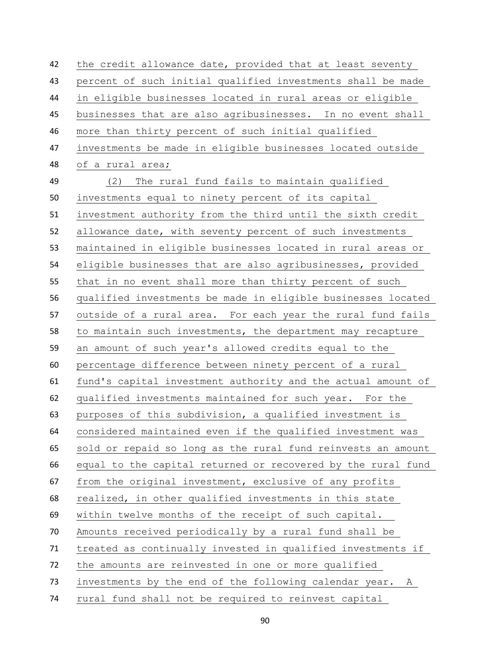42 the credit allowance date, provided that at least seventy percent of such initial qualified investments shall be made in eligible businesses located in rural areas or eligible businesses that are also agribusinesses. In no event shall more than thirty percent of such initial qualified investments be made in eligible businesses located outside of a rural area; (2) The rural fund fails to maintain qualified investments equal to ninety percent of its capital investment authority from the third until the sixth credit allowance date, with seventy percent of such investments maintained in eligible businesses located in rural areas or eligible businesses that are also agribusinesses, provided that in no event shall more than thirty percent of such qualified investments be made in eligible businesses located 57 outside of a rural area. For each year the rural fund fails to maintain such investments, the department may recapture an amount of such year's allowed credits equal to the percentage difference between ninety percent of a rural fund's capital investment authority and the actual amount of qualified investments maintained for such year. For the purposes of this subdivision, a qualified investment is considered maintained even if the qualified investment was sold or repaid so long as the rural fund reinvests an amount equal to the capital returned or recovered by the rural fund from the original investment, exclusive of any profits realized, in other qualified investments in this state within twelve months of the receipt of such capital. Amounts received periodically by a rural fund shall be treated as continually invested in qualified investments if the amounts are reinvested in one or more qualified investments by the end of the following calendar year. A rural fund shall not be required to reinvest capital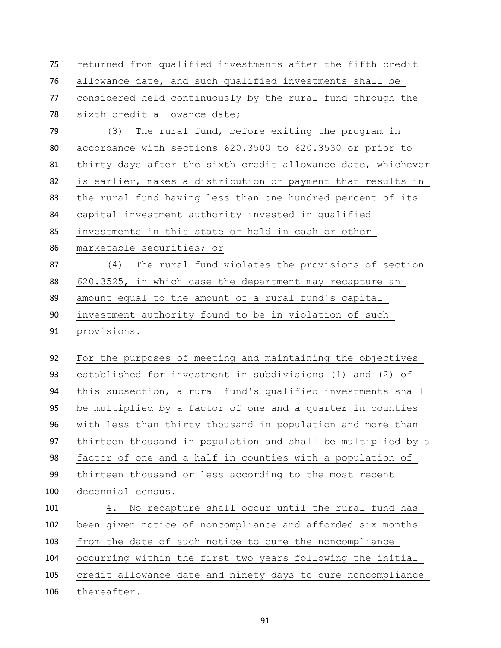| 75  | returned from qualified investments after the fifth credit   |
|-----|--------------------------------------------------------------|
| 76  | allowance date, and such qualified investments shall be      |
| 77  | considered held continuously by the rural fund through the   |
| 78  | sixth credit allowance date;                                 |
| 79  | The rural fund, before exiting the program in<br>(3)         |
| 80  | accordance with sections 620.3500 to 620.3530 or prior to    |
| 81  | thirty days after the sixth credit allowance date, whichever |
| 82  | is earlier, makes a distribution or payment that results in  |
| 83  | the rural fund having less than one hundred percent of its   |
| 84  | capital investment authority invested in qualified           |
| 85  | investments in this state or held in cash or other           |
| 86  | marketable securities; or                                    |
| 87  | (4)<br>The rural fund violates the provisions of section     |
| 88  | 620.3525, in which case the department may recapture an      |
| 89  | amount equal to the amount of a rural fund's capital         |
| 90  | investment authority found to be in violation of such        |
| 91  | provisions.                                                  |
| 92  | For the purposes of meeting and maintaining the objectives   |
| 93  | established for investment in subdivisions (1) and (2) of    |
| 94  | this subsection, a rural fund's qualified investments shall  |
| 95  | be multiplied by a factor of one and a quarter in counties   |
| 96  | with less than thirty thousand in population and more than   |
| 97  | thirteen thousand in population and shall be multiplied by a |
| 98  | factor of one and a half in counties with a population of    |
| 99  | thirteen thousand or less according to the most recent       |
| 100 | decennial census.                                            |
| 101 | No recapture shall occur until the rural fund has<br>4.      |
| 102 | been given notice of noncompliance and afforded six months   |
| 103 | from the date of such notice to cure the noncompliance       |
| 104 | occurring within the first two years following the initial   |
| 105 | credit allowance date and ninety days to cure noncompliance  |
| 106 | thereafter.                                                  |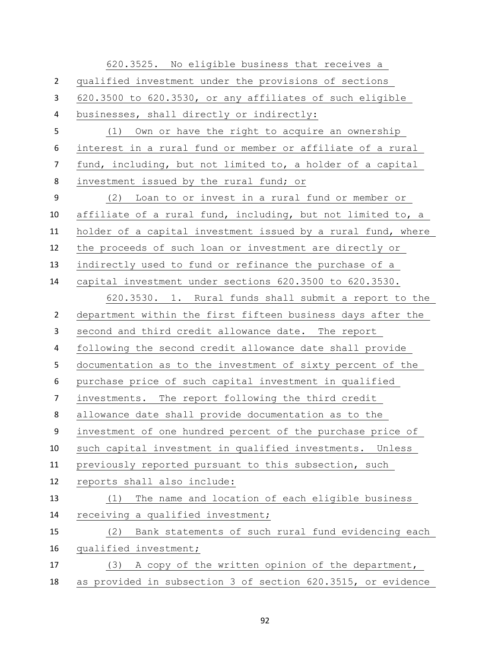620.3525. No eligible business that receives a qualified investment under the provisions of sections 620.3500 to 620.3530, or any affiliates of such eligible businesses, shall directly or indirectly: (1) Own or have the right to acquire an ownership interest in a rural fund or member or affiliate of a rural fund, including, but not limited to, a holder of a capital investment issued by the rural fund; or (2) Loan to or invest in a rural fund or member or affiliate of a rural fund, including, but not limited to, a holder of a capital investment issued by a rural fund, where the proceeds of such loan or investment are directly or indirectly used to fund or refinance the purchase of a capital investment under sections 620.3500 to 620.3530. 620.3530. 1. Rural funds shall submit a report to the department within the first fifteen business days after the second and third credit allowance date. The report following the second credit allowance date shall provide documentation as to the investment of sixty percent of the purchase price of such capital investment in qualified investments. The report following the third credit allowance date shall provide documentation as to the investment of one hundred percent of the purchase price of such capital investment in qualified investments. Unless previously reported pursuant to this subsection, such reports shall also include: (1) The name and location of each eligible business 14 receiving a qualified investment; (2) Bank statements of such rural fund evidencing each 16 qualified investment; (3) A copy of the written opinion of the department, as provided in subsection 3 of section 620.3515, or evidence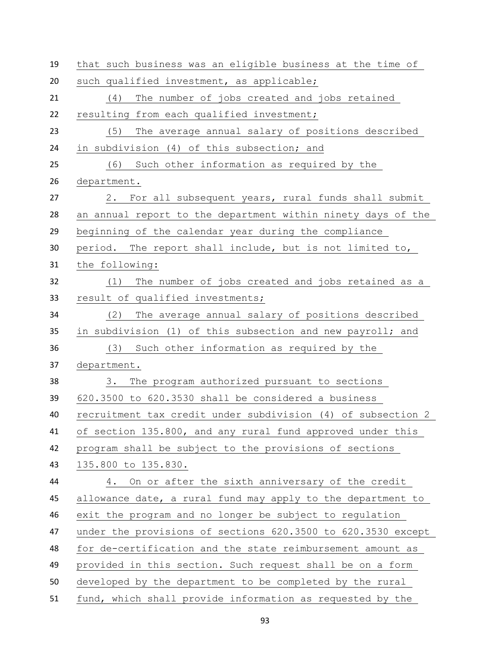| 19 | that such business was an eligible business at the time of   |
|----|--------------------------------------------------------------|
| 20 | such qualified investment, as applicable;                    |
| 21 | The number of jobs created and jobs retained<br>(4)          |
| 22 | resulting from each qualified investment;                    |
| 23 | The average annual salary of positions described<br>(5)      |
| 24 | in subdivision (4) of this subsection; and                   |
| 25 | (6) Such other information as required by the                |
| 26 | department.                                                  |
| 27 | For all subsequent years, rural funds shall submit<br>2.     |
| 28 | an annual report to the department within ninety days of the |
| 29 | beginning of the calendar year during the compliance         |
| 30 | period. The report shall include, but is not limited to,     |
| 31 | the following:                                               |
| 32 | The number of jobs created and jobs retained as a<br>(1)     |
| 33 | result of qualified investments;                             |
| 34 | (2)<br>The average annual salary of positions described      |
| 35 | in subdivision (1) of this subsection and new payroll; and   |
| 36 | (3) Such other information as required by the                |
| 37 | department.                                                  |
| 38 | The program authorized pursuant to sections<br>3.            |
| 39 | 620.3500 to 620.3530 shall be considered a business          |
| 40 | recruitment tax credit under subdivision (4) of subsection 2 |
| 41 | of section 135.800, and any rural fund approved under this   |
| 42 | program shall be subject to the provisions of sections       |
| 43 | 135.800 to 135.830.                                          |
| 44 | 4. On or after the sixth anniversary of the credit           |
| 45 | allowance date, a rural fund may apply to the department to  |
| 46 | exit the program and no longer be subject to regulation      |
| 47 | under the provisions of sections 620.3500 to 620.3530 except |
| 48 | for de-certification and the state reimbursement amount as   |
| 49 | provided in this section. Such request shall be on a form    |
| 50 | developed by the department to be completed by the rural     |
| 51 | fund, which shall provide information as requested by the    |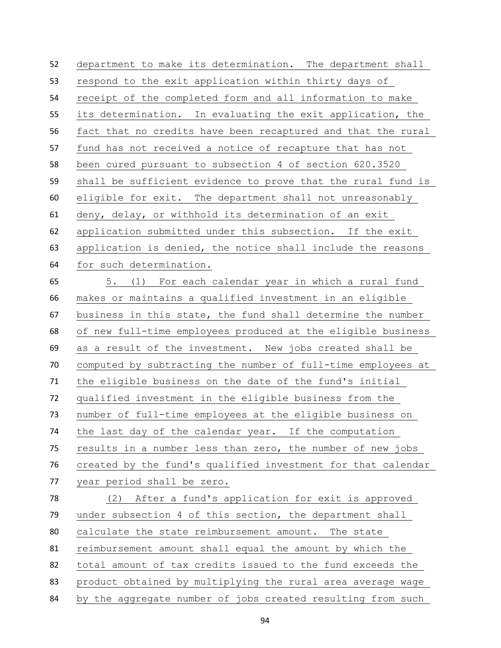department to make its determination. The department shall respond to the exit application within thirty days of receipt of the completed form and all information to make its determination. In evaluating the exit application, the fact that no credits have been recaptured and that the rural fund has not received a notice of recapture that has not been cured pursuant to subsection 4 of section 620.3520 shall be sufficient evidence to prove that the rural fund is eligible for exit. The department shall not unreasonably deny, delay, or withhold its determination of an exit application submitted under this subsection. If the exit application is denied, the notice shall include the reasons for such determination. 5. (1) For each calendar year in which a rural fund makes or maintains a qualified investment in an eligible business in this state, the fund shall determine the number of new full-time employees produced at the eligible business as a result of the investment. New jobs created shall be computed by subtracting the number of full-time employees at the eligible business on the date of the fund's initial qualified investment in the eligible business from the number of full-time employees at the eligible business on the last day of the calendar year. If the computation results in a number less than zero, the number of new jobs created by the fund's qualified investment for that calendar year period shall be zero. (2) After a fund's application for exit is approved under subsection 4 of this section, the department shall calculate the state reimbursement amount. The state reimbursement amount shall equal the amount by which the total amount of tax credits issued to the fund exceeds the product obtained by multiplying the rural area average wage by the aggregate number of jobs created resulting from such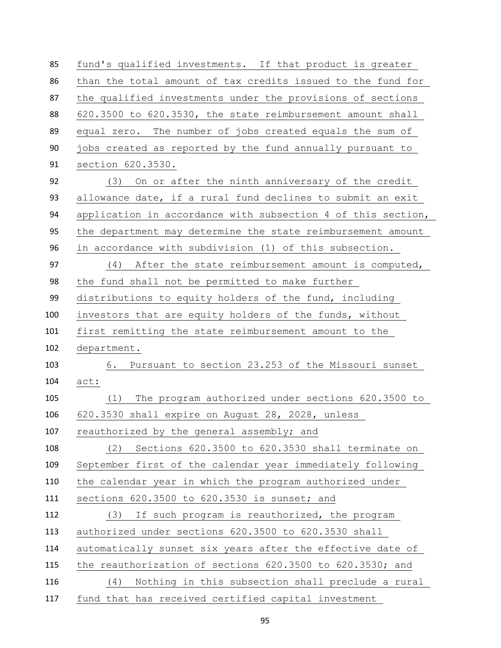fund's qualified investments. If that product is greater than the total amount of tax credits issued to the fund for the qualified investments under the provisions of sections 620.3500 to 620.3530, the state reimbursement amount shall equal zero. The number of jobs created equals the sum of jobs created as reported by the fund annually pursuant to section 620.3530. (3) On or after the ninth anniversary of the credit allowance date, if a rural fund declines to submit an exit application in accordance with subsection 4 of this section, the department may determine the state reimbursement amount in accordance with subdivision (1) of this subsection. (4) After the state reimbursement amount is computed, the fund shall not be permitted to make further distributions to equity holders of the fund, including investors that are equity holders of the funds, without first remitting the state reimbursement amount to the department. 6. Pursuant to section 23.253 of the Missouri sunset act: (1) The program authorized under sections 620.3500 to 620.3530 shall expire on August 28, 2028, unless 107 reauthorized by the general assembly; and (2) Sections 620.3500 to 620.3530 shall terminate on September first of the calendar year immediately following the calendar year in which the program authorized under sections 620.3500 to 620.3530 is sunset; and (3) If such program is reauthorized, the program authorized under sections 620.3500 to 620.3530 shall automatically sunset six years after the effective date of the reauthorization of sections 620.3500 to 620.3530; and (4) Nothing in this subsection shall preclude a rural fund that has received certified capital investment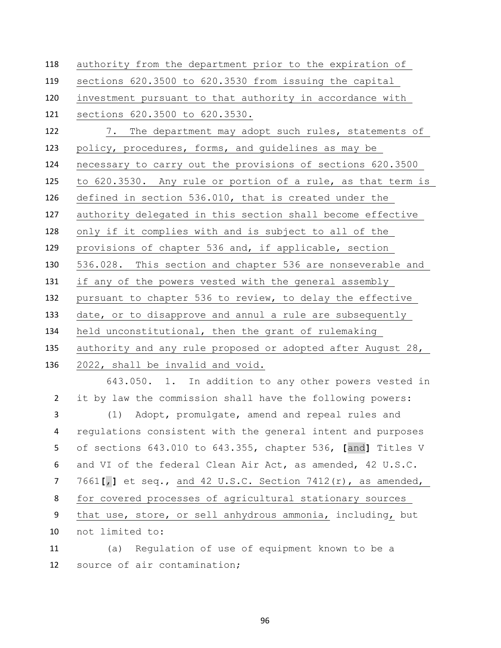authority from the department prior to the expiration of sections 620.3500 to 620.3530 from issuing the capital investment pursuant to that authority in accordance with sections 620.3500 to 620.3530. 7. The department may adopt such rules, statements of policy, procedures, forms, and guidelines as may be necessary to carry out the provisions of sections 620.3500 to 620.3530. Any rule or portion of a rule, as that term is defined in section 536.010, that is created under the authority delegated in this section shall become effective only if it complies with and is subject to all of the provisions of chapter 536 and, if applicable, section 536.028. This section and chapter 536 are nonseverable and if any of the powers vested with the general assembly pursuant to chapter 536 to review, to delay the effective date, or to disapprove and annul a rule are subsequently held unconstitutional, then the grant of rulemaking authority and any rule proposed or adopted after August 28, 2022, shall be invalid and void. 643.050. 1. In addition to any other powers vested in it by law the commission shall have the following powers:

 (1) Adopt, promulgate, amend and repeal rules and regulations consistent with the general intent and purposes of sections 643.010 to 643.355, chapter 536, **[**and**]** Titles V and VI of the federal Clean Air Act, as amended, 42 U.S.C. 7661**[**,**]** et seq., and 42 U.S.C. Section 7412(r), as amended, for covered processes of agricultural stationary sources that use, store, or sell anhydrous ammonia, including, but not limited to: (a) Regulation of use of equipment known to be a

source of air contamination;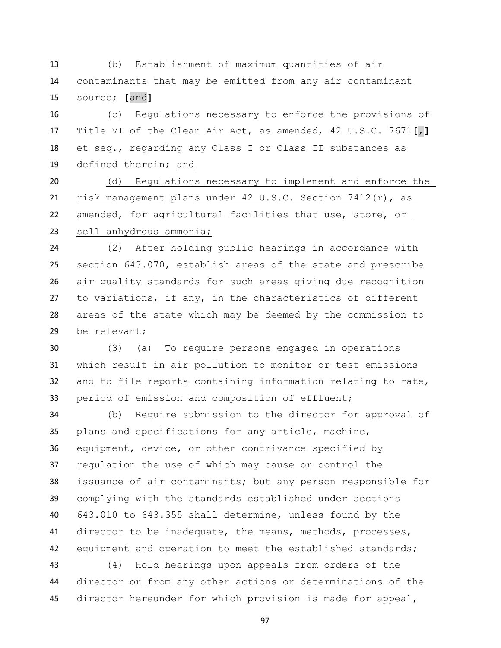(b) Establishment of maximum quantities of air contaminants that may be emitted from any air contaminant source; **[**and**]**

 (c) Regulations necessary to enforce the provisions of Title VI of the Clean Air Act, as amended, 42 U.S.C. 7671**[**,**]** et seq., regarding any Class I or Class II substances as defined therein; and

 (d) Regulations necessary to implement and enforce the risk management plans under 42 U.S.C. Section 7412(r), as amended, for agricultural facilities that use, store, or sell anhydrous ammonia;

 (2) After holding public hearings in accordance with section 643.070, establish areas of the state and prescribe air quality standards for such areas giving due recognition to variations, if any, in the characteristics of different areas of the state which may be deemed by the commission to be relevant;

 (3) (a) To require persons engaged in operations which result in air pollution to monitor or test emissions and to file reports containing information relating to rate, period of emission and composition of effluent;

 (b) Require submission to the director for approval of plans and specifications for any article, machine, equipment, device, or other contrivance specified by regulation the use of which may cause or control the issuance of air contaminants; but any person responsible for complying with the standards established under sections 643.010 to 643.355 shall determine, unless found by the director to be inadequate, the means, methods, processes, 42 equipment and operation to meet the established standards;

 (4) Hold hearings upon appeals from orders of the director or from any other actions or determinations of the 45 director hereunder for which provision is made for appeal,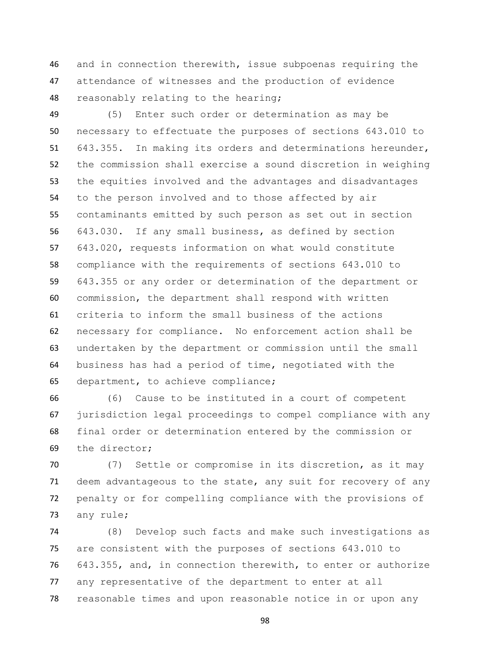and in connection therewith, issue subpoenas requiring the attendance of witnesses and the production of evidence reasonably relating to the hearing;

 (5) Enter such order or determination as may be necessary to effectuate the purposes of sections 643.010 to 643.355. In making its orders and determinations hereunder, the commission shall exercise a sound discretion in weighing the equities involved and the advantages and disadvantages to the person involved and to those affected by air contaminants emitted by such person as set out in section 643.030. If any small business, as defined by section 643.020, requests information on what would constitute compliance with the requirements of sections 643.010 to 643.355 or any order or determination of the department or commission, the department shall respond with written criteria to inform the small business of the actions necessary for compliance. No enforcement action shall be undertaken by the department or commission until the small business has had a period of time, negotiated with the department, to achieve compliance;

 (6) Cause to be instituted in a court of competent jurisdiction legal proceedings to compel compliance with any final order or determination entered by the commission or the director;

 (7) Settle or compromise in its discretion, as it may deem advantageous to the state, any suit for recovery of any penalty or for compelling compliance with the provisions of any rule;

 (8) Develop such facts and make such investigations as are consistent with the purposes of sections 643.010 to 643.355, and, in connection therewith, to enter or authorize any representative of the department to enter at all reasonable times and upon reasonable notice in or upon any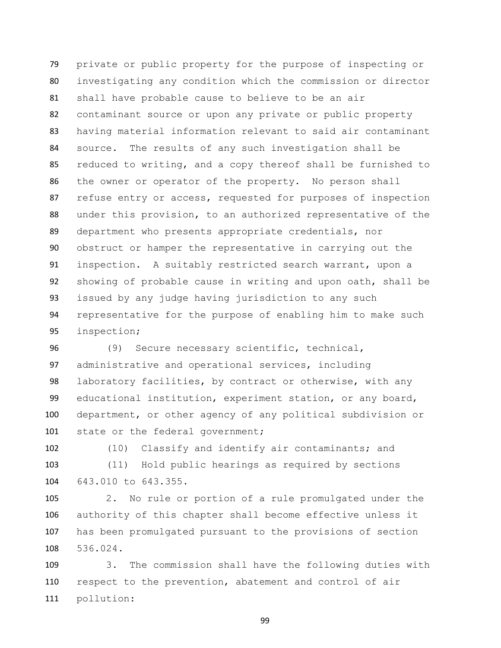private or public property for the purpose of inspecting or investigating any condition which the commission or director shall have probable cause to believe to be an air contaminant source or upon any private or public property having material information relevant to said air contaminant source. The results of any such investigation shall be reduced to writing, and a copy thereof shall be furnished to the owner or operator of the property. No person shall 87 refuse entry or access, requested for purposes of inspection under this provision, to an authorized representative of the department who presents appropriate credentials, nor obstruct or hamper the representative in carrying out the inspection. A suitably restricted search warrant, upon a showing of probable cause in writing and upon oath, shall be issued by any judge having jurisdiction to any such representative for the purpose of enabling him to make such inspection;

 (9) Secure necessary scientific, technical, administrative and operational services, including laboratory facilities, by contract or otherwise, with any educational institution, experiment station, or any board, department, or other agency of any political subdivision or 101 state or the federal government;

(10) Classify and identify air contaminants; and

 (11) Hold public hearings as required by sections 643.010 to 643.355.

 2. No rule or portion of a rule promulgated under the authority of this chapter shall become effective unless it has been promulgated pursuant to the provisions of section 536.024.

 3. The commission shall have the following duties with respect to the prevention, abatement and control of air pollution: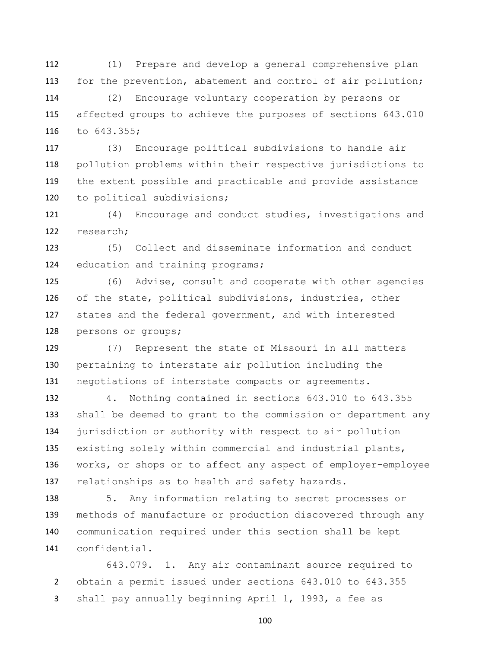(1) Prepare and develop a general comprehensive plan for the prevention, abatement and control of air pollution; (2) Encourage voluntary cooperation by persons or affected groups to achieve the purposes of sections 643.010

to 643.355;

 (3) Encourage political subdivisions to handle air pollution problems within their respective jurisdictions to the extent possible and practicable and provide assistance to political subdivisions;

 (4) Encourage and conduct studies, investigations and research;

 (5) Collect and disseminate information and conduct 124 education and training programs;

 (6) Advise, consult and cooperate with other agencies of the state, political subdivisions, industries, other states and the federal government, and with interested persons or groups;

 (7) Represent the state of Missouri in all matters pertaining to interstate air pollution including the negotiations of interstate compacts or agreements.

 4. Nothing contained in sections 643.010 to 643.355 shall be deemed to grant to the commission or department any jurisdiction or authority with respect to air pollution existing solely within commercial and industrial plants, works, or shops or to affect any aspect of employer-employee relationships as to health and safety hazards.

 5. Any information relating to secret processes or methods of manufacture or production discovered through any communication required under this section shall be kept confidential.

 643.079. 1. Any air contaminant source required to obtain a permit issued under sections 643.010 to 643.355 shall pay annually beginning April 1, 1993, a fee as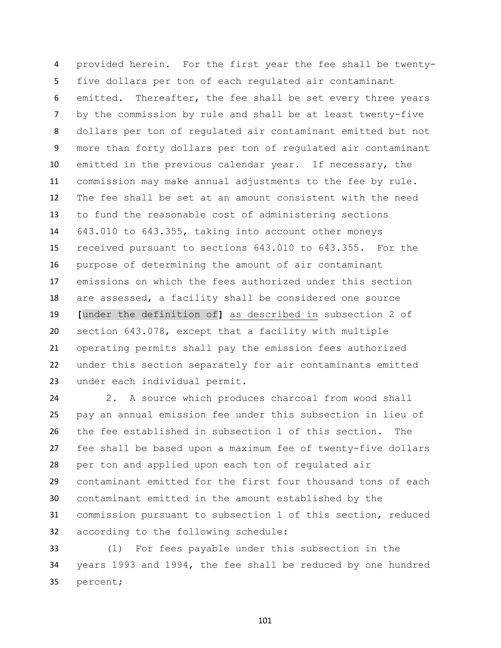provided herein. For the first year the fee shall be twenty- five dollars per ton of each regulated air contaminant emitted. Thereafter, the fee shall be set every three years by the commission by rule and shall be at least twenty-five dollars per ton of regulated air contaminant emitted but not more than forty dollars per ton of regulated air contaminant emitted in the previous calendar year. If necessary, the commission may make annual adjustments to the fee by rule. The fee shall be set at an amount consistent with the need to fund the reasonable cost of administering sections 643.010 to 643.355, taking into account other moneys received pursuant to sections 643.010 to 643.355. For the purpose of determining the amount of air contaminant emissions on which the fees authorized under this section are assessed, a facility shall be considered one source **[**under the definition of**]** as described in subsection 2 of section 643.078, except that a facility with multiple operating permits shall pay the emission fees authorized under this section separately for air contaminants emitted under each individual permit.

 2. A source which produces charcoal from wood shall pay an annual emission fee under this subsection in lieu of the fee established in subsection 1 of this section. The fee shall be based upon a maximum fee of twenty-five dollars per ton and applied upon each ton of regulated air contaminant emitted for the first four thousand tons of each contaminant emitted in the amount established by the commission pursuant to subsection 1 of this section, reduced according to the following schedule:

 (1) For fees payable under this subsection in the years 1993 and 1994, the fee shall be reduced by one hundred percent;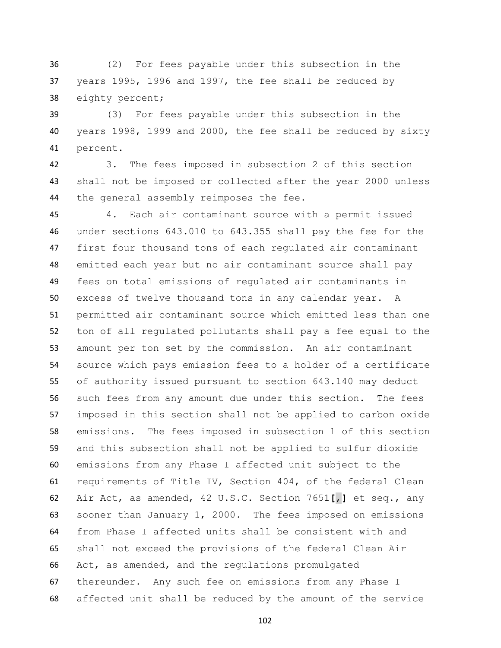(2) For fees payable under this subsection in the years 1995, 1996 and 1997, the fee shall be reduced by eighty percent;

 (3) For fees payable under this subsection in the years 1998, 1999 and 2000, the fee shall be reduced by sixty percent.

 3. The fees imposed in subsection 2 of this section shall not be imposed or collected after the year 2000 unless 44 the general assembly reimposes the fee.

 4. Each air contaminant source with a permit issued under sections 643.010 to 643.355 shall pay the fee for the first four thousand tons of each regulated air contaminant emitted each year but no air contaminant source shall pay fees on total emissions of regulated air contaminants in excess of twelve thousand tons in any calendar year. A permitted air contaminant source which emitted less than one ton of all regulated pollutants shall pay a fee equal to the amount per ton set by the commission. An air contaminant source which pays emission fees to a holder of a certificate of authority issued pursuant to section 643.140 may deduct such fees from any amount due under this section. The fees imposed in this section shall not be applied to carbon oxide emissions. The fees imposed in subsection 1 of this section and this subsection shall not be applied to sulfur dioxide emissions from any Phase I affected unit subject to the requirements of Title IV, Section 404, of the federal Clean Air Act, as amended, 42 U.S.C. Section 7651**[**,**]** et seq., any sooner than January 1, 2000. The fees imposed on emissions from Phase I affected units shall be consistent with and shall not exceed the provisions of the federal Clean Air Act, as amended, and the regulations promulgated thereunder. Any such fee on emissions from any Phase I affected unit shall be reduced by the amount of the service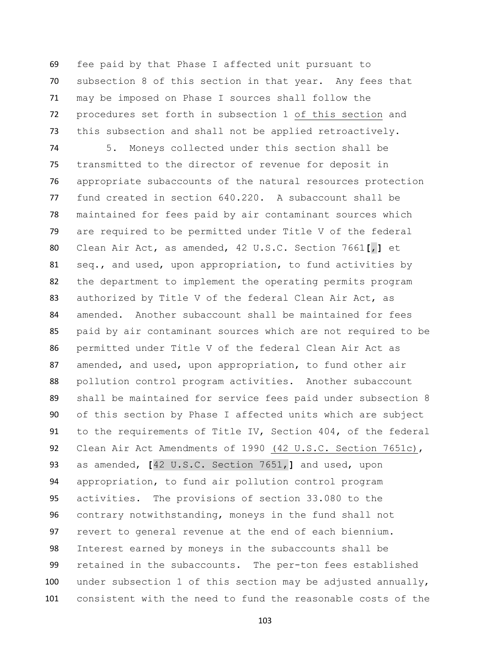fee paid by that Phase I affected unit pursuant to subsection 8 of this section in that year. Any fees that may be imposed on Phase I sources shall follow the procedures set forth in subsection 1 of this section and this subsection and shall not be applied retroactively.

 5. Moneys collected under this section shall be transmitted to the director of revenue for deposit in appropriate subaccounts of the natural resources protection fund created in section 640.220. A subaccount shall be maintained for fees paid by air contaminant sources which are required to be permitted under Title V of the federal Clean Air Act, as amended, 42 U.S.C. Section 7661**[**,**]** et seq., and used, upon appropriation, to fund activities by the department to implement the operating permits program authorized by Title V of the federal Clean Air Act, as amended. Another subaccount shall be maintained for fees paid by air contaminant sources which are not required to be permitted under Title V of the federal Clean Air Act as amended, and used, upon appropriation, to fund other air pollution control program activities. Another subaccount shall be maintained for service fees paid under subsection 8 of this section by Phase I affected units which are subject to the requirements of Title IV, Section 404, of the federal 92 Clean Air Act Amendments of 1990 (42 U.S.C. Section 7651c), as amended, **[**42 U.S.C. Section 7651,**]** and used, upon appropriation, to fund air pollution control program activities. The provisions of section 33.080 to the contrary notwithstanding, moneys in the fund shall not revert to general revenue at the end of each biennium. Interest earned by moneys in the subaccounts shall be retained in the subaccounts. The per-ton fees established under subsection 1 of this section may be adjusted annually, consistent with the need to fund the reasonable costs of the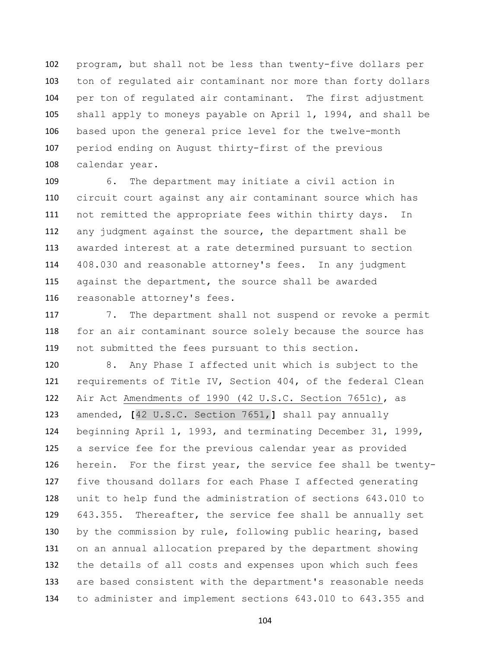program, but shall not be less than twenty-five dollars per ton of regulated air contaminant nor more than forty dollars per ton of regulated air contaminant. The first adjustment shall apply to moneys payable on April 1, 1994, and shall be based upon the general price level for the twelve-month period ending on August thirty-first of the previous calendar year.

 6. The department may initiate a civil action in circuit court against any air contaminant source which has not remitted the appropriate fees within thirty days. In any judgment against the source, the department shall be awarded interest at a rate determined pursuant to section 408.030 and reasonable attorney's fees. In any judgment against the department, the source shall be awarded reasonable attorney's fees.

117 117 7. The department shall not suspend or revoke a permit for an air contaminant source solely because the source has not submitted the fees pursuant to this section.

 8. Any Phase I affected unit which is subject to the requirements of Title IV, Section 404, of the federal Clean Air Act Amendments of 1990 (42 U.S.C. Section 7651c), as amended, **[**42 U.S.C. Section 7651,**]** shall pay annually beginning April 1, 1993, and terminating December 31, 1999, a service fee for the previous calendar year as provided herein. For the first year, the service fee shall be twenty- five thousand dollars for each Phase I affected generating unit to help fund the administration of sections 643.010 to 643.355. Thereafter, the service fee shall be annually set by the commission by rule, following public hearing, based on an annual allocation prepared by the department showing the details of all costs and expenses upon which such fees are based consistent with the department's reasonable needs to administer and implement sections 643.010 to 643.355 and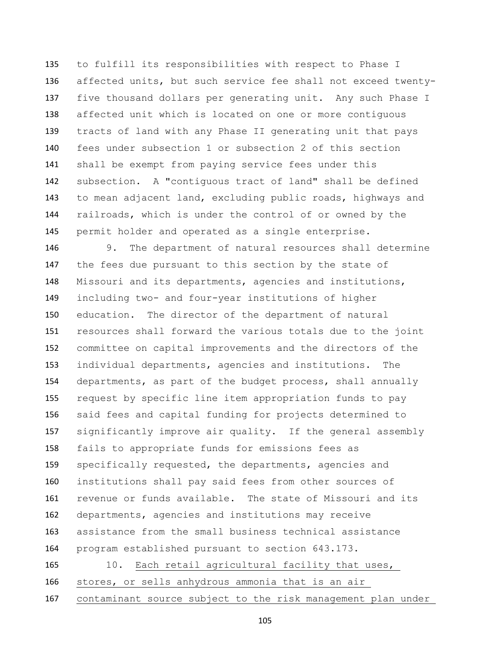to fulfill its responsibilities with respect to Phase I affected units, but such service fee shall not exceed twenty- five thousand dollars per generating unit. Any such Phase I affected unit which is located on one or more contiguous tracts of land with any Phase II generating unit that pays fees under subsection 1 or subsection 2 of this section shall be exempt from paying service fees under this subsection. A "contiguous tract of land" shall be defined to mean adjacent land, excluding public roads, highways and railroads, which is under the control of or owned by the permit holder and operated as a single enterprise.

 9. The department of natural resources shall determine the fees due pursuant to this section by the state of Missouri and its departments, agencies and institutions, including two- and four-year institutions of higher education. The director of the department of natural resources shall forward the various totals due to the joint committee on capital improvements and the directors of the individual departments, agencies and institutions. The departments, as part of the budget process, shall annually request by specific line item appropriation funds to pay said fees and capital funding for projects determined to significantly improve air quality. If the general assembly fails to appropriate funds for emissions fees as 159 specifically requested, the departments, agencies and institutions shall pay said fees from other sources of revenue or funds available. The state of Missouri and its departments, agencies and institutions may receive assistance from the small business technical assistance program established pursuant to section 643.173.

 10. Each retail agricultural facility that uses, stores, or sells anhydrous ammonia that is an air contaminant source subject to the risk management plan under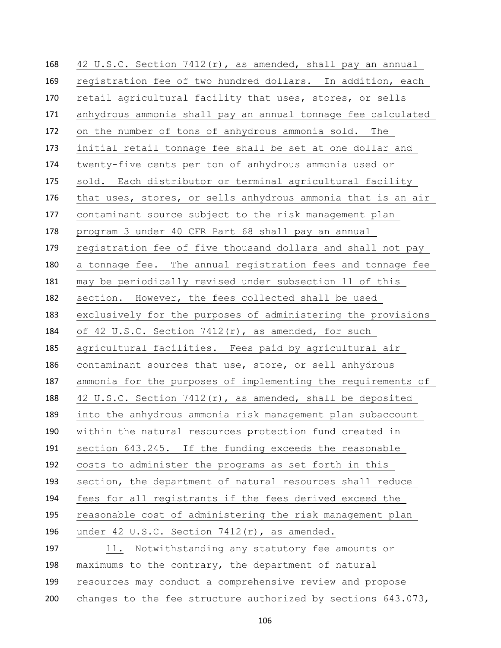42 U.S.C. Section 7412(r), as amended, shall pay an annual registration fee of two hundred dollars. In addition, each 170 retail agricultural facility that uses, stores, or sells anhydrous ammonia shall pay an annual tonnage fee calculated on the number of tons of anhydrous ammonia sold. The initial retail tonnage fee shall be set at one dollar and twenty-five cents per ton of anhydrous ammonia used or sold. Each distributor or terminal agricultural facility that uses, stores, or sells anhydrous ammonia that is an air contaminant source subject to the risk management plan program 3 under 40 CFR Part 68 shall pay an annual registration fee of five thousand dollars and shall not pay a tonnage fee. The annual registration fees and tonnage fee may be periodically revised under subsection 11 of this section. However, the fees collected shall be used exclusively for the purposes of administering the provisions of 42 U.S.C. Section 7412(r), as amended, for such agricultural facilities. Fees paid by agricultural air contaminant sources that use, store, or sell anhydrous ammonia for the purposes of implementing the requirements of 42 U.S.C. Section 7412(r), as amended, shall be deposited into the anhydrous ammonia risk management plan subaccount within the natural resources protection fund created in section 643.245. If the funding exceeds the reasonable costs to administer the programs as set forth in this section, the department of natural resources shall reduce fees for all registrants if the fees derived exceed the reasonable cost of administering the risk management plan under 42 U.S.C. Section 7412(r), as amended. 11. Notwithstanding any statutory fee amounts or maximums to the contrary, the department of natural resources may conduct a comprehensive review and propose

200 changes to the fee structure authorized by sections 643.073,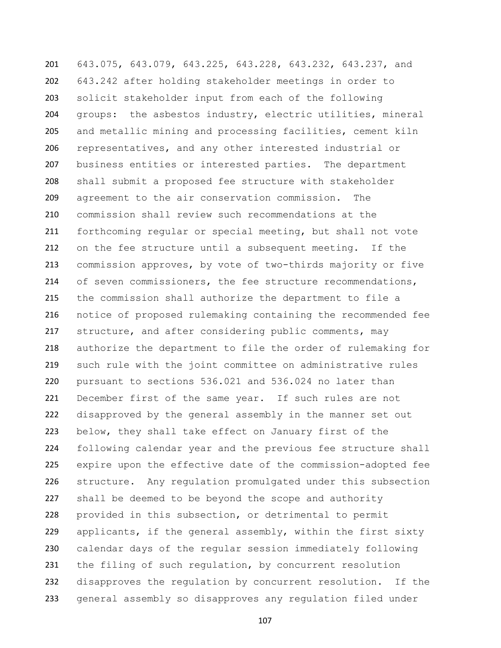643.075, 643.079, 643.225, 643.228, 643.232, 643.237, and 643.242 after holding stakeholder meetings in order to solicit stakeholder input from each of the following groups: the asbestos industry, electric utilities, mineral and metallic mining and processing facilities, cement kiln representatives, and any other interested industrial or business entities or interested parties. The department shall submit a proposed fee structure with stakeholder agreement to the air conservation commission. The commission shall review such recommendations at the forthcoming regular or special meeting, but shall not vote on the fee structure until a subsequent meeting. If the commission approves, by vote of two-thirds majority or five 214 of seven commissioners, the fee structure recommendations, the commission shall authorize the department to file a notice of proposed rulemaking containing the recommended fee 217 structure, and after considering public comments, may authorize the department to file the order of rulemaking for such rule with the joint committee on administrative rules pursuant to sections 536.021 and 536.024 no later than December first of the same year. If such rules are not disapproved by the general assembly in the manner set out below, they shall take effect on January first of the following calendar year and the previous fee structure shall expire upon the effective date of the commission-adopted fee structure. Any regulation promulgated under this subsection shall be deemed to be beyond the scope and authority provided in this subsection, or detrimental to permit applicants, if the general assembly, within the first sixty calendar days of the regular session immediately following the filing of such regulation, by concurrent resolution disapproves the regulation by concurrent resolution. If the general assembly so disapproves any regulation filed under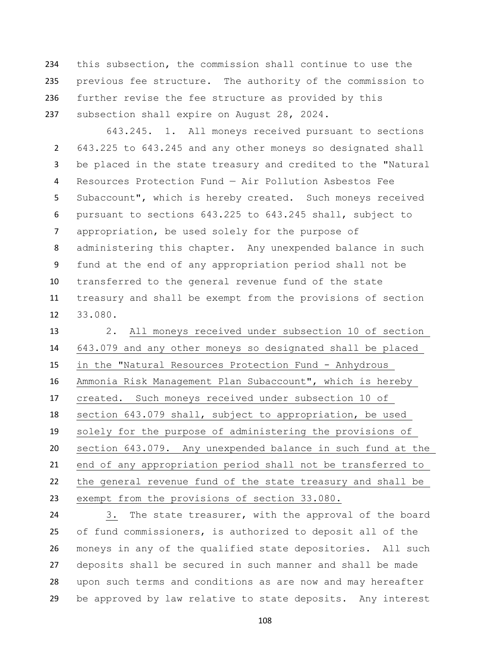this subsection, the commission shall continue to use the previous fee structure. The authority of the commission to further revise the fee structure as provided by this subsection shall expire on August 28, 2024.

643.245. 1. All moneys received pursuant to sections 643.225 to 643.245 and any other moneys so designated shall be placed in the state treasury and credited to the "Natural Resources Protection Fund — Air Pollution Asbestos Fee Subaccount", which is hereby created. Such moneys received pursuant to sections 643.225 to 643.245 shall, subject to appropriation, be used solely for the purpose of administering this chapter. Any unexpended balance in such fund at the end of any appropriation period shall not be transferred to the general revenue fund of the state treasury and shall be exempt from the provisions of section 33.080.

 2. All moneys received under subsection 10 of section 643.079 and any other moneys so designated shall be placed in the "Natural Resources Protection Fund - Anhydrous Ammonia Risk Management Plan Subaccount", which is hereby created. Such moneys received under subsection 10 of section 643.079 shall, subject to appropriation, be used solely for the purpose of administering the provisions of section 643.079. Any unexpended balance in such fund at the end of any appropriation period shall not be transferred to the general revenue fund of the state treasury and shall be exempt from the provisions of section 33.080.

 3. The state treasurer, with the approval of the board of fund commissioners, is authorized to deposit all of the moneys in any of the qualified state depositories. All such deposits shall be secured in such manner and shall be made upon such terms and conditions as are now and may hereafter be approved by law relative to state deposits. Any interest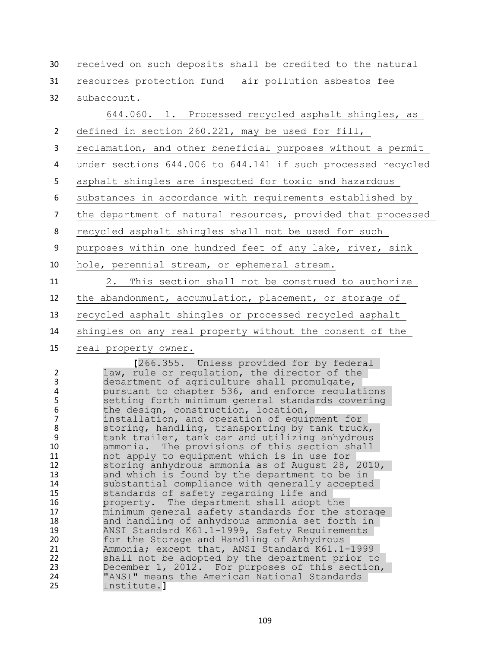received on such deposits shall be credited to the natural resources protection fund — air pollution asbestos fee subaccount.

|                | 644.060. 1. Processed recycled asphalt shingles, as          |
|----------------|--------------------------------------------------------------|
| $2^{\circ}$    | defined in section 260.221, may be used for fill,            |
| 3              | reclamation, and other beneficial purposes without a permit  |
| 4              | under sections 644.006 to 644.141 if such processed recycled |
| 5              | asphalt shingles are inspected for toxic and hazardous       |
| 6              | substances in accordance with requirements established by    |
| $\overline{7}$ | the department of natural resources, provided that processed |
| 8              | recycled asphalt shingles shall not be used for such         |
| 9              | purposes within one hundred feet of any lake, river, sink    |
| 10             | hole, perennial stream, or ephemeral stream.                 |
| 11             | 2. This section shall not be construed to authorize          |
| 12             | the abandonment, accumulation, placement, or storage of      |
| 13             | recycled asphalt shingles or processed recycled asphalt      |
| 14             | shingles on any real property without the consent of the     |
| 15             | real property owner.                                         |

1266.355. Unless provided for by federal<br>12 **1** law, rule or requlation, the director of the 2 law, rule or regulation, the director of the<br>3 department of agriculture shall promulgate, 3 department of agriculture shall promulgate,<br>4 bursuant to chapter 536, and enforce regula 4 pursuant to chapter 536, and enforce regulations<br>5 Setting forth minimum general standards covering setting forth minimum general standards covering 6 the design, construction, location,<br>7 installation, and operation of equip 7 installation, and operation of equipment for<br>8 storing, handling, transporting by tank truck 8 storing, handling, transporting by tank truck,<br>9 tank trailer, tank car and utilizing anhydrous tank trailer, tank car and utilizing anhydrous ammonia. The provisions of this section shall not apply to equipment which is in use for storing anhydrous ammonia as of August 28, 2010, and which is found by the department to be in substantial compliance with generally accepted standards of safety regarding life and **property.** The department shall adopt the 17 minimum general safety standards for the 3 17 minimum general safety standards for the storage<br>18 and handling of anhydrous ammonia set forth in 18 and handling of anhydrous ammonia set forth in<br>19 ANSI Standard K61.1-1999, Safety Requirements 19 ANSI Standard K61.1-1999, Safety Requirements<br>20 for the Storage and Handling of Anhydrous 20 for the Storage and Handling of Anhydrous<br>21 Ammonia: except that, ANSI Standard K61.1 21 Ammonia; except that, ANSI Standard K61.1-1999<br>22 Shall not be adopted by the department prior to 22 shall not be adopted by the department prior to<br>23 December 1, 2012. For purposes of this section, December 1, 2012. For purposes of this section, "ANSI" means the American National Standards Institute.**]**